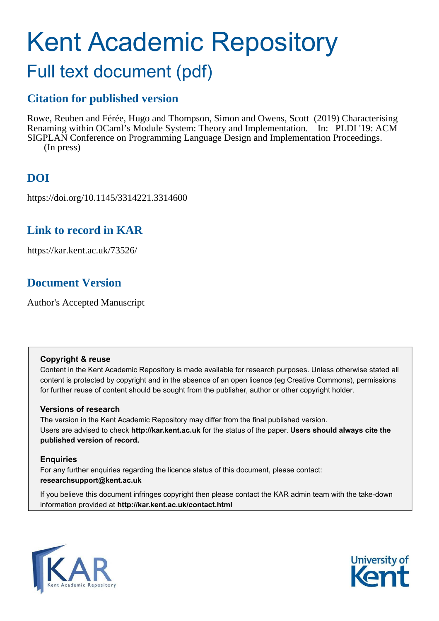# Kent Academic Repository

# Full text document (pdf)

# **Citation for published version**

<span id="page-0-0"></span>Rowe, Reuben and Férée, Hugo and Thompson, Simon and Owens, Scott (2019) Characterising Renaming within OCaml's Module System: Theory and Implementation. In: PLDI '19: ACM SIGPLAN Conference on Programming Language Design and Implementation Proceedings. (In press)

# **DOI**

https://doi.org/10.1145/3314221.3314600

# **Link to record in KAR**

https://kar.kent.ac.uk/73526/

# **Document Version**

Author's Accepted Manuscript

# **Copyright & reuse**

Content in the Kent Academic Repository is made available for research purposes. Unless otherwise stated all content is protected by copyright and in the absence of an open licence (eg Creative Commons), permissions for further reuse of content should be sought from the publisher, author or other copyright holder.

# **Versions of research**

The version in the Kent Academic Repository may differ from the final published version. Users are advised to check **http://kar.kent.ac.uk** for the status of the paper. **Users should always cite the published version of record.**

# **Enquiries**

For any further enquiries regarding the licence status of this document, please contact: **researchsupport@kent.ac.uk**

If you believe this document infringes copyright then please contact the KAR admin team with the take-down information provided at **http://kar.kent.ac.uk/contact.html**



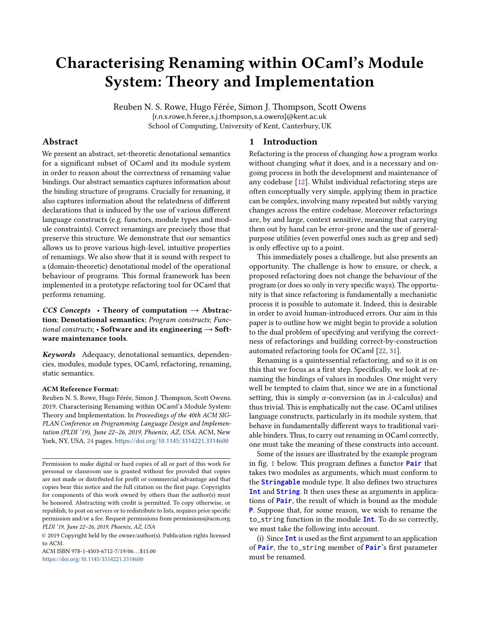# <span id="page-1-0"></span>Characterising Renaming within OCaml's Module System: Theory and Implementation

Reuben N. S. Rowe, Hugo Férée, Simon J. Thompson, Scott Owens {r.n.s.rowe,h.feree,s.j.thompson,s.a.owens}@kent.ac.uk School of Computing, University of Kent, Canterbury, UK

## Abstract

We present an abstract, set-theoretic denotational semantics for a significant subset of OCaml and its module system in order to reason about the correctness of renaming value bindings. Our abstract semantics captures information about the binding structure of programs. Crucially for renaming, it also captures information about the relatedness of diferent declarations that is induced by the use of various diferent language constructs (e.g. functors, module types and module constraints). Correct renamings are precisely those that preserve this structure. We demonstrate that our semantics allows us to prove various high-level, intuitive properties of renamings. We also show that it is sound with respect to a (domain-theoretic) denotational model of the operational behaviour of programs. This formal framework has been implemented in a prototype refactoring tool for OCaml that performs renaming.

CCS Concepts • Theory of computation  $\rightarrow$  Abstraction; Denotational semantics; Program constructs; Functional constructs; • Software and its engineering  $\rightarrow$  Software maintenance tools.

Keywords Adequacy, denotational semantics, dependencies, modules, module types, OCaml, refactoring, renaming, static semantics.

#### ACM Reference Format:

Reuben N. S. Rowe, Hugo Férée, Simon J. Thompson, Scott Owens. 2019. Characterising Renaming within OCaml's Module System: Theory and Implementation. In Proceedings of the 40th ACM SIG-PLAN Conference on Programming Language Design and Implementation (PLDI '19), June 22-26, 2019, Phoenix, AZ, USA. ACM, New York, NY, USA, [24](#page-23-0) pages. [htps://doi.org/10.1145/3314221.3314600](https://doi.org/10.1145/3314221.3314600)

ACM ISBN 978-1-4503-6712-7/19/06. . . \$15.00 [htps://doi.org/10.1145/3314221.3314600](https://doi.org/10.1145/3314221.3314600)

#### 1 Introduction

Refactoring is the process of changing how a program works without changing what it does, and is a necessary and ongoing process in both the development and maintenance of any codebase [\[12\]](#page-14-0). Whilst individual refactoring steps are often conceptually very simple, applying them in practice can be complex, involving many repeated but subtly varying changes across the entire codebase. Moreover refactorings are, by and large, context sensitive, meaning that carrying them out by hand can be error-prone and the use of generalpurpose utilities (even powerful ones such as grep and sed) is only efective up to a point.

This immediately poses a challenge, but also presents an opportunity. The challenge is how to ensure, or check, a proposed refactoring does not change the behaviour of the program (or does so only in very specific ways). The opportunity is that since refactoring is fundamentally a mechanistic process it is possible to automate it. Indeed, this is desirable in order to avoid human-introduced errors. Our aim in this paper is to outline how we might begin to provide a solution to the dual problem of specifying and verifying the correctness of refactorings and building correct-by-construction automated refactoring tools for OCaml [\[22,](#page-14-1) [31\]](#page-14-2).

Renaming is a quintessential refactoring, and so it is on this that we focus as a first step. Specifically, we look at renaming the bindings of values in modules. One might very well be tempted to claim that, since we are in a functional setting, this is simply  $\alpha$ -conversion (as in  $\lambda$ -calculus) and thus trivial. This is emphatically not the case. OCaml utilises language constructs, particularly in its module system, that behave in fundamentally diferent ways to traditional variable binders. Thus, to carry out renaming in OCaml correctly, one must take the meaning of these constructs into account.

Some of the issues are illustrated by the example program in fig. [1](#page-1-0) below. This program defines a functor **Pair** that takes two modules as arguments, which must conform to the **Stringable** module type. It also defines two structures **Int** and **String**. It then uses these as arguments in applications of **Pair**, the result of which is bound as the module **P**. Suppose that, for some reason, we wish to rename the to\_string function in the module **Int**. To do so correctly, we must take the following into account.

(i) Since **Int** is used as the irst argument to an application of **Pair**, the to\_string member of **Pair**'s first parameter must be renamed.

Permission to make digital or hard copies of all or part of this work for personal or classroom use is granted without fee provided that copies are not made or distributed for profit or commercial advantage and that copies bear this notice and the full citation on the irst page. Copyrights for components of this work owned by others than the author(s) must be honored. Abstracting with credit is permitted. To copy otherwise, or republish, to post on servers or to redistribute to lists, requires prior speciic permission and/or a fee. Request permissions from permissions@acm.org. PLDI '19, June 22-26, 2019, Phoenix, AZ, USA

<sup>© 2019</sup> Copyright held by the owner/author(s). Publication rights licensed to ACM.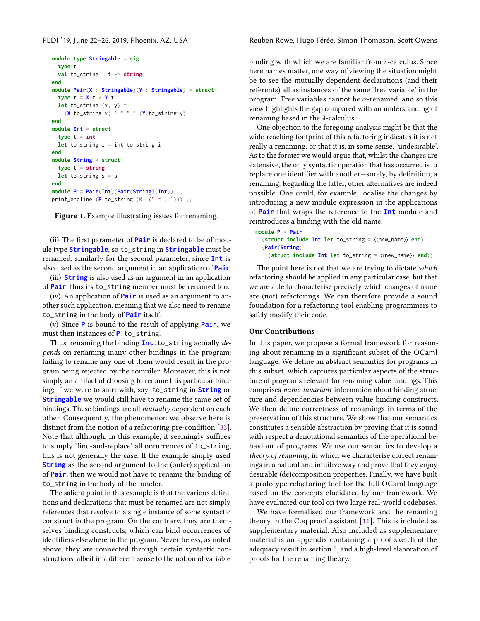```
module type Stringable = sig
  type t
  val to_string : t -> string
end
module Pair(X : Stringable)(Y : Stringable) = struct
  type t = X \cdot t \cdot Y \cdot tlet to_string (x, y) =
    (X.to__string x) ^ " " ^ (Y.to__string y)
end
module Int = struct
  type t = intlet to_string i = int_to_string i
end
module String = struct
  type t = string
 let to_string s = s
end
module P = Pair(Int)(Pair(String)(Int)) ;;
print_endline (P.to_string (0, ("!=", 1))) ;;
```
<span id="page-2-0"></span>Figure 1. Example illustrating issues for renaming.

(ii) The first parameter of **Pair** is declared to be of module type **Stringable**, so to\_string in **Stringable** must be renamed; similarly for the second parameter, since **Int** is also used as the second argument in an application of **Pair**.

(iii) **String** is also used as an argument in an application of **Pair**, thus its to\_string member must be renamed too.

(iv) An application of **Pair** is used as an argument to another such application, meaning that we also need to rename to\_string in the body of **Pair** itself.

(v) Since **P** is bound to the result of applying **Pair**, we must then instances of **P**.to\_string.

Thus, renaming the binding **Int**.to\_string actually depends on renaming many other bindings in the program: failing to rename any one of them would result in the program being rejected by the compiler. Moreover, this is not simply an artifact of choosing to rename this particular binding; if we were to start with, say, to\_string in **String** or **Stringable** we would still have to rename the same set of bindings. These bindings are all mutually dependent on each other. Consequently, the phenomenon we observe here is distinct from the notion of a refactoring pre-condition [\[33\]](#page-14-3). Note that although, in this example, it seemingly suffices to simply 'find-and-replace' all occurrences of to\_string, this is not generally the case. If the example simply used **String** as the second argument to the (outer) application of **Pair**, then we would not have to rename the binding of to\_string in the body of the functor.

The salient point in this example is that the various definitions and declarations that must be renamed are not simply references that resolve to a single instance of some syntactic construct in the program. On the contrary, they are themselves binding constructs, which can bind occurrences of identifiers elsewhere in the program. Nevertheless, as noted above, they are connected through certain syntactic constructions, albeit in a diferent sense to the notion of variable

PLDI '19, June 22–26, 2019, Phoenix, AZ, USA Reuben Rowe, Hugo Férée, Simon Thompson, Scott Owens

binding with which we are familiar from  $\lambda$ -calculus. Since here names matter, one way of viewing the situation might be to see the mutually dependent declarations (and their referents) all as instances of the same 'free variable' in the program. Free variables cannot be  $\alpha$ -renamed, and so this view highlights the gap compared with an understanding of renaming based in the λ-calculus.

One objection to the foregoing analysis might be that the wide-reaching footprint of this refactoring indicates it is not really a renaming, or that it is, in some sense, 'undesirable'. As to the former we would argue that, whilst the changes are extensive, the only syntactic operation that has occurred is to replace one identifier with another–surely, by definition, a renaming. Regarding the latter, other alternatives are indeed possible. One could, for example, localise the changes by introducing a new module expression in the applications of **Pair** that wraps the reference to the **Int** module and reintroduces a binding with the old name.

```
module P = Pair
  (struct include Int let to_string = ⟨⟨new_name⟩⟩ end)
  (Pair(String)
    (struct include Int let to_string = ⟨⟨new_name⟩⟩ end))
```
The point here is not that we are trying to dictate which refactoring should be applied in any particular case, but that we are able to characterise precisely which changes of name are (not) refactorings. We can therefore provide a sound foundation for a refactoring tool enabling programmers to safely modify their code.

#### Our Contributions

In this paper, we propose a formal framework for reasoning about renaming in a significant subset of the OCaml language. We define an abstract semantics for programs in this subset, which captures particular aspects of the structure of programs relevant for renaming value bindings. This comprises name-invariant information about binding structure and dependencies between value binding constructs. We then define correctness of renamings in terms of the preservation of this structure. We show that our semantics constitutes a sensible abstraction by proving that it is sound with respect a denotational semantics of the operational behaviour of programs. We use our semantics to develop a theory of renaming, in which we characterise correct renamings in a natural and intuitive way and prove that they enjoy desirable (de)composition properties. Finally, we have built a prototype refactoring tool for the full OCaml language based on the concepts elucidated by our framework. We have evaluated our tool on two large real-world codebases.

We have formalised our framework and the renaming theory in the Coq proof assistant [\[11\]](#page-14-4). This is included as supplementary material. Also included as supplementary material is an appendix containing a proof sketch of the adequacy result in section [5,](#page-10-0) and a high-level elaboration of proofs for the renaming theory.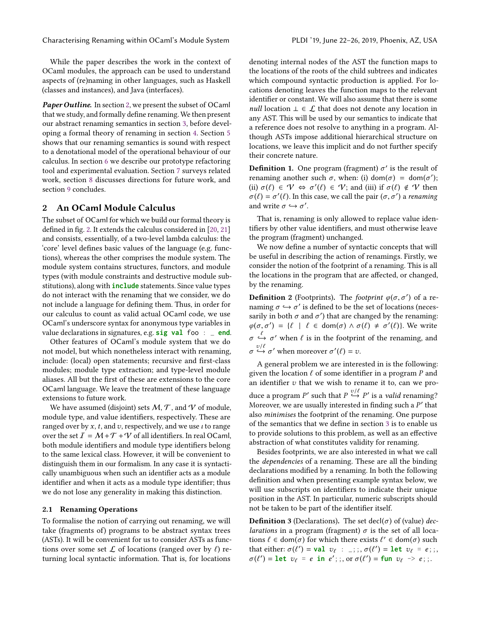Characterising Renaming within OCaml's Module System PLDI '19, June 22–26, 2019, Phoenix, AZ, USA

<span id="page-3-1"></span>While the paper describes the work in the context of OCaml modules, the approach can be used to understand aspects of (re)naming in other languages, such as Haskell (classes and instances), and Java (interfaces).

**Paper Outline.** In section [2,](#page-2-0) we present the subset of OCaml that we study, and formally define renaming. We then present our abstract renaming semantics in section [3,](#page-3-0) before developing a formal theory of renaming in section [4.](#page-9-0) Section [5](#page-10-0) shows that our renaming semantics is sound with respect to a denotational model of the operational behaviour of our calculus. In section [6](#page-11-0) we describe our prototype refactoring tool and experimental evaluation. Section [7](#page-12-0) surveys related work, section [8](#page-13-0) discusses directions for future work, and section [9](#page-13-1) concludes.

# 2 An OCaml Module Calculus

The subset of OCaml for which we build our formal theory is defined in fig. [2.](#page-3-1) It extends the calculus considered in  $[20, 21]$  $[20, 21]$ and consists, essentially, of a two-level lambda calculus: the 'core' level defines basic values of the language (e.g. functions), whereas the other comprises the module system. The module system contains structures, functors, and module types (with module constraints and destructive module substitutions), along with **include** statements. Since value types do not interact with the renaming that we consider, we do not include a language for defining them. Thus, in order for our calculus to count as valid actual OCaml code, we use OCaml's underscore syntax for anonymous type variables in value declarations in signatures, e.g. **sig val** foo : \_ **end**.

<span id="page-3-0"></span>Other features of OCaml's module system that we do not model, but which nonetheless interact with renaming, include: (local) open statements; recursive and first-class modules; module type extraction; and type-level module aliases. All but the first of these are extensions to the core OCaml language. We leave the treatment of these language extensions to future work.

We have assumed (disjoint) sets  $M, T$ , and V of module, module type, and value identifiers, respectively. These are ranged over by x, t, and v, respectively, and we use  $\iota$  to range over the set  $\mathcal{I} = \mathcal{M} + \mathcal{T} + \mathcal{V}$  of all identifiers. In real OCaml, both module identifiers and module type identifiers belong to the same lexical class. However, it will be convenient to distinguish them in our formalism. In any case it is syntactically unambiguous when such an identifier acts as a module identifier and when it acts as a module type identifier; thus we do not lose any generality in making this distinction.

#### 2.1 Renaming Operations

To formalise the notion of carrying out renaming, we will take (fragments of) programs to be abstract syntax trees (ASTs). It will be convenient for us to consider ASTs as functions over some set  $\mathcal L$  of locations (ranged over by  $\ell$ ) returning local syntactic information. That is, for locations

denoting internal nodes of the AST the function maps to the locations of the roots of the child subtrees and indicates which compound syntactic production is applied. For locations denoting leaves the function maps to the relevant identifier or constant. We will also assume that there is some null location  $\bot \in \mathcal{L}$  that does not denote any location in any AST. This will be used by our semantics to indicate that a reference does not resolve to anything in a program. Although ASTs impose additional hierarchical structure on locations, we leave this implicit and do not further specify their concrete nature.

**Definition 1.** One program (fragment)  $\sigma'$  is the result of renaming another such  $\sigma$ , when: (i) dom( $\sigma$ ) = dom( $\sigma$ '); (ii)  $\sigma(\ell) \in \mathcal{V} \Leftrightarrow \sigma'(\ell) \in \mathcal{V}$ ; and (iii) if  $\sigma(\ell) \notin \mathcal{V}$  then  $\sigma(\ell) = \sigma'(\ell)$ . In this case, we call the pair  $(\sigma, \sigma')$  a renaming and write  $\sigma \hookrightarrow \sigma'$ .

That is, renaming is only allowed to replace value identifiers by other value identifiers, and must otherwise leave the program (fragment) unchanged.

We now define a number of syntactic concepts that will be useful in describing the action of renamings. Firstly, we consider the notion of the footprint of a renaming. This is all the locations in the program that are afected, or changed, by the renaming.

**Definition 2** (Footprints). The footprint  $\varphi(\sigma, \sigma')$  of a renaming  $\sigma \hookrightarrow \sigma'$  is defined to be the set of locations (necessarily in both  $\sigma$  and  $\sigma'$ ) that are changed by the renaming:  $\varphi(\sigma, \sigma') = \{ \ell \mid \ell \in \text{dom}(\sigma) \land \sigma(\ell) \neq \sigma'(\ell) \}.$  We write  $\sigma \stackrel{\ell}{\hookrightarrow} \sigma'$  when  $\ell$  is in the footprint of the renaming, and  $\sigma \stackrel{v/\ell}{\hookrightarrow} \sigma'$  when moreover  $\sigma'(\ell) = v$ .

A general problem we are interested in is the following: given the location  $\ell$  of some identifier in a program  $P$  and an identifier  $v$  that we wish to rename it to, can we produce a program P' such that  $P \stackrel{v/\ell}{\hookrightarrow} P'$  is a *valid* renaming? Moreover, we are usually interested in finding such a  $P'$  that also minimises the footprint of the renaming. One purpose of the semantics that we define in section [3](#page-3-0) is to enable us to provide solutions to this problem, as well as an efective abstraction of what constitutes validity for renaming.

Besides footprints, we are also interested in what we call the dependencies of a renaming. These are all the binding declarations modified by a renaming. In both the following definition and when presenting example syntax below, we will use subscripts on identifiers to indicate their unique position in the AST. In particular, numeric subscripts should not be taken to be part of the identifier itself.

**Definition 3** (Declarations). The set decl( $\sigma$ ) of (value) dec*larations* in a program (fragment)  $\sigma$  is the set of all locations  $\ell \in \text{dom}(\sigma)$  for which there exists  $\ell' \in \text{dom}(\sigma)$  such that either:  $\sigma(\ell') = \text{val} \ \ v_{\ell} : \ \_; ; \sigma(\ell') = \text{let} \ \ v_{\ell} = e; ;$  $\sigma(\ell') = \textbf{let } v_{\ell} = e \textbf{ in } e';$ ; ; or  $\sigma(\ell') = \textbf{fun } v_{\ell} \rightarrow e;$ ;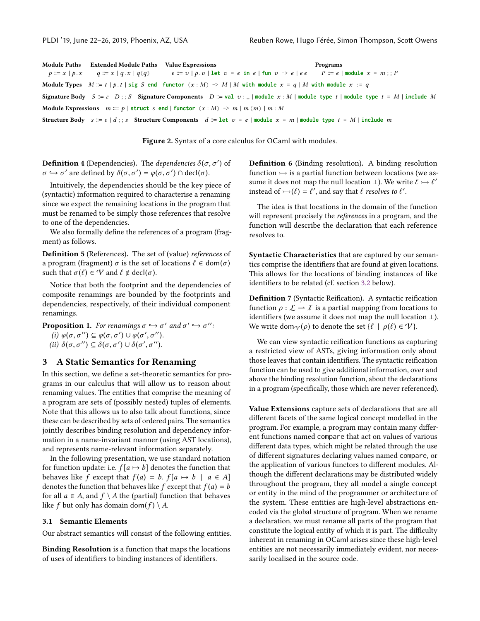<span id="page-4-1"></span>Module Paths Extended Module Paths Value Expressions Programs Programs  $p \coloneqq x | p.x \quad q \coloneqq x | q.x | q(q)$   $e \coloneqq v | p.v | \text{let } v = e \text{ in } e | \text{ fun } v \rightarrow e | ee \quad P \coloneqq e | \text{ module } x = m ;; P$ Module Types  $M := t | p \tcdot t | \text{sig } S \text{ end} |$  functor  $(x : M) \rightarrow M | M$  with module  $x = q | M$  with module  $x := q$ Signature Body  $S \coloneqq \varepsilon | D ;$ ; S Signature Components  $D \coloneqq \text{val } v :$  | **module**  $x : M |$  **module** type  $t |$  **module** type  $t = M |$  include M Module Expressions  $m := p |$  struct s end | functor  $(x : M) \rightarrow m | m (m) | m : M$ Structure Body  $s := \varepsilon | d$ ; s Structure Components  $d := \text{let } v = e | \text{ module } x = m | \text{module type } t = M | \text{ include } m$ 

Figure 2. Syntax of a core calculus for OCaml with modules.

**Definition 4** (Dependencies). The *dependencies*  $\delta(\sigma, \sigma')$  of  $\sigma \hookrightarrow \sigma'$  are defined by  $\delta(\sigma, \sigma') = \varphi(\sigma, \sigma') \cap \text{decl}(\sigma)$ .

Intuitively, the dependencies should be the key piece of (syntactic) information required to characterise a renaming since we expect the remaining locations in the program that must be renamed to be simply those references that resolve to one of the dependencies.

We also formally define the references of a program (fragment) as follows.

Definition 5 (References). The set of (value) references of a program (fragment)  $\sigma$  is the set of locations  $\ell \in \text{dom}(\sigma)$ such that  $\sigma(\ell) \in \mathcal{V}$  and  $\ell \notin \text{dec}(\sigma)$ .

Notice that both the footprint and the dependencies of composite renamings are bounded by the footprints and dependencies, respectively, of their individual component renamings.

**Proposition 1.** For renamings  $\sigma \hookrightarrow \sigma'$  and  $\sigma' \hookrightarrow \sigma''$ : (i)  $\varphi(\sigma, \sigma'') \subseteq \varphi(\sigma, \sigma') \cup \varphi(\sigma', \sigma'').$ (ii)  $\delta(\sigma, \sigma'') \subseteq \delta(\sigma, \sigma') \cup \delta(\sigma', \sigma'')$ .

## 3 A Static Semantics for Renaming

In this section, we define a set-theoretic semantics for programs in our calculus that will allow us to reason about renaming values. The entities that comprise the meaning of a program are sets of (possibly nested) tuples of elements. Note that this allows us to also talk about functions, since these can be described by sets of ordered pairs. The semantics jointly describes binding resolution and dependency information in a name-invariant manner (using AST locations), and represents name-relevant information separately.

<span id="page-4-0"></span>In the following presentation, we use standard notation for function update: i.e.  $f[a \mapsto b]$  denotes the function that behaves like f except that  $f(a) = b$ .  $f[a \mapsto b \mid a \in A]$ denotes the function that behaves like f except that  $f(a) = b$ for all  $a \in A$ , and  $f \setminus A$  the (partial) function that behaves like f but only has domain dom $(f) \setminus A$ .

#### 3.1 Semantic Elements

Our abstract semantics will consist of the following entities.

Binding Resolution is a function that maps the locations of uses of identifiers to binding instances of identifiers.

**Definition 6** (Binding resolution). A binding resolution function  $\rightarrow$  is a partial function between locations (we assume it does not map the null location  $\bot$ ). We write  $\ell \rightarrowtail \ell'$ instead of  $\rightarrowtail$  ( $\ell$ ) =  $\ell'$ , and say that  $\ell$  resolves to  $\ell'$ .

The idea is that locations in the domain of the function will represent precisely the *references* in a program, and the function will describe the declaration that each reference resolves to.

Syntactic Characteristics that are captured by our semantics comprise the identifiers that are found at given locations. This allows for the locations of binding instances of like identifiers to be related (cf. section [3.2](#page-4-0) below).

<span id="page-4-2"></span>Definition 7 (Syntactic Reification). A syntactic reification function  $\rho: \mathcal{L} \to \mathcal{I}$  is a partial mapping from locations to identifiers (we assume it does not map the null location  $\perp$ ). We write dom $\psi(\rho)$  to denote the set  $\{\ell \mid \rho(\ell) \in \mathcal{V}\}.$ 

We can view syntactic reification functions as capturing a restricted view of ASTs, giving information only about those leaves that contain identifiers. The syntactic reification function can be used to give additional information, over and above the binding resolution function, about the declarations in a program (specifically, those which are never referenced).

Value Extensions capture sets of declarations that are all diferent facets of the same logical concept modelled in the program. For example, a program may contain many diferent functions named compare that act on values of various diferent data types, which might be related through the use of diferent signatures declaring values named compare, or the application of various functors to diferent modules. Although the diferent declarations may be distributed widely throughout the program, they all model a single concept or entity in the mind of the programmer or architecture of the system. These entities are high-level abstractions encoded via the global structure of program. When we rename a declaration, we must rename all parts of the program that constitute the logical entity of which it is part. The difficulty inherent in renaming in OCaml arises since these high-level entities are not necessarily immediately evident, nor necessarily localised in the source code.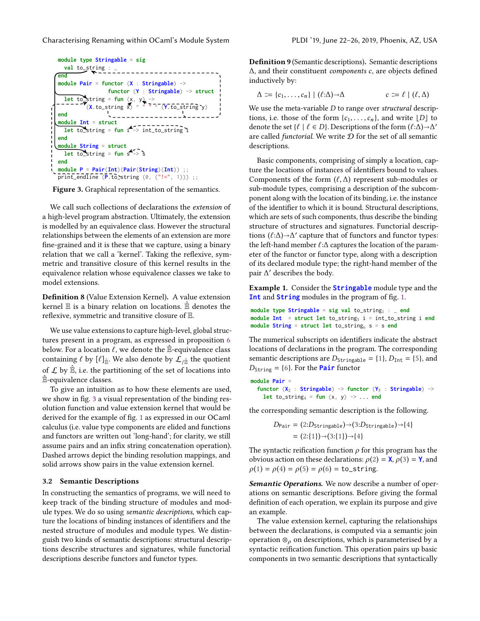Characterising Renaming within OCaml's Module System PLDI '19, June 22–26, 2019, Phoenix, AZ, USA



Figure 3. Graphical representation of the semantics.

We call such collections of declarations the extension of a high-level program abstraction. Ultimately, the extension is modelled by an equivalence class. However the structural relationships between the elements of an extension are more fine-grained and it is these that we capture, using a binary relation that we call a 'kernel'. Taking the reflexive, symmetric and transitive closure of this kernel results in the equivalence relation whose equivalence classes we take to model extensions.

Definition 8 (Value Extension Kernel). A value extension kernel  $E$  is a binary relation on locations.  $\hat{E}$  denotes the reflexive, symmetric and transitive closure of E.

<span id="page-5-1"></span>We use value extensions to capture high-level, global structures present in a program, as expressed in proposition [6](#page-9-1) below. For a location  $\ell$ , we denote the  $\hat{\mathbb{E}}$ -equivalence class containing  $\ell$  by  $[\ell]_{\hat{\mathbb{E}}} .$  We also denote by  $\mathcal{L}_{/\hat{\mathbb{E}}}$  the quotient of  $\mathcal L$  by  $\hat{\mathbb E}$ , i.e. the partitioning of the set of locations into Eˆ-equivalence classes.

To give an intuition as to how these elements are used, we show in fig. [3](#page-4-1) a visual representation of the binding resolution function and value extension kernel that would be derived for the example of ig. [1](#page-1-0) as expressed in our OCaml calculus (i.e. value type components are elided and functions and functors are written out 'long-hand'; for clarity, we still assume pairs and an infix string concatenation operation). Dashed arrows depict the binding resolution mappings, and solid arrows show pairs in the value extension kernel.

#### 3.2 Semantic Descriptions

In constructing the semantics of programs, we will need to keep track of the binding structure of modules and module types. We do so using semantic descriptions, which capture the locations of binding instances of identifiers and the nested structure of modules and module types. We distinguish two kinds of semantic descriptions: structural descriptions describe structures and signatures, while functorial descriptions describe functors and functor types.

Definition 9 (Semantic descriptions). Semantic descriptions  $\Delta$ , and their constituent *components c*, are objects defined inductively by:

$$
\Delta \coloneqq \{c_1, \ldots, c_n\} \mid (\ell:\Delta) \to \Delta \qquad c \coloneqq \ell \mid (\ell,\Delta)
$$

We use the meta-variable  $D$  to range over structural descriptions, i.e. those of the form  $\{c_1, \ldots, c_n\}$ , and write  $|D|$  to denote the set  $\{\ell \mid \ell \in D\}$ . Descriptions of the form  $(\ell:\Delta) \rightarrow \Delta'$ are called *functorial*. We write  $D$  for the set of all semantic descriptions.

<span id="page-5-0"></span>Basic components, comprising of simply a location, capture the locations of instances of identifiers bound to values. Components of the form  $(\ell, \Delta)$  represent sub-modules or sub-module types, comprising a description of the subcomponent along with the location of its binding, i.e. the instance of the identifier to which it is bound. Structural descriptions, which are sets of such components, thus describe the binding structure of structures and signatures. Functorial descriptions  $(\ell:\Delta) \rightarrow \Delta'$  capture that of functors and functor types: the left-hand member  $\ell:\Delta$  captures the location of the parameter of the functor or functor type, along with a description of its declared module type; the right-hand member of the pair ∆ ′ describes the body.

Example 1. Consider the **Stringable** module type and the **Int** and **String** modules in the program of fig. [1.](#page-1-0)

```
module type Stringable = sig val to_string1 : _ end
module Int = struct let to_string5 i = int_to_string i end
module String = struct let to_string6 s = s end
```
The numerical subscripts on identifiers indicate the abstract locations of declarations in the program. The corresponding semantic descriptions are  $D_{\text{Stringable}} = \{1\}, D_{\text{Int}} = \{5\}$ , and  $D_{\text{String}} = \{6\}$ . For the **Pair** functor

```
module Pair =
  functor (X2 : Stringable) -> functor (Y3 : Stringable) ->
    let to_string<sub>4</sub> = fun(x, y) \rightarrow ... end
```
the corresponding semantic description is the following.

$$
D_{\text{Pair}} = (2:D_{\text{Stringable}}) \rightarrow (3:D_{\text{Stringable}}) \rightarrow \{4\}
$$

$$
= (2:\{1\}) \rightarrow (3:\{1\}) \rightarrow \{4\}
$$

The syntactic reification function  $\rho$  for this program has the obvious action on these declarations:  $\rho(2) = \mathbf{X}, \rho(3) = \mathbf{Y}$ , and  $\rho(1) = \rho(4) = \rho(5) = \rho(6) = \text{to\_string}.$ 

Semantic Operations. We now describe a number of operations on semantic descriptions. Before giving the formal definition of each operation, we explain its purpose and give an example.

The value extension kernel, capturing the relationships between the declarations, is computed via a semantic join operation  $\otimes$ <sub>o</sub> on descriptions, which is parameterised by a syntactic reification function. This operation pairs up basic components in two semantic descriptions that syntactically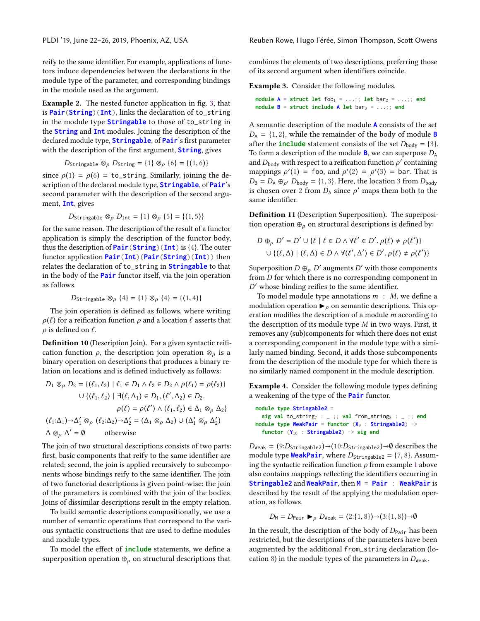<span id="page-6-0"></span>reify to the same identifier. For example, applications of functors induce dependencies between the declarations in the module type of the parameter, and corresponding bindings in the module used as the argument.

Example 2. The nested functor application in fig. [3,](#page-4-1) that is **Pair**(**String**)(**Int**), links the declaration of to\_string in the module type **Stringable** to those of to\_string in the **String** and **Int** modules. Joining the description of the declared module type, **Stringable**, of **Pair**'s first parameter with the description of the first argument, **String**, gives

$$
D_{\text{Stringable}} \otimes_{\rho} D_{\text{String}} = \{1\} \otimes_{\rho} \{6\} = \{(1, 6)\}
$$

since  $\rho(1) = \rho(6) =$  to\_string. Similarly, joining the description of the declared module type, **Stringable**, of **Pair**'s second parameter with the description of the second argument, **Int**, gives

$$
D_{\text{Stringable}} \otimes_{\rho} D_{\text{Int}} = \{1\} \otimes_{\rho} \{5\} = \{(1, 5)\}\
$$

for the same reason. The description of the result of a functor application is simply the description of the functor body, thus the description of **Pair**(**String**)(**Int**) is {4}. The outer functor application **Pair**(**Int**)(**Pair**(**String**)(**Int**)) then relates the declaration of to\_string in **Stringable** to that in the body of the **Pair** functor itself, via the join operation as follows.

$$
D_{\text{Stringable}} \otimes_{\rho} \{4\} = \{1\} \otimes_{\rho} \{4\} = \{(1, 4)\}
$$

The join operation is defined as follows, where writing  $\rho(\ell)$  for a reification function  $\rho$  and a location  $\ell$  asserts that  $\rho$  is defined on  $\ell$ .

**Definition 10** (Description Join). For a given syntactic reification function  $\rho$ , the description join operation  $\otimes_{\rho}$  is a binary operation on descriptions that produces a binary relation on locations and is defined inductively as follows:

$$
D_1 \otimes_{\rho} D_2 = \{ (\ell_1, \ell_2) \mid \ell_1 \in D_1 \land \ell_2 \in D_2 \land \rho(\ell_1) = \rho(\ell_2) \}
$$
  

$$
\cup \{ (\ell_1, \ell_2) \mid \exists (\ell, \Delta_1) \in D_1, (\ell', \Delta_2) \in D_2.
$$
  

$$
\rho(\ell) = \rho(\ell') \land (\ell_1, \ell_2) \in \Delta_1 \otimes_{\rho} \Delta_2 \}
$$
  

$$
(\ell_1:\Delta_1) \to \Delta'_1 \otimes_{\rho} (\ell_2:\Delta_2) \to \Delta'_2 = (\Delta_1 \otimes_{\rho} \Delta_2) \cup (\Delta'_1 \otimes_{\rho} \Delta'_2)
$$
  

$$
\Delta \otimes_{\rho} \Delta' = \emptyset
$$
 otherwise

<span id="page-6-1"></span>The join of two structural descriptions consists of two parts: first, basic components that reify to the same identifier are related; second, the join is applied recursively to subcomponents whose bindings reify to the same identifier. The join of two functorial descriptions is given point-wise: the join of the parameters is combined with the join of the bodies. Joins of dissimilar descriptions result in the empty relation.

<span id="page-6-2"></span>To build semantic descriptions compositionally, we use a number of semantic operations that correspond to the various syntactic constructions that are used to define modules and module types.

To model the effect of **include** statements, we define a superposition operation  $\oplus_{\rho}$  on structural descriptions that

PLDI '19, June 22–26, 2019, Phoenix, AZ, USA Reuben Rowe, Hugo Férée, Simon Thompson, Scott Owens

<span id="page-6-3"></span>combines the elements of two descriptions, preferring those of its second argument when identifiers coincide.

Example 3. Consider the following modules.

```
module A = struct let foo_1 = ...;; let bar_2 = ...;; end
module B = struct include A let bar_3 = ...;; end
```
A semantic description of the module **A** consists of the set  $D_A = \{1, 2\}$ , while the remainder of the body of module **B** after the **include** statement consists of the set  $D_{\text{body}} = \{3\}.$ To form a description of the module  $B$ , we can superpose  $D_A$ and  $D_{\text{body}}$  with respect to a reification function  $\rho'$  containing mappings  $\rho'(1) =$  foo, and  $\rho'(2) = \rho'(3) =$  bar. That is  $D_{\rm B} = D_{\rm A} \oplus_{\rho'} D_{\rm body} = \{1, 3\}$ . Here, the location 3 from  $D_{\rm body}$ is chosen over 2 from  $D_A$  since  $\rho'$  maps them both to the same identifier.

Definition 11 (Description Superposition). The superposition operation  $\oplus_{\rho}$  on structural descriptions is defined by:

$$
D \oplus_{\rho} D' = D' \cup \{ \ell \mid \ell \in D \land \forall \ell' \in D'. \rho(\ell) \neq \rho(\ell') \}
$$
  

$$
\cup \{ (\ell, \Delta) \mid (\ell, \Delta) \in D \land \forall (\ell', \Delta') \in D'. \rho(\ell) \neq \rho(\ell') \}
$$

Superposition  $D \oplus_{\rho} D'$  augments  $D'$  with those components from D for which there is no corresponding component in  $D'$  whose binding reifies to the same identifier.

To model module type annotations  $m$  :  $M$  , we define a modulation operation  $\blacktriangleright_{\rho}$  on semantic descriptions. This operation modifies the description of a module  $m$  according to the description of its module type  $M$  in two ways. First, it removes any (sub)components for which there does not exist a corresponding component in the module type with a similarly named binding. Second, it adds those subcomponents from the description of the module type for which there is no similarly named component in the module description.

**Example 4.** Consider the following module types defining a weakening of the type of the **Pair** functor.

```
module type Stringable2 =
  sig val to_string<sub>7</sub> : _ ;; val from_string<sub>8</sub> : _ ;; end
module type WeakPair = functor (X9 : Stringable2) ->
  functor (Y10 : Stringable2) -> sig end
```
 $D_{\text{Weak}} = (9:D_{\text{Stringable2}}) \rightarrow (10:D_{\text{Stringable2}}) \rightarrow \emptyset$  describes the module type **WeakPair**, where  $D_{\text{Stringable2}} = \{7, 8\}$ . Assuming the syntactic reification function  $\rho$  from example [1](#page-4-2) above also contains mappings reflecting the identifiers occurring in **Stringable2** and **WeakPair**, then **M** = **Pair** : **WeakPair** is described by the result of the applying the modulation operation, as follows.

$$
D_M = D_{Pair} \blacktriangleright_{\rho} D_{Weak} = (2:\{1, 8\}) \rightarrow (3:\{1, 8\}) \rightarrow \emptyset
$$

In the result, the description of the body of  $D_{Pair}$  has been restricted, but the descriptions of the parameters have been augmented by the additional from\_string declaration (location 8) in the module types of the parameters in  $D_{\text{Weak}}$ .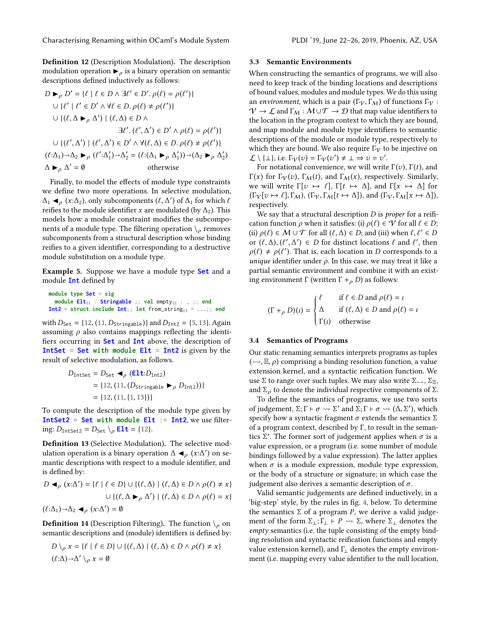<span id="page-7-0"></span>**Definition 12** (Description Modulation). The description modulation operation  $\blacktriangleright_{\rho}$  is a binary operation on semantic descriptions defined inductively as follows:

$$
D \blacktriangleright_{\rho} D' = \{ \ell \mid \ell \in D \land \exists \ell' \in D'. \rho(\ell) = \rho(\ell') \}
$$
  
\n
$$
\cup \{ \ell' \mid \ell' \in D' \land \forall \ell \in D. \rho(\ell) \neq \rho(\ell') \}
$$
  
\n
$$
\cup \{ (\ell, \Delta \blacktriangleright_{\rho} \Delta') \mid (\ell, \Delta) \in D \land
$$
  
\n
$$
\exists \ell'. (\ell', \Delta') \in D' \land \rho(\ell) = \rho(\ell') \}
$$
  
\n
$$
\cup \{ (\ell', \Delta') \mid (\ell', \Delta') \in D' \land \forall (\ell, \Delta) \in D. \rho(\ell) \neq \rho(\ell') \}
$$
  
\n
$$
(\ell : \Delta_1) \rightarrow \Delta_2 \blacktriangleright_{\rho} (\ell' : \Delta'_1) \rightarrow \Delta'_2 = (\ell : (\Delta_1 \blacktriangleright_{\rho} \Delta'_1)) \rightarrow (\Delta_2 \blacktriangleright_{\rho} \Delta'_2)
$$
  
\n
$$
\Delta \blacktriangleright_{\rho} \Delta' = \emptyset
$$
 otherwise

Finally, to model the effects of module type constraints we define two more operations. In selective modulation,  $\Delta_1$  ◀<sub>ρ</sub> (*x*: $\Delta_2$ ), only subcomponents ( $\ell$ ,  $\Delta'$ ) of  $\Delta_1$  for which  $\ell$ reifies to the module identifier x are modulated (by  $\Delta_2$ ). This models how a module constraint modifies the subcomponents of a module type. The filtering operation  $\setminus_{\rho}$  removes subcomponents from a structural description whose binding reifies to a given identifier, corresponding to a destructive module substitution on a module type.

Example 5. Suppose we have a module type **Set** and a module **Int** defined by

```
module type Set = sig\n    module Elt11: Stringable ;; val empty12 : 
$$
\_
$$
; ; end\nInt2 = struct include Int;; let from_string13 = ...;; end
```

with  $D_{\text{Set}} = \{12, (11, D_{\text{Stringable}})\}$  and  $D_{\text{Int2}} = \{5, 13\}$ . Again assuming  $\rho$  also contains mappings reflecting the identifiers occurring in **Set** and **Int** above, the description of **IntSet** = **Set with module Elt** = **Int2** is given by the result of selective modulation, as follows.

$$
D_{\text{IntSet}} = D_{\text{Set}} \triangleleft_{\rho} (\text{E1t}:D_{\text{Int2}})
$$
  
= {12, (11, (D\_{\text{Stringable}}) \triangleright\_{\rho} D\_{\text{Int2}})}  
= {12, (11, {1, 13})}

To compute the description of the module type given by **IntSet2** = **Set** with module  $E1t$  :=  $Int2$ , we use filtering:  $D_{\text{IntSet2}} = D_{\text{Set}} \setminus_{\rho} \text{ELt} = \{12\}.$ 

Definition 13 (Selective Modulation). The selective modulation operation is a binary operation  $\Delta \blacktriangleleft_{\rho} (x:\Delta')$  on semantic descriptions with respect to a module identifier, and is defined by:

$$
D \blacktriangleleft_{\rho} (x:\Delta') = \{ \ell \mid \ell \in D \} \cup \{ (\ell, \Delta) \mid (\ell, \Delta) \in D \land \rho(\ell) \neq x \}
$$

$$
\cup \{ (\ell, \Delta \blacktriangleright_{\rho} \Delta') \mid (\ell, \Delta) \in D \land \rho(\ell) = x \}
$$

$$
(\ell : \Delta_1) \rightarrow \Delta_2 \blacktriangleleft_{\rho} (x:\Delta') = \emptyset
$$

**Definition 14** (Description Filtering). The function  $\setminus_{\rho}$  on semantic descriptions and (module) identifiers is defined by:

$$
D \setminus_{\rho} x = \{ \ell \mid \ell \in D \} \cup \{ (\ell, \Delta) \mid (\ell, \Delta) \in D \land \rho(\ell) \neq x \}
$$
  

$$
(\ell : \Delta) \rightarrow \Delta' \setminus_{\rho} x = \emptyset
$$

#### 3.3 Semantic Environments

When constructing the semantics of programs, we will also need to keep track of the binding locations and descriptions of bound values, modules and module types. We do this using an environment, which is a pair  $(\Gamma_V, \Gamma_M)$  of functions  $\Gamma_V$ :  $\mathcal{V} \to \mathcal{L}$  and  $\Gamma_M : \mathcal{M} \cup \mathcal{T} \to \mathcal{D}$  that map value identifiers to the location in the program context to which they are bound, and map module and module type identifiers to semantic descriptions of the module or module type, respectively to which they are bound. We also require  $\Gamma_V$  to be injective on  $\mathcal{L} \setminus \{ \bot \}, \text{ i.e. } \Gamma_V(v) = \Gamma_V(v') \neq \bot \Rightarrow v = v'.$ 

For notational convenience, we will write  $\Gamma(v)$ ,  $\Gamma(t)$ , and Γ(x) for Γ $_V(v)$ , Γ $_M(t)$ , and Γ $_M(x)$ , respectively. Similarly, we will write  $\Gamma[v \mapsto \ell], \Gamma[t \mapsto \Delta]$ , and  $\Gamma[x \mapsto \Delta]$  for  $(\Gamma_V[v \mapsto \ell], \Gamma_M)$ ,  $(\Gamma_V, \Gamma_M[t \mapsto \Delta])$ , and  $(\Gamma_V, \Gamma_M[x \mapsto \Delta])$ , respectively.

We say that a structural description  $D$  is *proper* for a reification function  $\rho$  when it satisfies: (i)  $\rho(\ell) \in V$  for all  $\ell \in D$ ; (ii)  $\rho(\ell) \in \mathcal{M} \cup \mathcal{T}$  for all  $(\ell, \Delta) \in D$ ; and (iii) when  $\ell, \ell' \in D$ or  $(\ell, \Delta), (\ell', \Delta') \in D$  for distinct locations  $\ell$  and  $\ell'$ , then  $\rho(\ell) \neq \rho(\ell')$ . That is, each location in D corresponds to a unique identifier under  $\rho$ . In this case, we may treat it like a partial semantic environment and combine it with an existing environment Γ (written Γ + ρ D) as follows:

$$
(\Gamma +_{\rho} D)(\iota) = \begin{cases} \ell & \text{if } \ell \in D \text{ and } \rho(\ell) = \iota \\ \Delta & \text{if } (\ell, \Delta) \in D \text{ and } \rho(\ell) = \iota \\ \Gamma(\iota) & \text{otherwise} \end{cases}
$$

#### 3.4 Semantics of Programs

Our static renaming semantics interprets programs as tuples  $(\rightarrow, \mathbb{E}, \rho)$  comprising a binding resolution function, a value extension kernel, and a syntactic reification function. We use Σ to range over such tuples. We may also write  $\Sigma \rightarrow$ ,  $\Sigma_{\mathbb{E}}$ , and  $\Sigma_{\rho}$  to denote the individual respective components of  $\Sigma$ .

To define the semantics of programs, we use two sorts of judgement,  $\Sigma$ ;  $\Gamma \vdash \sigma \leadsto \Sigma'$  and  $\Sigma$ ;  $\Gamma \vdash \sigma \leadsto (\Delta, \Sigma')$ , which specify how a syntactic fragment  $\sigma$  extends the semantics  $\Sigma$ of a program context, described by Γ, to result in the semantics  $\Sigma'$ . The former sort of judgement applies when  $\sigma$  is a value expression, or a program (i.e. some number of module bindings followed by a value expression). The latter applies when  $\sigma$  is a module expression, module type expression, or the body of a structure or signature; in which case the judgement also derives a semantic description of  $\sigma$ .

Valid semantic judgements are deined inductively, in a 'big-step' style, by the rules in fig. [4,](#page-7-0) below. To determine the semantics  $\Sigma$  of a program P, we derive a valid judgement of the form  $\Sigma_{\perp}$ ;  $\Gamma_{\perp}$  ⊢  $P \rightsquigarrow \Sigma$ , where  $\Sigma_{\perp}$  denotes the empty semantics (i.e. the tuple consisting of the empty binding resolution and syntactic reification functions and empty value extension kernel), and  $\Gamma_{\perp}$  denotes the empty environment (i.e. mapping every value identifier to the null location,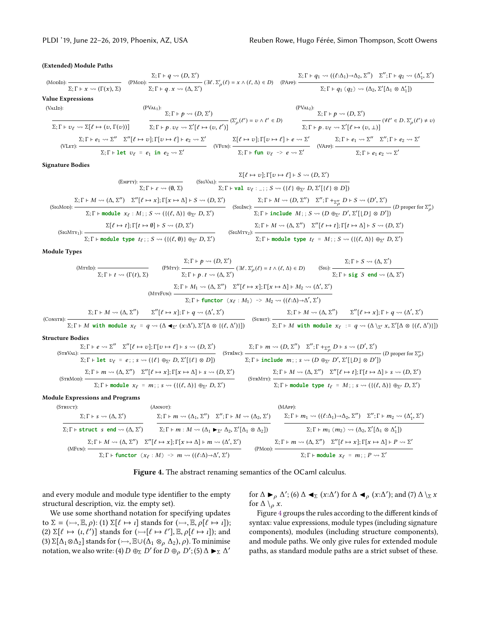(Extended) Module Paths

(MODID):  
\n
$$
\frac{\Sigma; \Gamma \vdash q \leadsto (D, \Sigma')}{\Sigma; \Gamma \vdash x \leadsto (\Gamma(x), \Sigma)}
$$
\n(PMOD):  
\n
$$
\frac{\Sigma; \Gamma \vdash q \leadsto (D, \Sigma')}{\Sigma; \Gamma \vdash q.x \leadsto (\Delta, \Sigma')} \cdot (\exists \ell \cdot \Sigma' \rho(\ell) = x \land (\ell, \Delta) \in D)
$$
\n(PAPP):  
\n
$$
\frac{\Sigma; \Gamma \vdash q_1 \leadsto ((\ell : \Delta_1) \to \Delta_2, \Sigma'') \quad \Sigma''; \Gamma \vdash q_2 \leadsto (\Delta_1', \Sigma')}{\Sigma; \Gamma \vdash q_1 (q_2) \leadsto (\Delta_2, \Sigma'[\Delta_1 \otimes \Delta_1'])}
$$
\n(ValID):  
\n(VALD):  
\n
$$
\frac{\Gamma(V\Delta_1):}{\Sigma; \Gamma \vdash v_{\ell} \leadsto \Sigma[\ell \mapsto (v, \Gamma(v))]}
$$
\n
$$
\frac{\Gamma(V\Delta_1):}{\Sigma; \Gamma \vdash p \leadsto (v, \Sigma') \quad (\Sigma' \rho(\ell') = v \land \ell' \in D)}
$$
\n(PAPP):  
\n
$$
\frac{\Gamma(V\Delta_2):}{\Sigma; \Gamma \vdash p \leadsto (D, \Sigma')} \cdot (\Sigma' \rho(\ell' \vdash \Delta_2)) \cdot (\Sigma' \rho(\ell' \vdash \Delta_2))}{\Sigma; \Gamma \vdash p \leadsto \Sigma' \quad (\Sigma' \vdash \Delta_2 \leadsto \Sigma' \quad (\Sigma' \vdash \Delta_2)) \cdot (\Sigma' \vdash \Delta_2 \leadsto \Sigma' \quad (\Sigma' \vdash \Delta_2))}
$$
\n(ValP):  
\n
$$
\frac{\Gamma(V\Delta_1):}{\Sigma; \Gamma \vdash v_{\ell} \leadsto \Sigma'' \quad \Sigma''[\ell \mapsto v]; \Gamma[v \mapsto \ell] \vdash e_2 \leadsto \Sigma'}{\Sigma; \Gamma \vdash v_{\ell} \vdash v; \Gamma[v \mapsto \ell] \vdash e \leadsto \Sigma' \quad (\Sigma \vdash \Delta_1 \leadsto \Sigma' \quad (\Sigma \vdash e_1 \leadsto \Sigma'' \quad \Sigma''; \Gamma \vdash e_2 \leadsto \Sigma' \quad (\Sigma \vdash e_1 \leadsto \Delta_1') \cdot (\Sigma \vdash e_1 \leadsto \Delta_2')
$$
\n(ValP):  
\n
$$
\frac
$$

Signature Bodies

<span id="page-8-0"></span>
$$
\frac{\Sigma[f \mapsto v]; \Gamma[v \mapsto \ell] + S \rightsquigarrow (D, \Sigma')}{\Sigma; \Gamma \vdash \ell \rightsquigarrow (0, \Sigma)} \frac{\Sigma[f \mapsto v]; \Gamma[v \mapsto \ell] + S \rightsquigarrow (D, \Sigma')}{\Sigma; \Gamma \vdash \text{val } v_{\ell} : \square; S \rightsquigarrow ((\ell \uparrow \text{d}) \oplus_{\Sigma'} D, \Sigma'[\ell \uparrow \text{d} \oplus D])}
$$
\n
$$
\frac{\Sigma; \Gamma \vdash M \rightsquigarrow (\Delta, \Sigma'') \quad \Sigma''[\ell \mapsto x]; \Gamma[x \mapsto \Delta] + S \rightsquigarrow (D, \Sigma')}{\Sigma; \Gamma \vdash \text{module } x_{\ell} : M; ; S \rightsquigarrow ((\ell, \Delta)) \oplus_{\Sigma'} D, \Sigma')}
$$
\n
$$
\frac{\Sigma; \Gamma \vdash M \rightsquigarrow (D, \Sigma'') \quad \Sigma''; \Gamma \uparrow_{\Sigma''} D \vdash S \rightsquigarrow (D', \Sigma')}{\Sigma; \Gamma \vdash \text{include } M; ; S \rightsquigarrow (D \oplus_{\Sigma'} D', \Sigma'[\lfloor D \rfloor \otimes D'])} \frac{\Sigma; \Gamma \vdash \text{module } x_{\ell} : M; S \rightsquigarrow ((\ell, \Delta)) \oplus_{\Sigma'} D, \Sigma')}{\Sigma; \Gamma \vdash \text{include } M; ; S \rightsquigarrow (D \oplus_{\Sigma'} D', \Sigma'[\lfloor D \rfloor \otimes D'])} \frac{\Sigma; \Gamma \vdash M \rightsquigarrow (\Delta, \Sigma'') \quad \Sigma''[\ell \mapsto t]; \Gamma[t \mapsto \Delta] + S \rightsquigarrow (D, \Sigma')}{\Sigma; \Gamma \vdash \text{module type } t_{\ell} = M; ; S \rightsquigarrow ((\ell, \Delta)) \oplus_{\Sigma'} D, \Sigma' \text{modrule } t_{\ell} = M; ; S \rightsquigarrow ((\ell, \Delta) \oplus_{\Sigma'} D, \Sigma')
$$

Module Types

$$
\frac{\Sigma; \Gamma \vdash p \leadsto (D, \Sigma')}{\Sigma; \Gamma \vdash t \leadsto (\Gamma(t), \Sigma)} \quad \frac{\Sigma; \Gamma \vdash p \leadsto (D, \Sigma')}{\Sigma; \Gamma \vdash p \ldots \leadsto (\Delta, \Sigma')} \quad (\exists \ell \cdot \Sigma'_{\rho}(\ell) = t \land (\ell, \Delta) \in D) \quad (\text{Stc}): \quad \frac{\Sigma; \Gamma \vdash S \leadsto (\Delta, \Sigma')}{\Sigma; \Gamma \vdash \text{sig } S \text{ end } \leadsto (\Delta, \Sigma')} \quad (\text{MyT} \vdash \text{tr}(t), \Sigma) \quad \frac{\Sigma; \Gamma \vdash M_1 \leadsto (\Delta, \Sigma'')}{\Sigma; \Gamma \vdash M_1 \leadsto (\Delta, \Sigma'')} \quad \frac{\Sigma; \Gamma \vdash M_1 \leadsto (\Delta, \Sigma'')}{\Sigma; \Gamma \vdash \text{functor } (\mathbf{x}_{\ell} : M_1) \rightarrow M_2 \leadsto ((\ell : \Delta) \rightarrow \Delta', \Sigma')} \quad (\text{Cors} \vdash \text{tr}(t) \to \text{tr}(t) \to \text{tr}(t) \to \text{tr}(t) \to \text{tr}(t) \to \text{tr}(t) \to \text{tr}(t) \to \text{tr}(t) \to \text{tr}(t) \to \text{tr}(t) \to \text{tr}(t) \to \text{tr}(t) \to \text{tr}(t) \to \text{tr}(t) \to \text{tr}(t) \to \text{tr}(t) \to \text{tr}(t) \to \text{tr}(t) \to \text{tr}(t) \to \text{tr}(t) \to \text{tr}(t) \to \text{tr}(t) \to \text{tr}(t) \to \text{tr}(t) \to \text{tr}(t) \to \text{tr}(t) \to \text{tr}(t) \to \text{tr}(t) \to \text{tr}(t) \to \text{tr}(t) \to \text{tr}(t) \to \text{tr}(t) \to \text{tr}(t) \to \text{tr}(t) \to \text{tr}(t) \to \text{tr}(t) \to \text{tr}(t) \to \text{tr}(t) \to \text{tr}(t) \to \text{tr}(t) \to \text{tr}(t) \to \text{tr}(t) \to \text{tr}(t) \to \text{tr}(t) \to \text{tr}(t) \to \text{tr}(t) \to \text{tr}(t) \to \text{tr}(t
$$

Str

$$
\frac{\Sigma; \Gamma \vdash e \leadsto \Sigma'' \quad \Sigma''[\ell \mapsto v]; \Gamma[v \mapsto \ell] \vdash s \leadsto (D, \Sigma') \quad \Sigma; \Gamma \vdash m \leadsto (D, \Sigma'') \quad \Sigma''; \Gamma + \Sigma''_{\rho} D \vdash s \leadsto (D', \Sigma')}{\Sigma; \Gamma \vdash \text{let } v_{\ell} = e;; s \leadsto (\{\ell\} \oplus_{\Sigma'} D, \Sigma'[\{\ell\} \otimes D])} \quad \frac{\Sigma; \Gamma \vdash m \leadsto (D, \Sigma'') \quad \Sigma''; \Gamma + \Sigma''_{\rho} D \vdash s \leadsto (D', \Sigma')}{\Sigma; \Gamma \vdash \text{include } m;; s \leadsto (D \oplus_{\Sigma'} D', \Sigma'[\lfloor D \rfloor \otimes D'])} \quad \frac{\Sigma; \Gamma \vdash n \leadsto (D, \Sigma' \vdash s \leadsto (D', \Sigma')}{\Sigma; \Gamma \vdash n \leadsto (\Delta, \Sigma' \vdash s \leadsto (D, \Sigma') \land \Sigma''[\ell \vdash t]; \Gamma[\ell \vdash \Delta] \vdash s \leadsto (D, \Sigma')}{\Sigma; \Gamma \vdash m \leadsto (\Delta, \Sigma' \vdash s \leadsto (D, \Sigma') \land \Sigma''[\ell \vdash t]; \Gamma[\ell \vdash \Delta] \vdash s \leadsto (D, \Sigma') \land \Sigma; \Gamma \vdash m \leadsto (D, \Sigma' \vdash s \leadsto (D, \Sigma') \land \Sigma''[\ell \vdash t]; \Gamma[\ell \vdash \Delta] \vdash s \leadsto (D, \Sigma') \land \Sigma; \Gamma \vdash m \leadsto (D, \Sigma' \vdash s \leadsto (D, \Sigma' \vdash s \leadsto (D, \Sigma' \vdash s \leadsto (D, \Sigma' \vdash s \leadsto (D, \Sigma' \vdash s \leadsto (D, \Sigma' \vdash s \leadsto (D, \Sigma' \vdash s \leadsto (D, \Sigma' \vdash s \leadsto (D, \Sigma' \vdash s \leadsto (D, \Sigma' \vdash s \leadsto (D, \Sigma' \vdash s \leadsto (D, \Sigma' \vdash s \leadsto (D, \Sigma' \vdash s \leadsto (D, \Sigma' \vdash s \leadsto (D, \Sigma' \vdash s \leadsto (D, \Sigma' \vdash s \leadsto (D, \Sigma' \vdash s \leadsto (D, \Sigma' \vdash s \leadsto (D, \Sigma' \vdash s \leadsto (D, \
$$

Module Expressions and Programs

| $(S \texttt{TRUE})$ :                                             | (ANNOT):                                                                                                                                            | (MAPP):              |                                                                                                                                                       |
|-------------------------------------------------------------------|-----------------------------------------------------------------------------------------------------------------------------------------------------|----------------------|-------------------------------------------------------------------------------------------------------------------------------------------------------|
| $\Sigma: \Gamma \vdash s \leadsto (\Delta, \Sigma')$              | $\Sigma; \Gamma \vdash m \leadsto (\Delta_1, \Sigma'') \quad \Sigma''; \Gamma \vdash M \leadsto (\Delta_2, \Sigma')$                                |                      | $\Sigma; \Gamma \vdash m_1 \leadsto ((\ell:\Delta_1) \rightarrow \Delta_2, \Sigma'') \quad \Sigma''; \Gamma \vdash m_2 \leadsto (\Delta'_1, \Sigma')$ |
| $\Sigma; \Gamma \vdash$ struct s end $\leadsto (\Delta, \Sigma')$ | $\Sigma; \Gamma \vdash m : M \rightsquigarrow (\Delta_1 \blacktriangleright_{\Sigma'} \Delta_2, \Sigma'[\Delta_1 \otimes \Delta_2])$                |                      | $\Sigma; \Gamma \vdash m_1 \ (m_2) \leadsto (\Delta_2, \Sigma'[\Delta_1 \otimes \Delta'_1])$                                                          |
|                                                                   | $\Sigma; \Gamma \vdash M \leadsto (\Delta, \Sigma'') \quad \Sigma''[\ell \mapsto x]; \Gamma[x \mapsto \Delta] \vdash m \leadsto (\Delta', \Sigma')$ |                      | $\Sigma; \Gamma \vdash m \leadsto (\Delta, \Sigma'') \quad \Sigma''[\ell \mapsto x]; \Gamma[x \mapsto \Delta] \vdash P \leadsto \Sigma'$              |
| $(MFUN)$ :                                                        | $\Sigma; \Gamma \vdash$ functor $(x_{\ell}: M) \rightarrow m \rightsquigarrow ((\ell:\Delta) \rightarrow \Delta', \Sigma')$                         | (PMo <sub>D</sub> ): | $\Sigma; \Gamma \vdash \text{module } x_{\ell} = m; \; \vdash P \leadsto \Sigma'$                                                                     |

Figure 4. The abstract renaming semantics of the OCaml calculus.

and every module and module type identifier to the empty structural description, viz. the empty set).

We use some shorthand notation for specifying updates to  $\Sigma = (\rightarrowtail, \mathbb{E}, \rho)$ : (1)  $\Sigma[\ell \mapsto \iota]$  stands for  $(\rightarrowtail, \mathbb{E}, \rho[\ell \mapsto \iota])$ ; (2)  $\Sigma[\ell \mapsto (\iota, \ell')]$  stands for  $(\rightarrow[\ell \mapsto \ell'], \mathbb{E}, \rho[\ell \mapsto \iota])$ ; and (3) Σ[ $\Delta_1 \otimes \Delta_2$ ] stands for (→,  $\mathbb{E}\cup(\Delta_1 \otimes \Delta_2)$ ,  $\rho$ ). To minimise notation, we also write: (4)  $D \oplus_{\Sigma} D'$  for  $D \oplus_{\rho} D'$ ; (5)  $\Delta \blacktriangleright_{\Sigma} \Delta'$ 

for  $\Delta \blacktriangleright_{\rho} \Delta'$ ; (6)  $\Delta \blacktriangleleft_{\Sigma} (x:\Delta')$  for  $\Delta \blacktriangleleft_{\rho} (x:\Delta')$ ; and (7)  $\Delta \setminus_{\Sigma} x$ for  $\Delta \setminus_{\rho} x$ .

Figure [4](#page-7-0) groups the rules according to the diferent kinds of syntax: value expressions, module types (including signature components), modules (including structure components), and module paths. We only give rules for extended module paths, as standard module paths are a strict subset of these.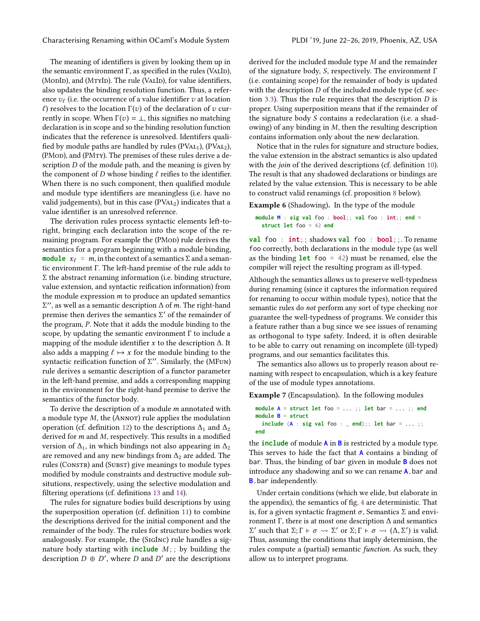Characterising Renaming within OCaml's Module System PLDI '19, June 22-26, 2019, Phoenix, AZ, USA

<span id="page-9-6"></span>The meaning of identifiers is given by looking them up in the semantic environment  $\Gamma$ , as specified in the rules (VALID), (MooI<sub>D</sub>), and (MTYID). The rule (VALID), for value identifiers, also updates the binding resolution function. Thus, a reference  $v_{\ell}$  (i.e. the occurrence of a value identifier  $v$  at location  $\ell$ ) resolves to the location Γ(*v*) of the declaration of *v* currently in scope. When  $\Gamma(v) = \bot$ , this signifies no matching declaration is in scope and so the binding resolution function indicates that the reference is unresolved. Identifers qualified by module paths are handled by rules ( $PVAL<sub>1</sub>$ ), ( $PVAL<sub>2</sub>$ ), (PMod), and (PMTY). The premises of these rules derive a description D of the module path, and the meaning is given by the component of D whose binding  $\ell$  reifies to the identifier. When there is no such component, then qualified module and module type identifiers are meaningless (i.e. have no valid judgements), but in this case  $(PVAL<sub>2</sub>)$  indicates that a value identifier is an unresolved reference.

<span id="page-9-4"></span><span id="page-9-0"></span>The derivation rules process syntactic elements left-toright, bringing each declaration into the scope of the remaining program. For example the (PMoD) rule derives the semantics for a program beginning with a module binding, **module**  $x_{\ell} = m$ , in the context of a semantics  $\Sigma$  and a semantic environment Γ. The left-hand premise of the rule adds to  $\Sigma$  the abstract renaming information (i.e. binding structure, value extension, and syntactic reification information) from the module expression  $m$  to produce an updated semantics Σ'', as well as a semantic description  $Δ$  of m. The right-hand premise then derives the semantics Σ ′ of the remainder of the program, P. Note that it adds the module binding to the scope, by updating the semantic environment  $\Gamma$  to include a mapping of the module identifier x to the description  $\Delta$ . It also adds a mapping  $\ell \mapsto x$  for the module binding to the syntactic reification function of Σ". Similarly, the (MFUN) rule derives a semantic description of a functor parameter in the left-hand premise, and adds a corresponding mapping in the environment for the right-hand premise to derive the semantics of the functor body.

<span id="page-9-7"></span>To derive the description of a module m annotated with a module type  $M$ , the (ANNOT) rule applies the modulation operation (cf. definition [12\)](#page-6-0) to the descriptions  $\Delta_1$  and  $\Delta_2$ derived for  $m$  and  $M$ , respectively. This results in a modified version of  $\Delta_1$ , in which bindings not also appearing in  $\Delta_2$ are removed and any new bindings from  $\Delta_2$  are added. The rules (CONSTR) and (SUBST) give meanings to module types modified by module constraints and destructive module subsitutions, respectively, using the selective modulation and filtering operations (cf. definitions  $13$  and  $14$ ).

<span id="page-9-5"></span>The rules for signature bodies build descriptions by using the superposition operation (cf. definition [11\)](#page-5-0) to combine the descriptions derived for the initial component and the remainder of the body. The rules for structure bodies work analogously. For example, the (SigInc) rule handles a signature body starting with **include** M;; by building the description  $D \oplus D'$ , where  $D$  and  $D'$  are the descriptions

derived for the included module type M and the remainder of the signature body, S, respectively. The environment Γ (i.e. containing scope) for the remainder of body is updated with the description  $D$  of the included module type (cf. sec-tion [3.3\)](#page-6-3). Thus the rule requires that the description  $D$  is proper. Using superposition means that if the remainder of the signature body S contains a redeclaration (i.e. a shadowing) of any binding in M, then the resulting description contains information only about the new declaration.

Notice that in the rules for signature and structure bodies, the value extension in the abstract semantics is also updated with the *join* of the derived descriptions (cf. definition [10\)](#page-5-1). The result is that any shadowed declarations or bindings are related by the value extension. This is necessary to be able to construct valid renamings (cf. proposition [8](#page-9-2) below).

Example 6 (Shadowing). In the type of the module

```
module M : sig val foo : bool;; val foo : int;; end =
  struct let foo = 42 end
```
**val** foo : **int**;; shadows **val** foo : **bool**;;. To rename foo correctly, both declarations in the module type (as well as the binding **let** foo = 42) must be renamed, else the compiler will reject the resulting program as ill-typed.

<span id="page-9-3"></span>Although the semantics allows us to preserve well-typedness during renaming (since it captures the information required for renaming to occur within module types), notice that the semantic rules do not perform any sort of type checking nor guarantee the well-typedness of programs. We consider this a feature rather than a bug since we see issues of renaming as orthogonal to type safety. Indeed, it is often desirable to be able to carry out renaming on incomplete (ill-typed) programs, and our semantics facilitates this.

<span id="page-9-1"></span>The semantics also allows us to properly reason about renaming with respect to encapsulation, which is a key feature of the use of module types annotations.

Example 7 (Encapsulation). In the following modules

```
module A = struct let foo = . . . ;; let bar = . . . ;; end
module B = struct
  include (A : sig val foo : _ end);; let bar = . . . ;;
end
```
the **include** of module **A** in **B** is restricted by a module type. This serves to hide the fact that **A** contains a binding of bar. Thus, the binding of bar given in module **B** does not introduce any shadowing and so we can rename **A**.bar and **B**.bar independently.

<span id="page-9-2"></span>Under certain conditions (which we elide, but elaborate in the appendix), the semantics of fig. [4](#page-7-0) are deterministic. That is, for a given syntactic fragment  $\sigma$ , Semantics  $\Sigma$  and environment Γ, there is at most one description  $Δ$  and semantics  $\Sigma'$  such that Σ; Γ  $\vdash$  σ  $\leadsto$  Σ' or Σ; Γ  $\vdash$  σ  $\leadsto$  (Δ, Σ') is valid. Thus, assuming the conditions that imply determinism, the rules compute a (partial) semantic function. As such, they allow us to interpret programs.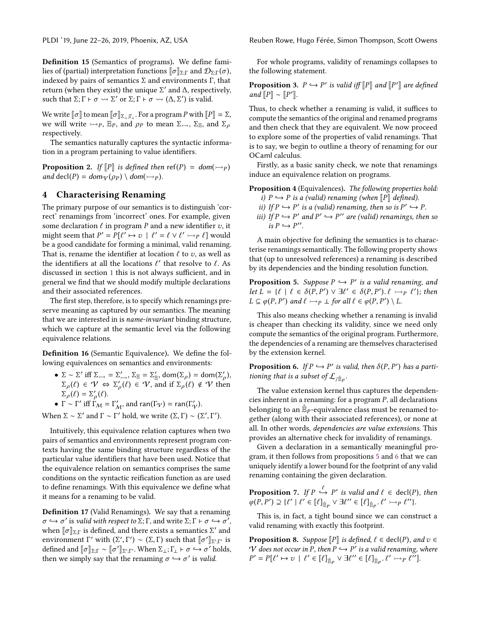Definition 15 (Semantics of programs). We define families of (partial) interpretation functions  $\llbracket \sigma \rrbracket_{\Sigma:\Gamma}$  and  $\mathcal{D}_{\Sigma:\Gamma}(\sigma)$ , indexed by pairs of semantics Σ and environments Γ, that return (when they exist) the unique  $\Sigma'$  and  $\Delta$ , respectively, such that  $\Sigma$ ;  $\Gamma \vdash \sigma \leadsto \Sigma'$  or  $\Sigma$ ;  $\Gamma \vdash \sigma \leadsto (\Delta, \Sigma')$  is valid.

We write  $\llbracket \sigma \rrbracket$  to mean  $\llbracket \sigma \rrbracket_{\Sigma_{\perp};\Gamma_{\perp}}$ . For a program P with  $\llbracket P \rrbracket = \Sigma$ , we will write  $\rightarrow P$ ,  $\mathbb{E}_P$ , and  $\rho_P$  to mean  $\Sigma \rightarrow \Sigma_E$ , and  $\Sigma_\rho$ respectively.

The semantics naturally captures the syntactic information in a program pertaining to value identifiers.

<span id="page-10-0"></span>**Proposition 2.** If  $\llbracket P \rrbracket$  is defined then ref(P) = dom( $\rightarrow$ P) and decl(P) =  $dom_{V}(\rho_{P}) \setminus dom(\rightarrowtail_{P})$ .

# 4 Characterising Renaming

The primary purpose of our semantics is to distinguish 'correct' renamings from 'incorrect' ones. For example, given some declaration  $\ell$  in program P and a new identifier  $v$ , it might seem that  $P' = P[\ell' \mapsto v \mid \ell' = \ell \vee \ell' \rightarrow_P \ell]$  would be a good candidate for forming a minimal, valid renaming. That is, rename the identifier at location  $\ell$  to  $v$ , as well as the identifiers at all the locations  $\ell'$  that resolve to  $\ell$ . As discussed in section [1](#page-0-0) this is not always sufficient, and in general we find that we should modify multiple declarations and their associated references.

The first step, therefore, is to specify which renamings preserve meaning as captured by our semantics. The meaning that we are interested in is name-invariant binding structure, which we capture at the semantic level via the following equivalence relations.

Definition 16 (Semantic Equivalence). We define the following equivalences on semantics and environments:

- $\Sigma \sim \Sigma'$  iff  $\Sigma \rightarrow \Sigma' \rightarrow \Sigma_{\mathbb{E}}$ ,  $\Sigma_{\mathbb{E}} = \Sigma'_{\mathbb{E}}$ , dom $(\Sigma_{\rho}) = \text{dom}(\Sigma'_{\rho})$ ,  $\Sigma_{\rho}(\ell) \in \mathcal{V} \Leftrightarrow \Sigma_{\rho}'(\ell) \in \mathcal{V}$ , and if  $\Sigma_{\rho}(\ell) \notin \mathcal{V}$  then  $\Sigma_{\rho}(\ell) = \Sigma_{\rho}'(\ell).$
- $\Gamma \sim \Gamma'$  iff  $\Gamma_M = \Gamma_M'$ , and ran( $\Gamma_V$ ) = ran( $\Gamma_V'$ ).

When  $\Sigma \sim \Sigma'$  and  $\Gamma \sim \Gamma'$  hold, we write  $(\Sigma, \Gamma) \sim (\Sigma', \Gamma').$ 

Intuitively, this equivalence relation captures when two pairs of semantics and environments represent program contexts having the same binding structure regardless of the particular value identifiers that have been used. Notice that the equivalence relation on semantics comprises the same conditions on the syntactic reification function as are used to define renamings. With this equivalence we define what it means for a renaming to be valid.

**Definition 17** (Valid Renamings). We say that a renaming  $\sigma \hookrightarrow \sigma'$  is valid with respect to  $\Sigma$ ;  $\Gamma$ , and write  $\Sigma$ ;  $\Gamma \vdash \sigma \hookrightarrow \sigma'$ , when  $[\![\sigma]\!]_{\Sigma;\Gamma}$  is defined, and there exists a semantics  $\Sigma'$  and environment  $\Gamma'$  with  $(\Sigma', \Gamma') \sim (\Sigma, \Gamma)$  such that  $[\![\sigma']\!]_{\Sigma';\Gamma'}$  is defined and  $[\![\sigma]\!]_{\Sigma;\Gamma} \sim [\![\sigma']\!]_{\Sigma';\Gamma'}.$  When  $\Sigma_{\bot};\Gamma_{\bot} \vdash \sigma \hookrightarrow \sigma'$  holds, then we simply say that the renaming  $\sigma \hookrightarrow \sigma'$  is valid.

PLDI '19, June 22-26, 2019, Phoenix, AZ, USA Reuben Rowe, Hugo Férée, Simon Thompson, Scott Owens

For whole programs, validity of renamings collapses to the following statement.

**Proposition 3.**  $P \hookrightarrow P'$  is valid iff  $\llbracket P \rrbracket$  and  $\llbracket P' \rrbracket$  are defined and  $[[P]] \sim [[P']]$ .

Thus, to check whether a renaming is valid, it suffices to compute the semantics of the original and renamed programs and then check that they are equivalent. We now proceed to explore some of the properties of valid renamings. That is to say, we begin to outline a theory of renaming for our OCaml calculus.

Firstly, as a basic sanity check, we note that renamings induce an equivalence relation on programs.

Proposition 4 (Equivalences). The following properties hold: i)  $P \hookrightarrow P$  is a (valid) renaming (when  $\llbracket P \rrbracket$  defined).

ii) If  $P \hookrightarrow P'$  is a (valid) renaming, then so is  $P' \hookrightarrow P$ .

iii) If  $P \hookrightarrow P'$  and  $P' \hookrightarrow P''$  are (valid) renamings, then so is  $P \hookrightarrow P''$ .

A main objective for defining the semantics is to characterise renamings semantically. The following property shows that (up to unresolved references) a renaming is described by its dependencies and the binding resolution function.

**Proposition 5.** Suppose  $P \hookrightarrow P'$  is a valid renaming, and let  $\overline{L} = \{ \ell \mid \ell \in \delta(P, P') \lor \exists \ell' \in \delta(P, P') \ldotp \ell \rightarrow_P \ell' \};$  then  $L \subseteq \varphi(P, P')$  and  $\ell \rightarrow_P \bot$  for all  $\ell \in \varphi(P, P') \setminus L$ .

This also means checking whether a renaming is invalid is cheaper than checking its validity, since we need only compute the semantics of the original program. Furthermore, the dependencies of a renaming are themselves characterised by the extension kernel.

**Proposition 6.** If  $P \hookrightarrow P'$  is valid, then  $\delta(P, P')$  has a partitioning that is a subset of  $\mathcal{L}_{/\hat{\mathbb{E}}_P}.$ 

The value extension kernel thus captures the dependencies inherent in a renaming: for a program  $P$ , all declarations belonging to an  $\hat{\mathbb{E}}_P$ -equivalence class must be renamed together (along with their associated references), or none at all. In other words, dependencies are value extensions. This provides an alternative check for invalidity of renamings.

Given a declaration in a semantically meaningful program, it then follows from propositions [5](#page-9-3) and [6](#page-9-1) that we can uniquely identify a lower bound for the footprint of any valid renaming containing the given declaration.

**Proposition** 7. If  $P \stackrel{\ell}{\hookrightarrow} P'$  is valid and  $\ell \in \text{dec}(P)$ , then  $\varphi(P, P') \supseteq \{\ell' \mid \ell' \in [\ell]_{\hat{\mathbb{E}}_P} \vee \exists \ell'' \in [\ell]_{\hat{\mathbb{E}}_P} . \ell' \rightarrow_P \ell'' \}.$ 

This is, in fact, a tight bound since we can construct a valid renaming with exactly this footprint.

**Proposition 8.** Suppose  $\llbracket P \rrbracket$  is defined,  $\ell \in \text{dec}(P)$ , and  $v \in$  $V$  does not occur in P, then  $P \hookrightarrow P'$  is a valid renaming, where  $P' = P[\ell' \mapsto v \mid \ell' \in [\ell]_{\hat{\mathbb{E}}_P} \vee \exists \ell'' \in [\ell]_{\hat{\mathbb{E}}_P} \cdot \ell' \rightarrow_P \ell'']$ .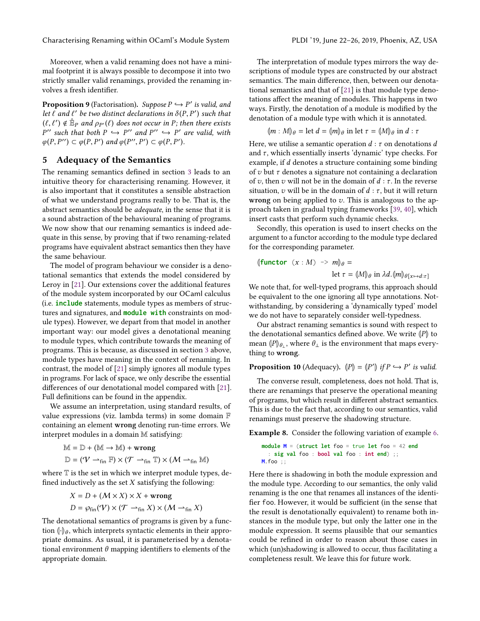Characterising Renaming within OCaml's Module System PLDI '19, June 22-26, 2019, Phoenix, AZ, USA

<span id="page-11-0"></span>Moreover, when a valid renaming does not have a minimal footprint it is always possible to decompose it into two strictly smaller valid renamings, provided the renaming involves a fresh identifier.

**Proposition 9** (Factorisation). Suppose  $P \hookrightarrow P'$  is valid, and let  $\ell$  and  $\ell'$  be two distinct declarations in  $\delta(P, P')$  such that  $(\ell, \ell') \notin \hat{\mathbb{E}}_P$  and  $\rho_{P'}(\ell)$  does not occur in P; then there exists  $P''$  such that both  $P \hookrightarrow P''$  and  $P'' \hookrightarrow P'$  are valid, with  $\varphi(P, P'') \subset \varphi(P, P')$  and  $\varphi(P'', P') \subset \varphi(P, P').$ 

## 5 Adequacy of the Semantics

The renaming semantics defined in section [3](#page-3-0) leads to an intuitive theory for characterising renaming. However, it is also important that it constitutes a sensible abstraction of what we understand programs really to be. That is, the abstract semantics should be adequate, in the sense that it is a sound abstraction of the behavioural meaning of programs. We now show that our renaming semantics is indeed adequate in this sense, by proving that if two renaming-related programs have equivalent abstract semantics then they have the same behaviour.

The model of program behaviour we consider is a denotational semantics that extends the model considered by Leroy in [\[21\]](#page-14-6). Our extensions cover the additional features of the module system incorporated by our OCaml calculus (i.e. **include** statements, module types as members of structures and signatures, and **module with** constraints on module types). However, we depart from that model in another important way: our model gives a denotational meaning to module types, which contribute towards the meaning of programs. This is because, as discussed in section [3](#page-3-0) above, module types have meaning in the context of renaming. In contrast, the model of [\[21\]](#page-14-6) simply ignores all module types in programs. For lack of space, we only describe the essential diferences of our denotational model compared with [\[21\]](#page-14-6). Full definitions can be found in the appendix.

We assume an interpretation, using standard results, of value expressions (viz. lambda terms) in some domain F containing an element wrong denoting run-time errors. We interpret modules in a domain M satisfying:

$$
\mathbb{M} = \mathbb{D} + (\mathbb{M} \to \mathbb{M}) + \mathbf{wrong}
$$
  

$$
\mathbb{D} = (\mathcal{V} \to_{fin} \mathbb{F}) \times (\mathcal{T} \to_{fin} \mathbb{T}) \times (\mathcal{M} \to_{fin} \mathbb{M})
$$

where T is the set in which we interpret module types, defined inductively as the set  $X$  satisfying the following:

$$
X = D + (M \times X) \times X + \text{wrong}
$$
  

$$
D = \wp_{fin}(\mathcal{V}) \times (\mathcal{T} \rightarrow_{fin} X) \times (M \rightarrow_{fin} X)
$$

The denotational semantics of programs is given by a function  $\lVert \cdot \rVert_{\theta}$ , which interprets syntactic elements in their appropriate domains. As usual, it is parameterised by a denotational environment  $\theta$  mapping identifiers to elements of the appropriate domain.

The interpretation of module types mirrors the way descriptions of module types are constructed by our abstract semantics. The main diference, then, between our denotational semantics and that of [\[21\]](#page-14-6) is that module type denotations afect the meaning of modules. This happens in two ways. Firstly, the denotation of a module is modified by the denotation of a module type with which it is annotated.

$$
(m : M)_{\theta} = \text{let } d = (m)_{\theta} \text{ in } \text{let } \tau = (M)_{\theta} \text{ in } d : \tau
$$

Here, we utilise a semantic operation  $d : \tau$  on denotations d and  $\tau$ , which essentially inserts 'dynamic' type checks. For example, if d denotes a structure containing some binding of v but  $\tau$  denotes a signature not containing a declaration of v, then v will not be in the domain of  $d : \tau$ . In the reverse situation, v will be in the domain of  $d : \tau$ , but it will return wrong on being applied to  $v$ . This is analogous to the approach taken in gradual typing frameworks [\[39,](#page-15-0) [40\]](#page-15-1), which insert casts that perform such dynamic checks.

Secondly, this operation is used to insert checks on the argument to a functor according to the module type declared for the corresponding parameter.

$$
\begin{array}{ll}\n\{\text{functor} & (x:M) \implies m\}_{\theta} = \\
\text{let } \tau = (M)_{\theta} \text{ in } \lambda d. (m)_{\theta[x \mapsto d:\tau]}\n\end{array}
$$

We note that, for well-typed programs, this approach should be equivalent to the one ignoring all type annotations. Notwithstanding, by considering a 'dynamically typed' model we do not have to separately consider well-typedness.

Our abstract renaming semantics is sound with respect to the denotational semantics defined above. We write  $\langle P \rangle$  to mean  $\langle P\rangle_{\theta_\perp},$  where  $\theta_\perp$  is the environment that maps everything to wrong.

**Proposition 10** (Adequacy).  $\langle P \rangle = \langle P' \rangle$  if  $P \hookrightarrow P'$  is valid.

The converse result, completeness, does not hold. That is, there are renamings that preserve the operational meaning of programs, but which result in diferent abstract semantics. This is due to the fact that, according to our semantics, valid renamings must preserve the shadowing structure.

Example 8. Consider the following variation of example [6.](#page-8-0)

**module M** = (**struct let** foo = true **let** foo = 42 **end** : **sig val** foo : **bool val** foo : **int end**) ;; **M**.foo ;;

Here there is shadowing in both the module expression and the module type. According to our semantics, the only valid renaming is the one that renames all instances of the identifier foo. However, it would be sufficient (in the sense that the result is denotationally equivalent) to rename both instances in the module type, but only the latter one in the module expression. It seems plausible that our semantics could be refined in order to reason about those cases in which (un)shadowing is allowed to occur, thus facilitating a completeness result. We leave this for future work.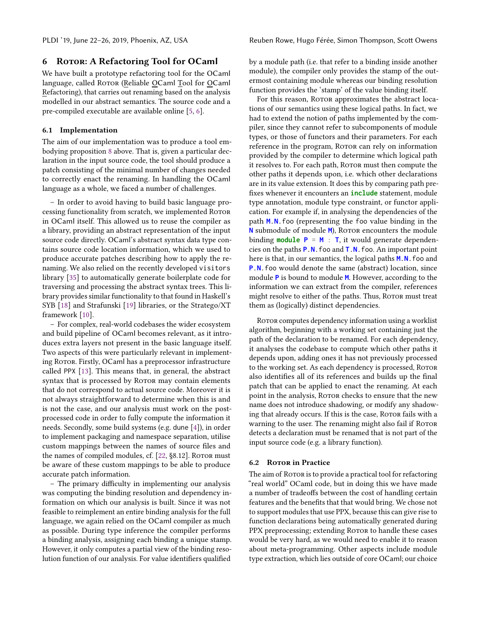## 6 ROTOR: A Refactoring Tool for OCaml

We have built a prototype refactoring tool for the OCaml language, called ROTOR (Reliable OCaml Tool for OCaml Refactoring), that carries out renaming based on the analysis modelled in our abstract semantics. The source code and a pre-compiled executable are available online [\[5,](#page-14-7) [6\]](#page-14-8).

#### 6.1 Implementation

The aim of our implementation was to produce a tool embodying proposition [8](#page-9-2) above. That is, given a particular declaration in the input source code, the tool should produce a patch consisting of the minimal number of changes needed to correctly enact the renaming. In handling the OCaml language as a whole, we faced a number of challenges.

- In order to avoid having to build basic language processing functionality from scratch, we implemented ROTOR in OCaml itself. This allowed us to reuse the compiler as a library, providing an abstract representation of the input source code directly. OCaml's abstract syntax data type contains source code location information, which we used to produce accurate patches describing how to apply the renaming. We also relied on the recently developed visitors library [\[35\]](#page-14-9) to automatically generate boilerplate code for traversing and processing the abstract syntax trees. This library provides similar functionality to that found in Haskell's SYB [\[18\]](#page-14-10) and Strafunski [\[19\]](#page-14-11) libraries, or the Stratego/XT framework [\[10\]](#page-14-12).

- For complex, real-world codebases the wider ecosystem and build pipeline of OCaml becomes relevant, as it introduces extra layers not present in the basic language itself. Two aspects of this were particularly relevant in implementing ROTOR. Firstly, OCaml has a preprocessor infrastructure called PPX [\[13\]](#page-14-13). This means that, in general, the abstract syntax that is processed by ROTOR may contain elements that do not correspond to actual source code. Moreover it is not always straightforward to determine when this is and is not the case, and our analysis must work on the postprocessed code in order to fully compute the information it needs. Secondly, some build systems (e.g. dune [\[4\]](#page-14-14)), in order to implement packaging and namespace separation, utilise custom mappings between the names of source files and the names of compiled modules, cf. [\[22,](#page-14-1) §8.12]. Rotor must be aware of these custom mappings to be able to produce accurate patch information.

<span id="page-12-0"></span>- The primary difficulty in implementing our analysis was computing the binding resolution and dependency information on which our analysis is built. Since it was not feasible to reimplement an entire binding analysis for the full language, we again relied on the OCaml compiler as much as possible. During type inference the compiler performs a binding analysis, assigning each binding a unique stamp. However, it only computes a partial view of the binding resolution function of our analysis. For value identifiers qualified

<span id="page-12-1"></span>by a module path (i.e. that refer to a binding inside another module), the compiler only provides the stamp of the outermost containing module whereas our binding resolution function provides the 'stamp' of the value binding itself.

For this reason, ROTOR approximates the abstract locations of our semantics using these logical paths. In fact, we had to extend the notion of paths implemented by the compiler, since they cannot refer to subcomponents of module types, or those of functors and their parameters. For each reference in the program, ROTOR can rely on information provided by the compiler to determine which logical path it resolves to. For each path, ROTOR must then compute the other paths it depends upon, i.e. which other declarations are in its value extension. It does this by comparing path prefixes whenever it encounters an *include* statement, module type annotation, module type constraint, or functor application. For example if, in analysing the dependencies of the path **M**.**N**.foo (representing the foo value binding in the **N** submodule of module **M**), ROTOR encounters the module binding **module**  $P = M$  : **T**, it would generate dependencies on the paths **P**.**N**.foo and **T**.**N**.foo. An important point here is that, in our semantics, the logical paths **M**.**N**.foo and **P**.**N**.foo would denote the same (abstract) location, since module **P** is bound to module **M**. However, according to the information we can extract from the compiler, references might resolve to either of the paths. Thus, Roror must treat them as (logically) distinct dependencies.

ROTOR computes dependency information using a worklist algorithm, beginning with a working set containing just the path of the declaration to be renamed. For each dependency, it analyses the codebase to compute which other paths it depends upon, adding ones it has not previously processed to the working set. As each dependency is processed, ROTOR also identifies all of its references and builds up the final patch that can be applied to enact the renaming. At each point in the analysis, ROTOR checks to ensure that the new name does not introduce shadowing, or modify any shadowing that already occurs. If this is the case, ROTOR fails with a warning to the user. The renaming might also fail if ROTOR detects a declaration must be renamed that is not part of the input source code (e.g. a library function).

#### 6.2 ROTOR in Practice

The aim of ROTOR is to provide a practical tool for refactoring "real world" OCaml code, but in doing this we have made a number of tradeofs between the cost of handling certain features and the benefits that that would bring. We chose not to support modules that use PPX, because this can give rise to function declarations being automatically generated during PPX preprocessing; extending ROTOR to handle these cases would be very hard, as we would need to enable it to reason about meta-programming. Other aspects include module type extraction, which lies outside of core OCaml; our choice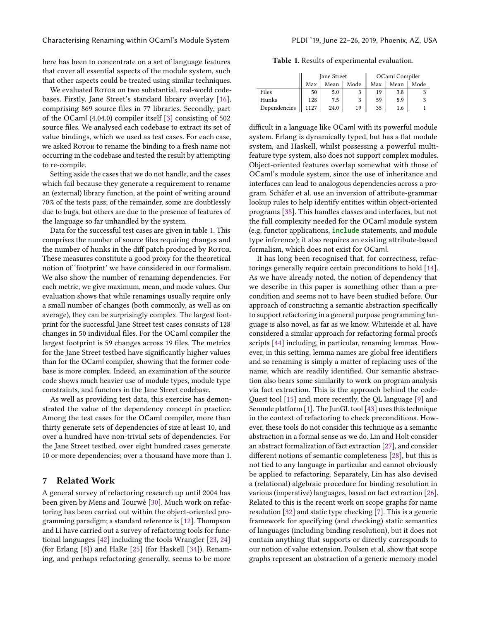Characterising Renaming within OCaml's Module System PLDI '19, June 22-26, 2019, Phoenix, AZ, USA

here has been to concentrate on a set of language features that cover all essential aspects of the module system, such that other aspects could be treated using similar techniques.

We evaluated ROTOR on two substantial, real-world codebases. Firstly, Jane Street's standard library overlay [\[16\]](#page-14-15), comprising 869 source files in 77 libraries. Secondly, part of the OCaml (4.04.0) compiler itself [\[3\]](#page-14-16) consisting of 502 source files. We analysed each codebase to extract its set of value bindings, which we used as test cases. For each case, we asked ROTOR to rename the binding to a fresh name not occurring in the codebase and tested the result by attempting to re-compile.

Setting aside the cases that we do not handle, and the cases which fail because they generate a requirement to rename an (external) library function, at the point of writing around 70% of the tests pass; of the remainder, some are doubtlessly due to bugs, but others are due to the presence of features of the language so far unhandled by the system.

<span id="page-13-0"></span>Data for the successful test cases are given in table [1.](#page-12-1) This comprises the number of source files requiring changes and the number of hunks in the diff patch produced by ROTOR. These measures constitute a good proxy for the theoretical notion of 'footprint' we have considered in our formalism. We also show the number of renaming dependencies. For each metric, we give maximum, mean, and mode values. Our evaluation shows that while renamings usually require only a small number of changes (both commonly, as well as on average), they can be surprisingly complex. The largest footprint for the successful Jane Street test cases consists of 128 changes in 50 individual files. For the OCaml compiler the largest footprint is 59 changes across 19 files. The metrics for the Jane Street testbed have significantly higher values than for the OCaml compiler, showing that the former codebase is more complex. Indeed, an examination of the source code shows much heavier use of module types, module type constraints, and functors in the Jane Street codebase.

As well as providing test data, this exercise has demonstrated the value of the dependency concept in practice. Among the test cases for the OCaml compiler, more than thirty generate sets of dependencies of size at least 10, and over a hundred have non-trivial sets of dependencies. For the Jane Street testbed, over eight hundred cases generate 10 or more dependencies; over a thousand have more than 1.

## 7 Related Work

A general survey of refactoring research up until 2004 has been given by Mens and Tourwé [\[30\]](#page-14-17). Much work on refactoring has been carried out within the object-oriented programming paradigm; a standard reference is [\[12\]](#page-14-0). Thompson and Li have carried out a survey of refactoring tools for functional languages [\[42\]](#page-15-2) including the tools Wrangler [\[23,](#page-14-18) [24\]](#page-14-19) (for Erlang [\[8\]](#page-14-20)) and HaRe [\[25\]](#page-14-21) (for Haskell [\[34\]](#page-14-22)). Renaming, and perhaps refactoring generally, seems to be more

Table 1. Results of experimental evaluation.

|              | Jane Street |      |      | OCaml Compiler |      |      |
|--------------|-------------|------|------|----------------|------|------|
|              | Max         | Mean | Mode | Max            | Mean | Mode |
| Files        | 50          | 5.0  |      | 19             | 3.8  |      |
| Hunks        | 128         | 7.5  | 3    | 59             | 5.9  |      |
| Dependencies | 1127        | 24.0 | 19   | 35             | 1.6  |      |

difficult in a language like OCaml with its powerful module system. Erlang is dynamically typed, but has a flat module system, and Haskell, whilst possessing a powerful multifeature type system, also does not support complex modules. Object-oriented features overlap somewhat with those of OCaml's module system, since the use of inheritance and interfaces can lead to analogous dependencies across a program. Schäfer et al. use an inversion of attribute-grammar lookup rules to help identify entities within object-oriented programs [\[38\]](#page-15-3). This handles classes and interfaces, but not the full complexity needed for the OCaml module system (e.g. functor applications, **include** statements, and module type inference); it also requires an existing attribute-based formalism, which does not exist for OCaml.

<span id="page-13-1"></span>It has long been recognised that, for correctness, refactorings generally require certain preconditions to hold [\[14\]](#page-14-23). As we have already noted, the notion of dependency that we describe in this paper is something other than a precondition and seems not to have been studied before. Our approach of constructing a semantic abstraction specifically to support refactoring in a general purpose programming language is also novel, as far as we know. Whiteside et al. have considered a similar approach for refactoring formal proofs scripts [\[44\]](#page-15-4) including, in particular, renaming lemmas. However, in this setting, lemma names are global free identifiers and so renaming is simply a matter of replacing uses of the name, which are readily identified. Our semantic abstraction also bears some similarity to work on program analysis via fact extraction. This is the approach behind the code-Quest tool [\[15\]](#page-14-24) and, more recently, the QL language [\[9\]](#page-14-25) and Semmle platform [\[1\]](#page-14-26). The JunGL tool [\[43\]](#page-15-5) uses this technique in the context of refactoring to check preconditions. However, these tools do not consider this technique as a semantic abstraction in a formal sense as we do. Lin and Holt consider an abstract formalization of fact extraction [\[27\]](#page-14-27), and consider diferent notions of semantic completeness [\[28\]](#page-14-28), but this is not tied to any language in particular and cannot obviously be applied to refactoring. Separately, Lin has also devised a (relational) algebraic procedure for binding resolution in various (imperative) languages, based on fact extraction [\[26\]](#page-14-29). Related to this is the recent work on scope graphs for name resolution [\[32\]](#page-14-30) and static type checking [\[7\]](#page-14-31). This is a generic framework for specifying (and checking) static semantics of languages (including binding resolution), but it does not contain anything that supports or directly corresponds to our notion of value extension. Poulsen et al. show that scope graphs represent an abstraction of a generic memory model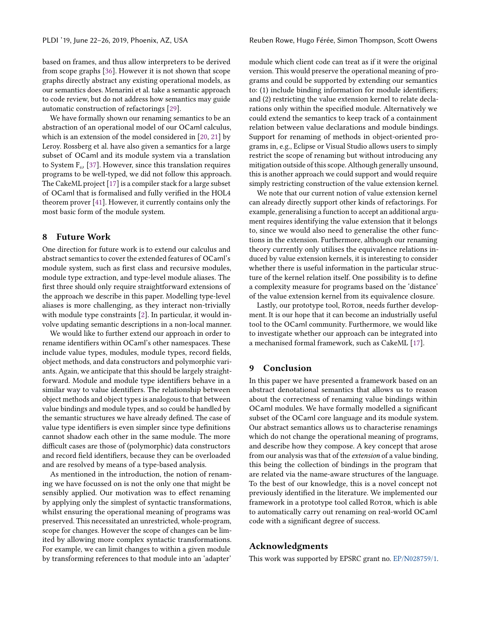<span id="page-14-34"></span><span id="page-14-26"></span>based on frames, and thus allow interpreters to be derived from scope graphs [\[36\]](#page-15-6). However it is not shown that scope graphs directly abstract any existing operational models, as our semantics does. Menarini et al. take a semantic approach to code review, but do not address how semantics may guide automatic construction of refactorings [\[29\]](#page-14-32).

<span id="page-14-31"></span><span id="page-14-16"></span><span id="page-14-14"></span><span id="page-14-8"></span><span id="page-14-7"></span>We have formally shown our renaming semantics to be an abstraction of an operational model of our OCaml calculus, which is an extension of the model considered in [\[20,](#page-14-5) [21\]](#page-14-6) by Leroy. Rossberg et al. have also given a semantics for a large subset of OCaml and its module system via a translation to System  $F_{\omega}$  [\[37\]](#page-15-7). However, since this translation requires programs to be well-typed, we did not follow this approach. The CakeML project [\[17\]](#page-14-33) is a compiler stack for a large subset of OCaml that is formalised and fully verified in the HOL4 theorem prover [\[41\]](#page-15-8). However, it currently contains only the most basic form of the module system.

## <span id="page-14-25"></span><span id="page-14-20"></span>8 Future Work

<span id="page-14-12"></span><span id="page-14-4"></span>One direction for future work is to extend our calculus and abstract semantics to cover the extended features of OCaml's module system, such as first class and recursive modules, module type extraction, and type-level module aliases. The first three should only require straightforward extensions of the approach we describe in this paper. Modelling type-level aliases is more challenging, as they interact non-trivially with module type constraints [\[2\]](#page-14-34). In particular, it would involve updating semantic descriptions in a non-local manner.

<span id="page-14-24"></span><span id="page-14-23"></span><span id="page-14-13"></span><span id="page-14-0"></span>We would like to further extend our approach in order to rename identifiers within OCaml's other namespaces. These include value types, modules, module types, record fields, object methods, and data constructors and polymorphic variants. Again, we anticipate that this should be largely straightforward. Module and module type identifiers behave in a similar way to value identifiers. The relationship between object methods and object types is analogous to that between value bindings and module types, and so could be handled by the semantic structures we have already defined. The case of value type identifiers is even simpler since type definitions cannot shadow each other in the same module. The more difficult cases are those of (polymorphic) data constructors and record field identifiers, because they can be overloaded and are resolved by means of a type-based analysis.

<span id="page-14-33"></span><span id="page-14-15"></span><span id="page-14-11"></span><span id="page-14-10"></span>As mentioned in the introduction, the notion of renaming we have focussed on is not the only one that might be sensibly applied. Our motivation was to effect renaming by applying only the simplest of syntactic transformations, whilst ensuring the operational meaning of programs was preserved. This necessitated an unrestricted, whole-program, scope for changes. However the scope of changes can be limited by allowing more complex syntactic transformations. For example, we can limit changes to within a given module by transforming references to that module into an 'adapter'

<span id="page-14-6"></span><span id="page-14-5"></span>module which client code can treat as if it were the original version. This would preserve the operational meaning of programs and could be supported by extending our semantics to: (1) include binding information for module identifiers; and (2) restricting the value extension kernel to relate declarations only within the specified module. Alternatively we could extend the semantics to keep track of a containment relation between value declarations and module bindings. Support for renaming of methods in object-oriented programs in, e.g., Eclipse or Visual Studio allows users to simply restrict the scope of renaming but without introducing any mitigation outside of this scope. Although generally unsound, this is another approach we could support and would require simply restricting construction of the value extension kernel.

<span id="page-14-19"></span><span id="page-14-18"></span><span id="page-14-1"></span>We note that our current notion of value extension kernel can already directly support other kinds of refactorings. For example, generalising a function to accept an additional argument requires identifying the value extension that it belongs to, since we would also need to generalise the other functions in the extension. Furthermore, although our renaming theory currently only utilises the equivalence relations induced by value extension kernels, it is interesting to consider whether there is useful information in the particular structure of the kernel relation itself. One possibility is to define a complexity measure for programs based on the 'distance' of the value extension kernel from its equivalence closure.

<span id="page-14-29"></span><span id="page-14-28"></span><span id="page-14-27"></span><span id="page-14-21"></span>Lastly, our prototype tool, ROTOR, needs further development. It is our hope that it can become an industrially useful tool to the OCaml community. Furthermore, we would like to investigate whether our approach can be integrated into a mechanised formal framework, such as CakeML [\[17\]](#page-14-33).

# <span id="page-14-32"></span>9 Conclusion

<span id="page-14-30"></span><span id="page-14-17"></span><span id="page-14-2"></span>In this paper we have presented a framework based on an abstract denotational semantics that allows us to reason about the correctness of renaming value bindings within OCaml modules. We have formally modelled a significant subset of the OCaml core language and its module system. Our abstract semantics allows us to characterise renamings which do not change the operational meaning of programs, and describe how they compose. A key concept that arose from our analysis was that of the extension of a value binding, this being the collection of bindings in the program that are related via the name-aware structures of the language. To the best of our knowledge, this is a novel concept not previously identified in the literature. We implemented our framework in a prototype tool called ROTOR, which is able to automatically carry out renaming on real-world OCaml code with a significant degree of success.

# <span id="page-14-22"></span><span id="page-14-9"></span><span id="page-14-3"></span>Acknowledgments

This work was supported by EPSRC grant no. [EP/N028759/1.](https://gow.epsrc.ukri.org/NGBOViewGrant.aspx?GrantRef=EP/N028759/1)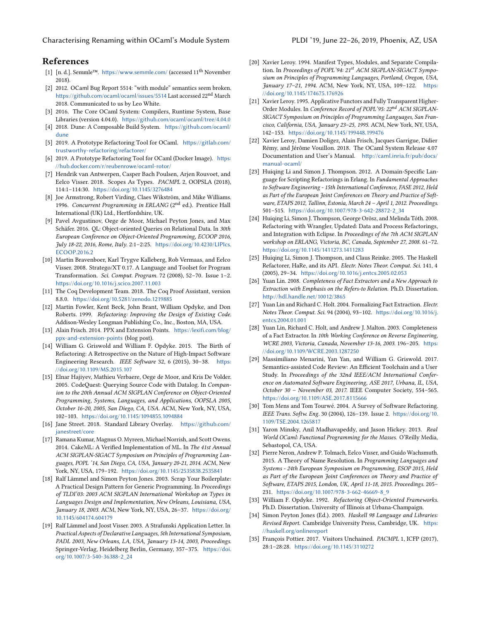Characterising Renaming within OCaml's Module System PLDI '19, June 22–26, 2019, Phoenix, AZ, USA

## <span id="page-15-6"></span>References

- [1] [n. d.]. Semmle™. [htps://www.semmle.com/](https://www.semmle.com/) (accessed 11th November 2018).
- <span id="page-15-7"></span>[2] 2012. OCaml Bug Report 5514: "with module" semantics seem broken. https://github.com/ocaml/ocaml/issues/5514 Last accessed 22<sup>nd</sup> March 2018. Communicated to us by Leo White.
- [3] 2016. The Core OCaml System: Compilers, Runtime System, Base Libraries (version 4.04.0). https://github.com/ocaml/ocaml/tree/4.04.0
- <span id="page-15-3"></span>[4] 2018. Dune: A Composable Build System. [htps://github.com/ocaml/](https://github.com/ocaml/dune) [dune](https://github.com/ocaml/dune)
- [5] 2019. A Prototype Refactoring Tool for OCaml. [htps://gitlab.com/](https://gitlab.com/trustworthy-refactoring/refactorer/) [trustworthy-refactoring/refactorer/](https://gitlab.com/trustworthy-refactoring/refactorer/)
- <span id="page-15-0"></span>[6] 2019. A Prototype Refactoring Tool for OCaml (Docker Image). https: [//hub.docker.com/r/reubenrowe/ocaml-rotor/](https://hub.docker.com/r/reubenrowe/ocaml-rotor/)
- [7] Hendrik van Antwerpen, Casper Bach Poulsen, Arjen Rouvoet, and Eelco Visser. 2018. Scopes As Types. PACMPL 2, OOPSLA (2018), 114:1-114:30. https://doi.org/10.1145/3276484
- [8] Joe Armstrong, Robert Virding, Claes Wikström, and Mike Williams. 1996. Concurrent Programming in ERLANG (2<sup>nd</sup> ed.). Prentice Hall International (UK) Ltd., Hertfordshire, UK.
- [9] Pavel Avgustinov, Oege de Moor, Michael Peyton Jones, and Max Schäfer. 2016. QL: Object-oriented Queries on Relational Data. In 30th European Conference on Object-Oriented Programming, ECOOP 2016, July 18-22, 2016, Rome, Italy. 2:1-2:25. https://doi.org/10.4230/LIPIcs. [ECOOP.2016.2](https://doi.org/10.4230/LIPIcs.ECOOP.2016.2)
- [10] Martin Bravenboer, Karl Trygve Kalleberg, Rob Vermaas, and Eelco Visser. 2008. Stratego/XT 0.17. A Language and Toolset for Program Transformation. Sci. Comput. Program. 72 (2008), 52-70. Issue 1-2. [htps://doi.org/10.1016/j.scico.2007.11.003](https://doi.org/10.1016/j.scico.2007.11.003)
- [11] The Coq Development Team. 2018. The Coq Proof Assistant, version 8.8.0. [htps://doi.org/10.5281/zenodo.1219885](https://doi.org/10.5281/zenodo.1219885)
- [12] Martin Fowler, Kent Beck, John Brant, William Opdyke, and Don Roberts. 1999. Refactoring: Improving the Design of Existing Code. Addison-Wesley Longman Publishing Co., Inc., Boston, MA, USA.
- [13] Alain Frisch. 2014. PPX and Extension Points. https://lexifi.com/blog/ [ppx-and-extension-points](https://lexifi.com/blog/ppx-and-extension-points) (blog post).
- [14] William G. Griswold and William F. Opdyke. 2015. The Birth of Refactoring: A Retrospective on the Nature of High-Impact Software Engineering Research. IEEE Software 32, 6 (2015), 30-38. https: [//doi.org/10.1109/MS.2015.107](https://doi.org/10.1109/MS.2015.107)
- [15] Elnar Hajiyev, Mathieu Verbaere, Oege de Moor, and Kris De Volder. 2005. CodeQuest: Querying Source Code with Datalog. In Companion to the 20th Annual ACM SIGPLAN Conference on Object-Oriented Programming, Systems, Languages, and Applications, OOPSLA 2005, October 16-20, 2005, San Diego, CA, USA. ACM, New York, NY, USA, 102-103. https://doi.org/10.1145/1094855.1094884
- [16] Jane Street. 2018. Standard Library Overlay. [htps://github.com/](https://github.com/janestreet/core) [janestreet/core](https://github.com/janestreet/core)
- [17] Ramana Kumar, Magnus O. Myreen, Michael Norrish, and Scott Owens. 2014. CakeML: A Verified Implementation of ML. In The 41st Annual ACM SIGPLAN-SIGACT Symposium on Principles of Programming Languages, POPL '14, San Diego, CA, USA, January 20-21, 2014. ACM, New York, NY, USA, 179-192. https://doi.org/10.1145/2535838.2535841
- [18] Ralf Lämmel and Simon Peyton Jones. 2003. Scrap Your Boilerplate: A Practical Design Pattern for Generic Programming. In Proceedings of TLDI'03: 2003 ACM SIGPLAN International Workshop on Types in Languages Design and Implementation, New Orleans, Louisiana, USA, January 18, 2003. ACM, New York, NY, USA, 26-37. https://doi.org/ [10.1145/604174.604179](https://doi.org/10.1145/604174.604179)
- [19] Ralf Lämmel and Joost Visser. 2003. A Strafunski Application Letter. In Practical Aspects of Declarative Languages, 5th International Symposium, PADL 2003, New Orleans, LA, USA, January 13-14, 2003, Proceedings. Springer-Verlag, Heidelberg Berlin, Germany, 357-375. https://doi. [org/10.1007/3-540-36388-2\\_24](https://doi.org/10.1007/3-540-36388-2_24)
- <span id="page-15-1"></span>[20] Xavier Leroy. 1994. Manifest Types, Modules, and Separate Compilation. In Proceedings of POPL'94: 21st ACM SIGPLAN-SIGACT Symposium on Principles of Programming Languages, Portland, Oregon, USA, January 17-21, 1994. ACM, New York, NY, USA, 109-122. https: [//doi.org/10.1145/174675.176926](https://doi.org/10.1145/174675.176926)
- <span id="page-15-8"></span>[21] Xavier Leroy. 1995. Applicative Functors and Fully Transparent Higher-Order Modules. In Conference Record of POPL'95: 22nd ACM SIGPLAN-SIGACT Symposium on Principles of Programming Languages, San Francisco, California, USA, January 23-25, 1995. ACM, New York, NY, USA, 142-153. https://doi.org/10.1145/199448.199476
- <span id="page-15-5"></span><span id="page-15-2"></span>[22] Xavier Leroy, Damien Doligez, Alain Frisch, Jacques Garrigue, Didier Rémy, and Jérôme Vouillon. 2018. The OCaml System Release 4.07 Documentation and User's Manual. [htp://caml.inria.fr/pub/docs/](http://caml.inria.fr/pub/docs/manual-ocaml/) [manual-ocaml/](http://caml.inria.fr/pub/docs/manual-ocaml/)
- <span id="page-15-4"></span>[23] Huiqing Li and Simon J. Thompson. 2012. A Domain-Specific Language for Scripting Refactorings in Erlang. In Fundamental Approaches to Software Engineering - 15th International Conference, FASE 2012, Held as Part of the European Joint Conferences on Theory and Practice of Software, ETAPS 2012, Tallinn, Estonia, March 24 - April 1, 2012. Proceedings. 501-515. https://doi.org/10.1007/978-3-642-28872-2\_34
- [24] Huiqing Li, Simon J. Thompson, George Orösz, and Melinda Tóth. 2008. Refactoring with Wrangler, Updated: Data and Process Refactorings, and Integration with Eclipse. In Proceedings of the 7th ACM SIGPLAN workshop on ERLANG, Victoria, BC, Canada, September 27, 2008. 61-72. [htps://doi.org/10.1145/1411273.1411283](https://doi.org/10.1145/1411273.1411283)
- [25] Huiqing Li, Simon J. Thompson, and Claus Reinke. 2005. The Haskell Refactorer, HaRe, and its API. Electr. Notes Theor. Comput. Sci. 141, 4 (2005), 29-34. https://doi.org/10.1016/j.entcs.2005.02.053
- [26] Yuan Lin. 2008. Completeness of Fact Extractors and a New Approach to Extraction with Emphasis on the Refers-to Relation. Ph.D. Dissertation. [htp://hdl.handle.net/10012/3865](http://hdl.handle.net/10012/3865)
- [27] Yuan Lin and Richard C. Holt. 2004. Formalizing Fact Extraction. Electr. Notes Theor. Comput. Sci. 94 (2004), 93-102. https://doi.org/10.1016/j. [entcs.2004.01.001](https://doi.org/10.1016/j.entcs.2004.01.001)
- [28] Yuan Lin, Richard C. Holt, and Andrew J. Malton. 2003. Completeness of a Fact Extractor. In 10th Working Conference on Reverse Engineering, WCRE 2003, Victoria, Canada, November 13-16, 2003. 196-205. https: [//doi.org/10.1109/WCRE.2003.1287250](https://doi.org/10.1109/WCRE.2003.1287250)
- [29] Massimiliano Menarini, Yan Yan, and William G. Griswold. 2017. Semantics-assisted Code Review: An Efficient Toolchain and a User Study. In Proceedings of the 32nd IEEE/ACM International Conference on Automated Software Engineering, ASE 2017, Urbana, IL, USA, October 30 - November 03, 2017. IEEE Computer Society, 554-565. [htps://doi.org/10.1109/ASE.2017.8115666](https://doi.org/10.1109/ASE.2017.8115666)
- [30] Tom Mens and Tom Tourwé. 2004. A Survey of Software Refactoring. IEEE Trans. Softw. Eng. 30 (2004), 126-139. Issue 2. https://doi.org/10. [1109/TSE.2004.1265817](https://doi.org/10.1109/TSE.2004.1265817)
- [31] Yaron Minsky, Anil Madhavapeddy, and Jason Hickey. 2013. Real World OCaml: Functional Programming for the Masses. O'Reilly Media, Sebastopol, CA, USA.
- [32] Pierre Neron, Andrew P. Tolmach, Eelco Visser, and Guido Wachsmuth. 2015. A Theory of Name Resolution. In Programming Languages and Systems - 24th European Symposium on Programming, ESOP 2015, Held as Part of the European Joint Conferences on Theory and Practice of Software, ETAPS 2015, London, UK, April 11-18, 2015. Proceedings. 205-231. [htps://doi.org/10.1007/978-3-662-46669-8\\_9](https://doi.org/10.1007/978-3-662-46669-8_9)
- [33] William F. Opdyke. 1992. Refactoring Object-Oriented Frameworks. Ph.D. Dissertation. University of Illinois at Urbana-Champaign.
- [34] Simon Peyton Jones (Ed.). 2003. Haskell 98 Language and Libraries: Revised Report. Cambridge University Press, Cambridge, UK. [htps:](https://haskell.org/onlinereport) [//haskell.org/onlinereport](https://haskell.org/onlinereport)
- [35] François Pottier. 2017. Visitors Unchained. PACMPL 1, ICFP (2017), 28:1-28:28. https://doi.org/10.1145/3110272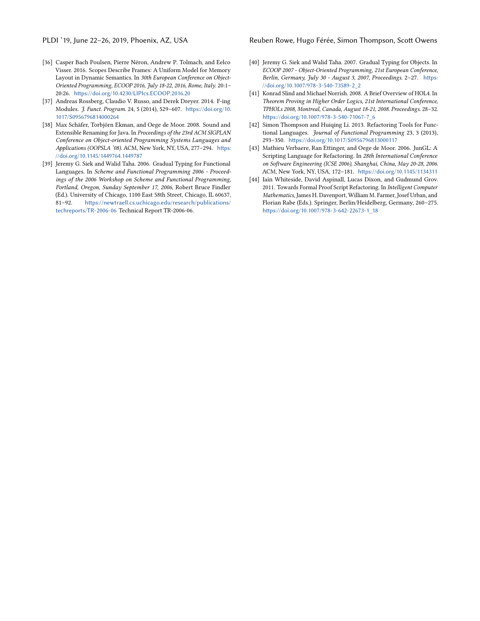#### PLDI '19, June 22-26, 2019, Phoenix, AZ, USA Reuben Rowe, Hugo Férée, Simon Thompson, Scott Owens

- [36] Casper Bach Poulsen, Pierre Néron, Andrew P. Tolmach, and Eelco Visser. 2016. Scopes Describe Frames: A Uniform Model for Memory Layout in Dynamic Semantics. In 30th European Conference on Object-Oriented Programming, ECOOP 2016, July 18-22, 2016, Rome, Italy. 20:1-20:26. [htps://doi.org/10.4230/LIPIcs.ECOOP.2016.20](https://doi.org/10.4230/LIPIcs.ECOOP.2016.20)
- [37] Andreas Rossberg, Claudio V. Russo, and Derek Dreyer. 2014. F-ing Modules. *J. Funct. Program.* 24, 5 (2014), 529-607. https://doi.org/10. [1017/S0956796814000264](https://doi.org/10.1017/S0956796814000264)
- [38] Max Schäfer, Torbjörn Ekman, and Oege de Moor. 2008. Sound and Extensible Renaming for Java. In Proceedings of the 23rd ACM SIGPLAN Conference on Object-oriented Programming Systems Languages and Applications (OOPSLA '08). ACM, New York, NY, USA, 277-294. https: [//doi.org/10.1145/1449764.1449787](https://doi.org/10.1145/1449764.1449787)
- <span id="page-16-0"></span>[39] Jeremy G. Siek and Walid Taha. 2006. Gradual Typing for Functional Languages. In Scheme and Functional Programming 2006 - Proceedings of the 2006 Workshop on Scheme and Functional Programming, Portland, Oregon, Sunday September 17, 2006, Robert Bruce Findler (Ed.). University of Chicago, 1100 East 58th Street, Chicago, IL 60637, 81-92. https://newtraell.cs.uchicago.edu/research/publications/ [techreports/TR-2006-06](https://newtraell.cs.uchicago.edu/research/publications/techreports/TR-2006-06) Technical Report TR-2006-06.
- [40] Jeremy G. Siek and Walid Taha. 2007. Gradual Typing for Objects. In ECOOP 2007 - Object-Oriented Programming, 21st European Conference, Berlin, Germany, July 30 - August 3, 2007, Proceedings. 2-27. https: [//doi.org/10.1007/978-3-540-73589-2\\_2](https://doi.org/10.1007/978-3-540-73589-2_2)
- [41] Konrad Slind and Michael Norrish. 2008. A Brief Overview of HOL4. In Theorem Proving in Higher Order Logics, 21st International Conference, TPHOLs 2008, Montreal, Canada, August 18-21, 2008. Proceedings. 28-32. [htps://doi.org/10.1007/978-3-540-71067-7\\_6](https://doi.org/10.1007/978-3-540-71067-7_6)
- <span id="page-16-1"></span>[42] Simon Thompson and Huiqing Li. 2013. Refactoring Tools for Functional Languages. Journal of Functional Programming 23, 3 (2013), 293-350. https://doi.org/10.1017/S0956796813000117
- [43] Mathieu Verbaere, Ran Ettinger, and Oege de Moor. 2006. JunGL: A Scripting Language for Refactoring. In 28th International Conference on Software Engineering (ICSE 2006), Shanghai, China, May 20-28, 2006. ACM, New York, NY, USA, 172-181. https://doi.org/10.1145/1134311
- <span id="page-16-3"></span><span id="page-16-2"></span>[44] Iain Whiteside, David Aspinall, Lucas Dixon, and Gudmund Grov. 2011. Towards Formal Proof Script Refactoring. In Intelligent Computer Mathematics, James H. Davenport, William M. Farmer, Josef Urban, and Florian Rabe (Eds.). Springer, Berlin/Heidelberg, Germany, 260-275. [htps://doi.org/10.1007/978-3-642-22673-1\\_18](https://doi.org/10.1007/978-3-642-22673-1_18)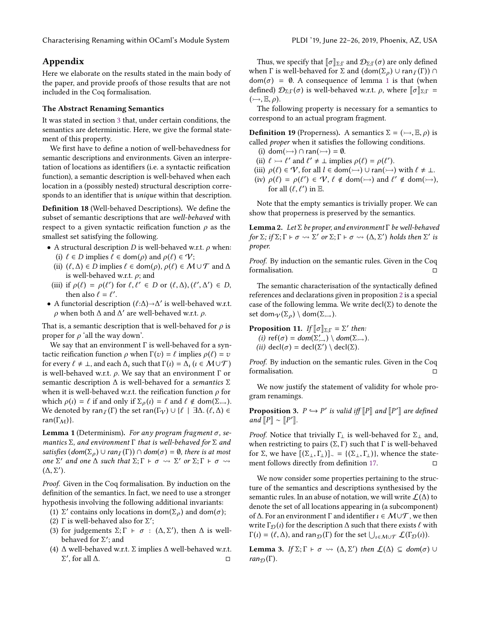<span id="page-17-9"></span>Here we elaborate on the results stated in the main body of the paper, and provide proofs of those results that are not included in the Coq formalisation.

#### The Abstract Renaming Semantics

It was stated in section [3](#page-3-0) that, under certain conditions, the semantics are deterministic. Here, we give the formal statement of this property.

We first have to define a notion of well-behavedness for semantic descriptions and environments. Given an interpretation of locations as identifiers (i.e. a syntactic reification function), a semantic description is well-behaved when each location in a (possibly nested) structural description corresponds to an identifier that is *unique* within that description.

Definition 18 (Well-behaved Descriptions). We define the subset of semantic descriptions that are well-behaved with respect to a given syntactic reification function  $\rho$  as the smallest set satisfying the following.

- A structural description D is well-behaved w.r.t.  $\rho$  when: (i)  $\ell \in D$  implies  $\ell \in \text{dom}(\rho)$  and  $\rho(\ell) \in \mathcal{V}$ ;
	- (ii)  $(\ell, \Delta) \in D$  implies  $\ell \in \text{dom}(\rho)$ ,  $\rho(\ell) \in \mathcal{M} \cup \mathcal{T}$  and  $\Delta$ is well-behaved w.r.t.  $\rho$ ; and
	- (iii) if  $\rho(\ell) = \rho(\ell')$  for  $\ell, \ell' \in D$  or  $(\ell, \Delta), (\ell', \Delta') \in D$ , then also  $\ell = \ell'$ .
- <span id="page-17-2"></span>• A functorial description  $(\ell:\Delta) \rightarrow \Delta'$  is well-behaved w.r.t.  $\rho$  when both  $\Delta$  and  $\Delta'$  are well-behaved w.r.t.  $\rho$ .

That is, a semantic description that is well-behaved for  $\rho$  is proper for  $\rho$  'all the way down'.

<span id="page-17-0"></span>We say that an environment  $\Gamma$  is well-behaved for a syntactic reification function  $\rho$  when  $\Gamma(v) = \ell$  implies  $\rho(\ell) = v$ for every  $\ell \neq \bot$ , and each  $\Delta_i$  such that  $\Gamma(i) = \Delta_i$   $(i \in \mathcal{M} \cup \mathcal{T})$ is well-behaved w.r.t.  $ρ$ . We say that an environment Γ or semantic description  $\Delta$  is well-behaved for a semantics  $\Sigma$ when it is well-behaved w.r.t. the reification function  $\rho$  for which  $\rho(\iota) = \ell$  if and only if  $\Sigma_{\rho}(\iota) = \ell$  and  $\ell \notin \text{dom}(\Sigma)$ . We denoted by ran  $I(\Gamma)$  the set ran(Γ $_V$ )  $\cup$  { $\ell$  | ∃ $\Delta$ . ( $\ell$ ,  $\Delta$ )  $\in$ ran( $\Gamma_M$ )}.

<span id="page-17-4"></span>Lemma 1 (Determinism). For any program fragment  $\sigma$ , semantics  $\Sigma$ , and environment  $\Gamma$  that is well-behaved for  $\Sigma$  and satisfies  $(dom(\Sigma_{\rho}) \cup ran_{\mathcal{I}}(\Gamma)) \cap dom(\sigma) = \emptyset$ , there is at most one  $\Sigma'$  and one  $\Delta$  such that  $\Sigma$ ;  $\Gamma \vdash \sigma \leadsto \Sigma'$  or  $\Sigma$ ;  $\Gamma \vdash \sigma \leadsto \bot$  $(Δ, Σ')$ .

<span id="page-17-6"></span><span id="page-17-3"></span><span id="page-17-1"></span>Proof. Given in the Coq formalisation. By induction on the definition of the semantics. In fact, we need to use a stronger hypothesis involving the following additional invariants:

- (1) Σ' contains only locations in dom( $\Sigma$ <sub>ρ</sub>) and dom( $\sigma$ );
- (2)  $\Gamma$  is well-behaved also for  $\Sigma'$ ;
- <span id="page-17-5"></span>(3) for judgements  $\Sigma$ ;  $\Gamma \vdash \sigma : (\Delta, \Sigma')$ , then  $\Delta$  is wellbehaved for Σ'; and
- <span id="page-17-7"></span>(4) ∆ well-behaved w.r.t. Σ implies ∆ well-behaved w.r.t.  $Σ'$ , for all Δ. □

<span id="page-17-10"></span>

Thus, we specify that  $\llbracket \sigma \rrbracket_{\Sigma : \Gamma}$  and  $\mathcal{D}_{\Sigma : \Gamma}(\sigma)$  are only defined when Γ is well-behaved for Σ and  $(\text{dom}(\Sigma_{\rho}) \cup \text{ran}_{\mathcal{I}} (\Gamma)) \cap$  $dom(\sigma) = \emptyset$ . A consequence of lemma [1](#page-16-0) is that (when defined)  $\mathcal{D}_{\Sigma:\Gamma}(\sigma)$  is well-behaved w.r.t.  $\rho$ , where  $\llbracket \sigma \rrbracket_{\Sigma:\Gamma} =$  $(\rightarrowtail, \mathbb{E}, \rho).$ 

The following property is necessary for a semantics to correspond to an actual program fragment.

**Definition 19** (Properness). A semantics  $\Sigma = (\rightarrowtail, \mathbb{E}, \rho)$  is called *proper* when it satisfies the following conditions.

- (i) dom( $\rightarrow$ )  $\cap$  ran( $\rightarrow$ ) = 0.
- (ii)  $\ell \rightarrow \ell'$  and  $\ell' \neq \bot$  implies  $\rho(\ell) = \rho(\ell')$ .
- <span id="page-17-8"></span>(iii)  $\rho(\ell) \in \mathcal{V}$ , for all  $l \in \text{dom}(\rightarrowtail) \cup \text{ran}(\rightarrowtail)$  with  $\ell \neq \bot$ .
- (iv)  $\rho(\ell) = \rho(\ell') \in \mathcal{V}, \ell \notin \text{dom}(\rightarrowtail)$  and  $\ell' \notin \text{dom}(\rightarrowtail)$ , for all  $(\ell, \ell')$  in  $\mathbb E$ .

Note that the empty semantics is trivially proper. We can show that properness is preserved by the semantics.

**Lemma 2.** Let Σ be proper, and environment Γ be well-behaved for  $\Sigma$ ; if  $\Sigma$ ;  $\Gamma \vdash \sigma \leadsto \Sigma'$  or  $\Sigma$ ;  $\Gamma \vdash \sigma \leadsto (\Delta, \Sigma')$  holds then  $\Sigma'$  is proper.

Proof. By induction on the semantic rules. Given in the Coq formalisation. □

The semantic characterisation of the syntactically defined references and declarations given in proposition [2](#page-9-4) is a special case of the following lemma. We write  $\text{dec}(\Sigma)$  to denote the set dom $\psi(\Sigma_{\rho}) \setminus \text{dom}(\Sigma_{\rightarrow}).$ 

**Proposition 11.** If  $[\![\sigma]\!]_{\Sigma;\Gamma} = \Sigma'$  then: (i) ref( $\sigma$ ) = dom( $\Sigma'_{\rightarrow}$ ) \ dom( $\Sigma_{\rightarrow}$ ). (*ii*) decl( $\sigma$ ) = decl( $\Sigma'$ ) \ decl( $\Sigma$ ).

Proof. By induction on the semantic rules. Given in the Coq formalisation. □

We now justify the statement of validity for whole program renamings.

**Proposition 3.**  $P \hookrightarrow P'$  is valid iff  $\llbracket P \rrbracket$  and  $\llbracket P' \rrbracket$  are defined and  $[[P]] \sim [[P']]$ .

*Proof.* Notice that trivially  $\Gamma_{\perp}$  is well-behaved for  $\Sigma_{\perp}$  and, when restricting to pairs  $(\Sigma, \Gamma)$  such that  $\Gamma$  is well-behaved for Σ, we have  $[(\Sigma_{\perp}, \Gamma_{\perp})]_{\sim} = {(\Sigma_{\perp}, \Gamma_{\perp})}$ , whence the state-ment follows directly from definition [17.](#page-9-5)  $□$ 

We now consider some properties pertaining to the structure of the semantics and descriptions synthesised by the semantic rules. In an abuse of notation, we will write  $\mathcal{L}(\Delta)$  to denote the set of all locations appearing in (a subcomponent) of Δ. For an environment Γ and identifier  $\iota \in \mathcal{M} \cup \mathcal{T}$ , we then write  $\Gamma_{\mathcal{D}}(\iota)$  for the description  $\Delta$  such that there exists  $\ell$  with  $\Gamma(\iota) = (\ell, \Delta)$ , and ran  $\mathcal{D}(\Gamma)$  for the set  $\bigcup_{\iota \in \mathcal{M} \cup \mathcal{T}} \mathcal{L}(\Gamma_{\mathcal{D}}(\iota)).$ 

**Lemma 3.** If  $\Sigma$ ;  $\Gamma \vdash \sigma \leadsto (\Delta, \Sigma')$  then  $\mathcal{L}(\Delta) \subseteq \text{dom}(\sigma) \cup$ ran $\mathcal{D}(\Gamma)$ .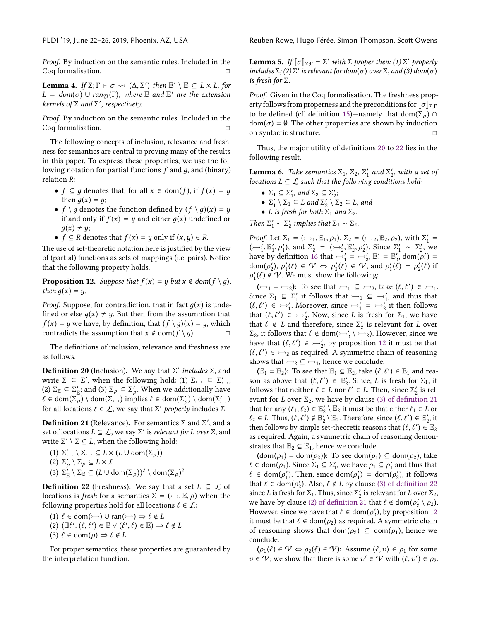Proof. By induction on the semantic rules. Included in the Coq formalisation. □

**Lemma 4.** If  $\Sigma$ ;  $\Gamma \vdash \sigma \leadsto (\Delta, \Sigma')$  then  $\mathbb{E}' \setminus \mathbb{E} \subseteq L \times L$ , for  $L = dom(\sigma) \cup ran_{\mathcal{D}}(\Gamma)$ , where  $\mathbb E$  and  $\mathbb E'$  are the extension kernels of  $\Sigma$  and  $\Sigma'$ , respectively.

Proof. By induction on the semantic rules. Included in the Coq formalisation. □

The following concepts of inclusion, relevance and freshness for semantics are central to proving many of the results in this paper. To express these properties, we use the following notation for partial functions  $f$  and  $g$ , and (binary) relation R:

- $f \subseteq g$  denotes that, for all  $x \in \text{dom}(f)$ , if  $f(x) = y$ then  $g(x) = y$ ;
- f \ q denotes the function defined by  $(f \setminus q)(x) = y$ if and only if  $f(x) = y$  and either  $g(x)$  undefined or  $q(x) \neq y;$
- $f \subseteq R$  denotes that  $f(x) = y$  only if  $(x, y) \in R$ .

The use of set-theoretic notation here is justified by the view of (partial) functions as sets of mappings (i.e. pairs). Notice that the following property holds.

<span id="page-18-4"></span>**Proposition 12.** Suppose that  $f(x) = y$  but  $x \notin dom(f \setminus g)$ , then  $q(x) = y$ .

*Proof.* Suppose, for contradiction, that in fact  $g(x)$  is undefined or else  $q(x) \neq y$ . But then from the assumption that  $f(x) = y$  we have, by definition, that  $(f \setminus g)(x) = y$ , which contradicts the assumption that  $x \notin \text{dom}(f \setminus q)$ .

<span id="page-18-3"></span>The definitions of inclusion, relevance and freshness are as follows.

<span id="page-18-6"></span><span id="page-18-5"></span>**Definition 20** (Inclusion). We say that  $\Sigma'$  includes  $\Sigma$ , and write  $\Sigma \subseteq \Sigma'$ , when the following hold: (1)  $\Sigma_{\rightarrow} \subseteq \Sigma'_{\rightarrow}$ ; (2)  $\Sigma_{\mathbb{E}} \subseteq \Sigma'_{\mathbb{E}}$ ; and (3)  $\Sigma_{\rho} \subseteq \Sigma'_{\rho}$ . When we additionally have  $\ell \in \text{dom}(\Sigma_\rho) \setminus \text{dom}(\Sigma_\rightarrow)$  implies  $\ell \in \text{dom}(\Sigma_\rho') \setminus \text{dom}(\Sigma_\rightarrow')$ for all locations  $\ell \in \mathcal{L}$ , we say that  $\Sigma'$  properly includes  $\Sigma$ .

**Definition 21** (Relevance). For semantics Σ and Σ', and a set of locations  $L \subseteq \mathcal{L}$ , we say  $\Sigma'$  is relevant for L over  $\Sigma$ , and write  $\Sigma' \setminus \Sigma \subseteq L$ , when the following hold:

- <span id="page-18-7"></span>(1)  $\Sigma'_{\rightarrow} \setminus \Sigma_{\rightarrow} \subseteq L \times (L \cup \text{dom}(\Sigma_{\rho}))$ (2)  $\Sigma'_\rho \setminus \Sigma_\rho \subseteq L \times I$
- (3)  $\Sigma_{\mathbb{E}}' \setminus \Sigma_{\mathbb{E}} \subseteq (L \cup \text{dom}(\Sigma_{\rho}))^2 \setminus \text{dom}(\Sigma_{\rho})^2$

**Definition 22** (Freshness). We say that a set  $L \subseteq \mathcal{L}$  of locations is *fresh* for a semantics  $\Sigma = (\rightarrow, \mathbb{E}, \rho)$  when the following properties hold for all locations  $\ell \in \mathcal{L}$ :

- (1)  $\ell \in \text{dom}(\rightarrowtail) \cup \text{ran}(\rightarrowtail) \Rightarrow \ell \notin L$ (2)  $(\exists \ell', \ell, \ell') \in \mathbb{E} \vee (\ell', \ell) \in \mathbb{E}) \Rightarrow \ell \notin L$ (3)  $\ell \in \text{dom}(\rho) \Rightarrow \ell \notin L$
- 

For proper semantics, these properties are guaranteed by the interpretation function.

**Lemma 5.** If  $[\![\sigma]\!]_{\Sigma;\Gamma} = \Sigma'$  with  $\Sigma$  proper then: (1)  $\Sigma'$  properly includes  $\Sigma$ ; (2)  $\Sigma'$  is relevant for dom( $\sigma$ ) over  $\Sigma$ ; and (3) dom( $\sigma$ ) is fresh for  $\Sigma$ .

Proof. Given in the Coq formalisation. The freshness property follows from properness and the preconditions for  $\llbracket \sigma \rrbracket_{\Sigma:\Gamma}$ to be defined (cf. definition [15\)](#page-9-6)—namely that dom( $\Sigma_{\rho}$ ) ∩  $dom(\sigma) = \emptyset$ . The other properties are shown by induction on syntactic structure. □

<span id="page-18-0"></span>Thus, the major utility of definitions [20](#page-17-0) to [22](#page-17-1) lies in the following result.

**Lemma 6.** Take semantics  $\Sigma_1$ ,  $\Sigma_2$ ,  $\Sigma'_1$  and  $\Sigma'_2$ , with a set of locations  $L \subseteq \mathcal{L}$  such that the following conditions hold:

- $\Sigma_1 \subseteq \Sigma'_1$ , and  $\Sigma_2 \subseteq \Sigma'_2$ ;
- $\Sigma'_1 \setminus \Sigma_1 \subseteq L$  and  $\Sigma'_2 \setminus \Sigma_2 \subseteq L$ ; and
- L is fresh for both  $\Sigma_1$  and  $\Sigma_2$ .

Then  $\Sigma'_1 \sim \Sigma'_2$  implies that  $\Sigma_1 \sim \Sigma_2$ .

*Proof.* Let  $\Sigma_1 = (\rightarrow_1, \mathbb{E}_1, \rho_1), \Sigma_2 = (\rightarrow_2, \mathbb{E}_2, \rho_2)$ , with  $\Sigma_1' =$  $(\rightarrow'_1, \mathbb{E}'_1, \rho'_1)$ , and  $\Sigma'_2 = (\rightarrow'_2, \mathbb{E}'_2, \rho'_2)$ . Since  $\Sigma'_1 \sim \Sigma'_2$ , we have by definition [16](#page-9-7) that  $\mapsto'_1 = \mapsto'_2$ ,  $\mathbb{E}'_1 = \mathbb{E}'_2$ , dom $(\rho'_1) =$ dom( $\rho'_2$ ),  $\rho'_1(\ell) \in \mathcal{V} \Leftrightarrow \rho'_2(\ell) \in \mathcal{V}$ , and  $\rho'_1(\ell) = \rho'_2(\ell)$  if  $\rho'_1(\ell) \notin \mathcal{V}$ . We must show the following:

<span id="page-18-1"></span> $(\rightarrow_1 = \rightarrow_2)$ : To see that  $\rightarrow_1 \subseteq \rightarrow_2$ , take  $(\ell, \ell') \in \rightarrow_1$ . Since  $\Sigma_1 \subseteq \Sigma'_1$  it follows that  $\rightarrow_1 \subseteq \rightarrow'_1$ , and thus that  $(\ell, \ell') \in \rightarrow'_1$ . Moreover, since  $\rightarrow'_1 = \rightarrow'_2$  it then follows that  $(\ell, \ell') \in \rightarrow'_{2}$ . Now, since L is fresh for  $\Sigma_1$ , we have that  $\ell \notin L$  and therefore, since  $\Sigma_2'$  is relevant for L over  $\Sigma_2$ , it follows that  $\ell \notin \text{dom}(\rightarrow'_2 \setminus \rightarrow_2)$ . However, since we have that  $(\ell, \ell') \in \rightarrow'_{2}$ , by proposition [12](#page-17-2) it must be that  $(\ell, \ell') \in \rightarrowtail_2$  as required. A symmetric chain of reasoning shows that  $\rightarrow_2 \subseteq \rightarrow_1$ , hence we conclude.

 $(\mathbb{E}_1 = \mathbb{E}_2)$ : To see that  $\mathbb{E}_1 \subseteq \mathbb{E}_2$ , take  $(\ell, \ell') \in \mathbb{E}_1$  and reason as above that  $(\ell, \ell') \in \mathbb{E}'_2$ . Since, L is fresh for  $\Sigma_1$ , it follows that neither  $\ell \in L$  nor  $\ell' \in L$ . Then, since  $\Sigma_2'$  is relevant for L over  $\Sigma_2$ , we have by clause (3) of definition 21 that for any  $(\ell_1, \ell_2) \in \mathbb{E}_2' \setminus \mathbb{E}_2$  it must be that either  $\ell_1 \in L$  or  $\ell_2 \in L$ . Thus,  $(\ell, \ell') \notin \mathbb{E}_2^r \setminus \mathbb{E}_2$ . Therefore, since  $(\ell, \ell') \in \mathbb{E}_2^r$ , it then follows by simple set-theoretic reasons that  $(\ell, \ell') \in \mathbb{E}_2$ as required. Again, a symmetric chain of reasoning demonstrates that  $\mathbb{E}_2 \subseteq \mathbb{E}_1$ , hence we conclude.

<span id="page-18-2"></span> $(\text{dom}(\rho_1) = \text{dom}(\rho_2))$ : To see dom $(\rho_1) \subseteq \text{dom}(\rho_2)$ , take  $\ell \in \text{dom}(\rho_1)$ . Since  $\Sigma_1 \subseteq \Sigma'_1$ , we have  $\rho_1 \subseteq \rho'_1$  and thus that  $\ell \in \text{dom}(\rho'_1)$ . Then, since  $\text{dom}(\rho'_1) = \text{dom}(\rho'_2)$ , it follows that  $\ell \in \text{dom}(\rho_2')$ . Also,  $\ell \notin L$  by clause (3) of definition 22 since L is fresh for  $\Sigma_1$ . Thus, since  $\Sigma_2'$  is relevant for L over  $\Sigma_2$ , we have by clause (2) of definition 21 that  $\ell \notin \text{dom}(\rho_2' \setminus \rho_2)$ . However, since we have that  $\ell \in \text{dom}(\rho_2')$ , by proposition [12](#page-17-2) it must be that  $\ell \in \text{dom}(\rho_2)$  as required. A symmetric chain of reasoning shows that dom( $\rho_2$ )  $\subseteq$  dom( $\rho_1$ ), hence we conclude.

 $(\rho_1(\ell) \in \mathcal{V} \Leftrightarrow \rho_2(\ell) \in \mathcal{V})$ : Assume  $(\ell, v) \in \rho_1$  for some  $v \in V$ ; we show that there is some  $v' \in V$  with  $(\ell, v') \in \rho_2$ .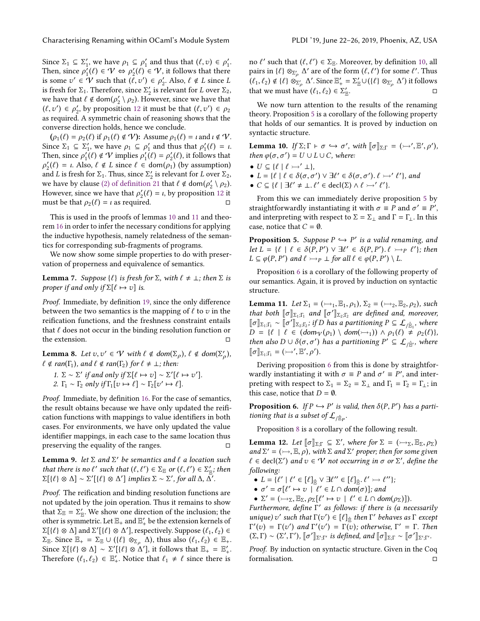Since  $\Sigma_1 \subseteq \Sigma'_1$ , we have  $\rho_1 \subseteq \rho'_1$  and thus that  $(\ell, v) \in \rho'_1$ . Then, since  $\rho'_1(\ell) \in \mathcal{V} \Leftrightarrow \rho'_2(\ell) \in \mathcal{V}$ , it follows that there is some  $v' \in V$  such that  $(\tilde{\ell}, v') \in \rho'_2$ . Also,  $\ell \notin L$  since L is fresh for  $\Sigma_1$ . Therefore, since  $\Sigma_2'$  is relevant for L over  $\Sigma_2$ , we have that  $\ell \notin \text{dom}(\rho_2' \setminus \rho_2)$ . However, since we have that  $(\ell, v') \in \rho'_2$ , by proposition [12](#page-17-2) it must be that  $(\ell, v') \in \rho_2$ as required. A symmetric chain of reasoning shows that the converse direction holds, hence we conclude.

 $(\rho_1(\ell) = \rho_2(\ell)$  if  $\rho_1(\ell) \notin V$ ): Assume  $\rho_1(\ell) = \iota$  and  $\iota \notin V$ . Since  $\Sigma_1 \subseteq \Sigma'_1$ , we have  $\rho_1 \subseteq \rho'_1$  and thus that  $\rho'_1(\ell) = \iota$ . Then, since  $\rho'_1(\ell) \notin V$  implies  $\rho'_1(\ell) = \rho'_2(\ell)$ , it follows that  $\rho'_2(\ell) = \iota$ . Also,  $\ell \notin L$  since  $\ell \in \text{dom}(\rho_1)$  (by assumption) and L is fresh for  $\Sigma_1$ . Thus, since  $\Sigma_2'$  is relevant for L over  $\Sigma_2$ , we have by clause (2) of definition 21 that  $\ell \notin \text{dom}(\rho_2' \setminus \rho_2)$ . However, since we have that  $\rho'_2(\ell) = \iota$ , by proposition [12](#page-17-2) it must be that  $\rho_2(\ell) = \iota$  as required.

This is used in the proofs of lemmas [10](#page-18-0) and [11](#page-18-1) and theorem [16](#page-21-0) in order to infer the necessary conditions for applying the inductive hypothesis, namely relatedness of the semantics for corresponding sub-fragments of programs.

We now show some simple properties to do with preservation of properness and equivalence of semantics.

**Lemma 7.** Suppose  $\{\ell\}$  is fresh for  $\Sigma$ , with  $\ell \neq \bot$ ; then  $\Sigma$  is proper if and only if  $\Sigma[\ell \mapsto v]$  is.

Proof. Immediate, by definition [19,](#page-16-1) since the only difference between the two semantics is the mapping of  $\ell$  to  $v$  in the reification functions, and the freshness constraint entails that  $\ell$  does not occur in the binding resolution function or the extension.

**Lemma 8.** Let  $v, v' \in \mathcal{V}$  with  $\ell \notin \text{dom}(\Sigma_\rho), \ell \notin \text{dom}(\Sigma'_\rho)$ ,  $\ell \notin \text{ran}(\Gamma_1)$ , and  $\ell \notin \text{ran}(\Gamma_2)$  for  $\ell \neq \bot$ ; then:

1. 
$$
\Sigma \sim \Sigma'
$$
 if and only if  $\Sigma[\ell \mapsto v] \sim \Sigma'[\ell \mapsto v']$ .

2.  $\Gamma_1 \sim \Gamma_2$  only if  $\Gamma_1[v \mapsto \ell] \sim \Gamma_2[v' \mapsto \ell]$ .

*Proof.* Immediate, by definition [16.](#page-9-7) For the case of semantics, the result obtains because we have only updated the reification functions with mappings to value identifiers in both cases. For environments, we have only updated the value identifier mappings, in each case to the same location thus preserving the equality of the ranges.  $□$ 

**Lemma 9.** let  $\Sigma$  and  $\Sigma'$  be semantics and  $\ell$  a location such that there is no  $\ell'$  such that  $(\ell, \ell') \in \Sigma_{\mathbb{E}}$  or  $(\ell, \ell') \in \Sigma'_{\mathbb{E}}$ ; then  $\Sigma[\{\ell\}\otimes\Delta]\sim\Sigma'[\{\ell\}\otimes\Delta']$  implies  $\Sigma\sim\Sigma'$ , for all  $\Delta, \bar{\Delta'}.$ 

Proof. The reification and binding resolution functions are not updated by the join operation. Thus it remains to show that  $\Sigma_{\mathbb{E}} = \Sigma_{\mathbb{E}}'$ . We show one direction of the inclusion; the other is symmetric. Let  $\mathbb{E}_+$  and  $\mathbb{E}'_+$  be the extension kernels of  $\Sigma[\{\ell\} \otimes \Delta]$  and  $\Sigma'[\{\ell\} \otimes \Delta']$ , respectively. Suppose  $(\ell_1, \ell_2) \in$  $\Sigma_{\mathbb{E}}$ . Since  $\mathbb{E}_+ = \Sigma_{\mathbb{E}} \cup (\{\ell\} \otimes_{\Sigma_{\rho}} \Delta)$ , thus also  $(\ell_1, \ell_2) \in \mathbb{E}_+$ . Since  $\Sigma[\{\ell\} \otimes \Delta] \sim \Sigma'[\{\ell\} \otimes \Delta'],$  it follows that  $\mathbb{E}_+ = \mathbb{E}'_+.$ Therefore  $(\ell_1, \ell_2) \in \mathbb{E}'_+$ . Notice that  $\ell_1 \neq \ell$  since there is

no  $\ell'$  such that  $(\ell, \ell') \in \Sigma_{\mathbb{E}}$ . Moreover, by definition [10,](#page-5-1) all pairs in  $\{\ell\} \otimes_{\Sigma'_\rho} \Delta'$  are of the form  $(\ell, \ell')$  for some  $\ell'$ . Thus  $(\ell_1, \ell_2) \notin \{\ell\} \otimes_{\Sigma'_\rho}^{\mathcal{L}'} \Delta'.$  Since  $\mathbb{E}'_+ = \Sigma'_{\mathbb{E}} \cup (\{\ell\} \otimes_{\Sigma'_\rho} \Delta')$  it follows that we must have  $(\ell_1, \ell_2) \in \Sigma_{\mathbb{B}}'$ . □

We now turn attention to the results of the renaming theory. Proposition [5](#page-9-3) is a corollary of the following property that holds of our semantics. It is proved by induction on syntactic structure.

Lemma 10. If  $\Sigma$ ;  $\Gamma \vdash \sigma \hookrightarrow \sigma'$ , with  $[\![\sigma]\!]_{\Sigma;\Gamma} = (\rightarrow', \mathbb{E}', \rho'),$ then  $\varphi(\sigma, \sigma') = U \cup L \cup C$ , where:

- $U \subseteq \{ \ell \mid \ell \rightarrow ' \bot \},\$
- $L = \{ \ell \mid \ell \in \delta(\sigma, \sigma') \lor \exists \ell' \in \delta(\sigma, \sigma'). \ell \rightarrow ' \ell' \},$  and
- $C \subseteq \{ \ell \mid \exists \ell' \neq \bot, \ell' \in \text{decl}(\Sigma) \land \ell \rightarrow ' \ell' \}.$

From this we can immediately derive proposition [5](#page-9-3) by straightforwardly instantiating it with  $\sigma \equiv P$  and  $\sigma' \equiv P'$ , and interpreting with respect to  $\Sigma = \Sigma_{\perp}$  and  $\Gamma = \Gamma_{\perp}$ . In this case, notice that  $C = \emptyset$ .

**Proposition 5.** Suppose  $P \hookrightarrow P'$  is a valid renaming, and let  $\overline{L} = \{ \ell \mid \ell \in \delta(P, P') \lor \exists \ell' \in \delta(P, P'). \ell \rightarrow_P \ell' \};\$ then  $L \subseteq \varphi(P, P')$  and  $\ell \rightarrow_P \bot$  for all  $\ell \in \varphi(P, P') \setminus L$ .

Proposition [6](#page-9-1) is a corollary of the following property of our semantics. Again, it is proved by induction on syntactic structure.

**Lemma 11.** Let  $\Sigma_1 = (\rightarrowtail_1, \mathbb{E}_1, \rho_1), \Sigma_2 = (\rightarrowtail_2, \mathbb{E}_2, \rho_2)$ , such that both  $[\![\sigma]\!]_{\Sigma_1;\Gamma_1}$  and  $[\![\sigma']\!]_{\Sigma_2;\Gamma_2}$  are defined and, moreover,  $[\![\sigma]\!]_{\Sigma_1;\Gamma_1} \sim [\![\sigma']\!]_{\Sigma_2;\Gamma_2}$ ; if D has a partitioning  $P \subseteq \mathcal{L}_{/\hat{\mathbb{B}}_1}$ , where  $D = \{ \ell \mid \ell \in (dom_V(\rho_1) \setminus dom(\rightarrowtail_1)) \land \rho_1(\ell) \neq \rho_2(\ell) \},$ then also  $D \cup \delta(\sigma, \sigma')$  has a partitioning  $P' \subseteq \mathcal{L}_{\text{exp}}'$ , where  $[\![\sigma]\!]_{\Sigma_1;\Gamma_1} = (\rightarrowtail', \mathbb{E}', \rho').$ 

Deriving proposition [6](#page-9-1) from this is done by straightforwardly instantiating it with  $\sigma \equiv P$  and  $\sigma' \equiv P'$ , and interpreting with respect to  $\Sigma_1 = \Sigma_2 = \Sigma_\perp$  and  $\Gamma_1 = \Gamma_2 = \Gamma_\perp$ ; in this case, notice that  $D = \emptyset$ .

**Proposition 6.** If  $P \hookrightarrow P'$  is valid, then  $\delta(P, P')$  has a partitioning that is a subset of  $\mathcal{L}_{/\hat{\mathbb{E}}_P}.$ 

Proposition [8](#page-9-2) is a corollary of the following result.

**Lemma 12.** Let  $[\![\sigma]\!]_{\Sigma;\Gamma} \subseteq \Sigma'$ , where for  $\Sigma = (\rightarrow_{\Sigma}, \mathbb{E}_{\Sigma}, \rho_{\Sigma})$ and  $\Sigma' = (\rightarrowtail, \mathbb{E}, \rho)$ , with  $\Sigma$  and  $\Sigma'$  proper; then for some given  $\ell \in \text{dec}(\Sigma')$  and  $v \in V$  not occurring in  $\sigma$  or  $\Sigma'$ , define the following:

- $L = {\ell' \mid \ell' \in [\ell]_{\hat{\mathbb{E}}} \vee \exists \ell'' \in [\ell]_{\hat{\mathbb{E}}}, \ell' \rightarrowtail \ell''};$
- $\sigma' = \sigma[\ell' \mapsto v \mid \ell' \in L \cap \text{dom}(\sigma)];$  and
- $\Sigma' = (\rightarrow_{\Sigma}, \mathbb{E}_{\Sigma}, \rho_{\Sigma}[\ell' \mapsto v \mid \ell' \in L \cap \text{dom}(\rho_{\Sigma})]).$

<span id="page-19-0"></span>Furthermore, define  $\Gamma'$  as follows: if there is (a necessarily unique) v' such that  $\Gamma(v') \in [\ell]_{\hat{\mathbb{E}}}$  then  $\Gamma'$  behaves as  $\Gamma$  except  $\Gamma'(v) = \Gamma(v')$  and  $\Gamma'(v') = \Gamma(v)$ ; otherwise,  $\Gamma' = \Gamma$ . Then  $(\Sigma, \Gamma) \sim (\Sigma', \Gamma'), \llbracket \sigma' \rrbracket_{\Sigma';\Gamma'}$  is defined, and  $\llbracket \sigma \rrbracket_{\Sigma;\Gamma} \sim \llbracket \sigma' \rrbracket_{\Sigma';\Gamma'}.$ 

Proof. By induction on syntactic structure. Given in the Coq formalisation. □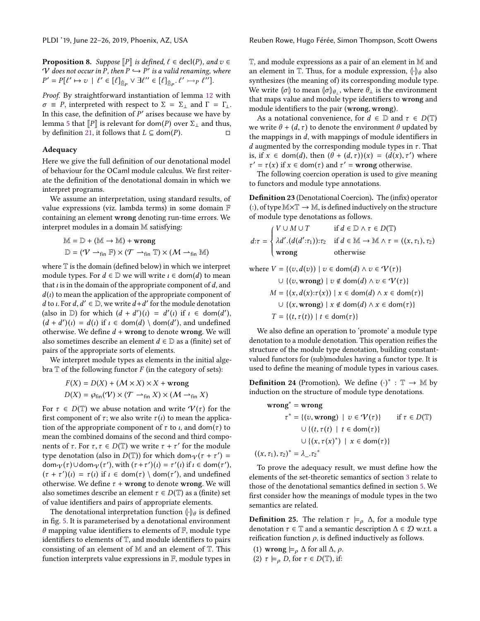<span id="page-20-0"></span>**Proposition 8.** Suppose  $\llbracket P \rrbracket$  is defined,  $\ell \in \text{dec}(P)$ , and  $v \in \mathcal{E}$  $V$  does not occur in P, then  $P \hookrightarrow P'$  is a valid renaming, where  $P' = P[\ell' \mapsto v \mid \ell' \in [\ell]_{\hat{\mathbb{E}}_P} \vee \exists \ell'' \in [\ell]_{\hat{\mathbb{E}}_P} \cdot \ell' \rightarrow_P \ell'']$ .

Proof. By straightforward instantiation of lemma [12](#page-18-2) with  $\sigma \equiv P$ , interpreted with respect to  $\Sigma = \Sigma_{\perp}$  and  $\Gamma = \Gamma_{\perp}$ . In this case, the definition of  $P'$  arises because we have by lemma [5](#page-17-7) that  $\llbracket P \rrbracket$  is relevant for dom(P) over  $\Sigma_{\perp}$  and thus, by definition [21,](#page-17-4) it follows that  $L \subseteq \text{dom}(P)$ . □

#### Adequacy

Here we give the full definition of our denotational model of behaviour for the OCaml module calculus. We first reiterate the definition of the denotational domain in which we interpret programs.

We assume an interpretation, using standard results, of value expressions (viz. lambda terms) in some domain F containing an element wrong denoting run-time errors. We interpret modules in a domain M satisfying:

$$
\mathbb{M} = \mathbb{D} + (\mathbb{M} \to \mathbb{M}) + \mathbf{wrong}
$$

$$
\mathbb{D} = (\mathcal{V} \to_{fin} \mathbb{F}) \times (\mathcal{T} \to_{fin} \mathbb{T}) \times (\mathcal{M} \to_{fin} \mathbb{M})
$$

where  $T$  is the domain (defined below) in which we interpret module types. For  $d \in \mathbb{D}$  we will write  $\iota \in \text{dom}(d)$  to mean that  $\iota$  is in the domain of the appropriate component of  $d$ , and  $d(t)$  to mean the application of the appropriate component of d to *i*. For  $d$ ,  $d' \in \mathbb{D}$ , we write  $d+d'$  for the module denotation (also in D) for which  $(d + d')(\iota) = d'(\iota)$  if  $\iota \in dom(d')$ ,  $(d + d')(\iota) = d(\iota)$  if  $\iota \in \text{dom}(d) \setminus \text{dom}(d')$ , and undefined otherwise. We define  $d$  + wrong to denote wrong. We will also sometimes describe an element  $d \in \mathbb{D}$  as a (finite) set of pairs of the appropriate sorts of elements.

We interpret module types as elements in the initial algebra  $T$  of the following functor  $F$  (in the category of sets):

$$
F(X) = D(X) + (M \times X) \times X + \text{wrong}
$$
  

$$
D(X) = \wp_{fin}(\mathcal{V}) \times (\mathcal{T} \rightarrow_{fin} X) \times (M \rightarrow_{fin} X)
$$

<span id="page-20-5"></span>For  $\tau \in D(\mathbb{T})$  we abuse notation and write  $\mathcal{V}(\tau)$  for the first component of  $\tau$ ; we also write  $\tau(\iota)$  to mean the application of the appropriate component of  $\tau$  to *i*, and dom( $\tau$ ) to mean the combined domains of the second and third components of  $\tau$ . For  $\tau$ ,  $\tau \in D(\mathbb{T})$  we write  $\tau + \tau'$  for the module type denotation (also in  $D(\mathbb{T})$ ) for which dom $\gamma(\tau + \tau') =$ dom $\gamma(\tau) \cup \text{dom}_{\gamma}(\tau')$ , with  $(\tau + \tau')(\iota) = \tau'(\iota)$  if  $\iota \in \text{dom}(\tau')$ ,  $(\tau + \tau')(\iota) = \tau(\iota)$  if  $\iota \in \text{dom}(\tau) \setminus \text{dom}(\tau')$ , and undefined otherwise. We define  $\tau$  + wrong to denote wrong. We will also sometimes describe an element  $\tau \in D(\mathbb{T})$  as a (finite) set of value identiiers and pairs of appropriate elements.

<span id="page-20-6"></span>The denotational interpretation function  $\lVert \cdot \rVert_{\theta}$  is defined in fig. [5.](#page-20-0) It is parameterised by a denotational environment  $\theta$  mapping value identifiers to elements of  $\mathbb F$ , module type identifiers to elements of  $T$ , and module identifiers to pairs consisting of an element of M and an element of T. This function interprets value expressions in  $\mathbb{F}$ , module types in T, and module expressions as a pair of an element in M and an element in T. Thus, for a module expression,  $\left(\cdot\right)_{\theta}$  also synthesizes (the meaning of) its corresponding module type. We write  $\|\sigma\|$  to mean  $\|\sigma\|_{\theta_\perp}$ , where  $\theta_\perp$  is the environment that maps value and module type identifiers to wrong and module identifiers to the pair (wrong, wrong).

As a notational convenience, for  $d \in \mathbb{D}$  and  $\tau \in D(\mathbb{T})$ we write  $\theta$  + (d,  $\tau$ ) to denote the environment  $\theta$  updated by the mappings in  $d$ , with mappings of module identifiers in d augmented by the corresponding module types in  $\tau$ . That is, if  $x \in \text{dom}(d)$ , then  $(\theta + (d, \tau))(x) = (d(x), \tau')$  where  $\tau' = \tau(x)$  if  $x \in \text{dom}(\tau)$  and  $\tau' =$  wrong otherwise.

The following coercion operation is used to give meaning to functors and module type annotations.

Definition 23 (Denotational Coercion). The (infix) operator (:), of type  $M \times T \to M$ , is defined inductively on the structure of module type denotations as follows.

$$
d\mathbf{r} = \begin{cases} V \cup M \cup T & \text{if } d \in \mathbb{D} \land \tau \in D(\mathbb{T}) \\ \lambda d'.\left(d(d'\mathbf{r}_1)\right)\mathbf{r}_2 & \text{if } d \in \mathbb{M} \to \mathbb{M} \land \tau = \left((x,\tau_1),\tau_2\right) \\ \text{wrong} & \text{otherwise} \end{cases}
$$

where 
$$
V = \{(v, d(v)) \mid v \in \text{dom}(d) \land v \in \mathcal{V}(\tau)\}\
$$
  
\n $\cup \{(v, \text{wrong}) \mid v \notin \text{dom}(d) \land v \in \mathcal{V}(\tau)\}\$   
\n $M = \{(x, d(x): \tau(x)) \mid x \in \text{dom}(d) \land x \in \text{dom}(\tau)\}\$   
\n $\cup \{(x, \text{wrong}) \mid x \notin \text{dom}(d) \land x \in \text{dom}(\tau)\}\$   
\n $T = \{(t, \tau(t)) \mid t \in \text{dom}(\tau)\}\$ 

We also define an operation to 'promote' a module type denotation to a module denotation. This operation reifies the structure of the module type denotation, building constantvalued functors for (sub)modules having a functor type. It is used to define the meaning of module types in various cases.

**Definition 24** (Promotion). We define  $(\cdot)^* : \mathbb{T} \to \mathbb{M}$  by induction on the structure of module type denotations.

$$
\text{wrong}^* = \text{wrong}
$$
\n
$$
\tau^* = \{ (v, \text{wrong}) \mid v \in \mathcal{V}(\tau) \} \quad \text{if } \tau \in D(\mathbb{T})
$$
\n
$$
\cup \{ (t, \tau(t) \mid t \in \text{dom}(\tau) \}
$$
\n
$$
\cup \{ (x, \tau(x)^*) \mid x \in \text{dom}(\tau) \}
$$
\n
$$
((x, \tau_1), \tau_2)^* = \lambda_-. \tau_2^*
$$

<span id="page-20-3"></span>To prove the adequacy result, we must define how the elements of the set-theoretic semantics of section [3](#page-3-0) relate to those of the denotational semantics defined in section [5.](#page-10-0) We first consider how the meanings of module types in the two semantics are related.

<span id="page-20-4"></span><span id="page-20-2"></span><span id="page-20-1"></span>**Definition 25.** The relation  $\tau \models_{\rho} \Delta$ , for a module type denotation  $\tau \in \mathbb{T}$  and a semantic description  $\Delta \in \mathcal{D}$  w.r.t. a reification function  $\rho$ , is defined inductively as follows.

- (1) wrong  $\models_{\rho} \Delta$  for all  $\Delta$ ,  $\rho$ .
- (2)  $\tau \models_{\rho} D$ , for  $\tau \in D(\mathbb{T})$ , if: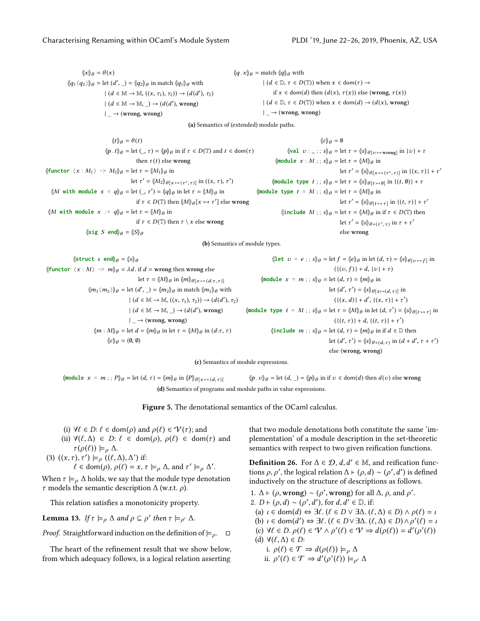$\left\Vert x\right\Vert _{\theta}=\theta(x)$  $\left\{\left(q_1(q_2)\right)\right\}_{\theta} = \text{let }(d', \_) = \left\{\left(q_2\right)\}_{\theta} \text{ in match } \left\{\left(q_1\right)\}_{\theta} \text{ with }$  $| (d \in \mathbb{M} \to \mathbb{M}, ((x, \tau_1), \tau_2)) \to (d(d'), \tau_2)$  $| (d \in \mathbb{M} \to \mathbb{M}, \_) \to (d(d'), \text{wrong})$  $|\rightarrow$  (wrong, wrong)  $(q, x)_{\theta}$  = match  $(q)_{\theta}$  with  $|(d \in \mathbb{D}, \tau \in D(\mathbb{T}))$  when  $x \in \text{dom}(\tau) \rightarrow$ if  $x \in \text{dom}(d)$  then  $(d(x), \tau(x))$  else (wrong,  $\tau(x)$ )  $(d \in \mathbb{D}, \tau \in D(\mathbb{T}))$  when  $x \in \text{dom}(d) \rightarrow (d(x), \text{wrong})$  $|\,\_\rightarrow$  (wrong, wrong) (a) Semantics of (extended) module paths.

| $(t _{\theta} = \theta(t)$                                                                                                                                        | $(\varepsilon)_{\theta} = \emptyset$                                                                                                                                            |
|-------------------------------------------------------------------------------------------------------------------------------------------------------------------|---------------------------------------------------------------------------------------------------------------------------------------------------------------------------------|
| $(\rho \cdot t)_{\theta} = \text{let } (\_, \tau) = (\rho)_{\theta} \text{ in if } \tau \in D(\mathbb{T}) \text{ and } t \in \text{dom}(\tau)$                    | $\begin{pmatrix} \nabla u & v & v & v \\ v & v & v & v \n\end{pmatrix}$ = let $\tau = \left( \int s \right)_{\theta \left[ \nu \mapsto \text{wrong} \right]}$ in $\{v\} + \tau$ |
| then $\tau(t)$ else wrong                                                                                                                                         | (module $x : M$ ;; $s \mid_{\theta} = \text{let } \tau = (M)_{\theta}$ in                                                                                                       |
| ( <b>functor</b> $(x : M_1) \rightarrow M_2$ ) $\theta = \text{let } \tau = (M_1) \theta$ in                                                                      | let $\tau' = (s)_{\theta[x \mapsto (\tau^*, \tau)]}$ in $\{(x, \tau)\} + \tau'$                                                                                                 |
| let $\tau' = (M_2)_{\theta[x \mapsto (\tau^*, \tau)]}$ in $((x, \tau), \tau')$                                                                                    | (module type $t$ ;; $s\vert_{\theta} = \text{let } \tau = (s\vert_{\theta[t \mapsto \emptyset]} \text{ in } \{(t, \emptyset)\} + \tau$                                          |
| ( <i>M</i> with module $x = q \theta_{\theta} = \text{let } (\theta, \tau') = (q \theta_{\theta}) \text{ in } \text{let } \tau = (M \theta_{\theta}) \text{ in }$ | (module type $t = M$ ;; $s\theta_{\theta} = \text{let } \tau = (M\theta_{\theta})$ in                                                                                           |
| if $\tau \in D(\mathbb{T})$ then $(M)_{\theta}[x \mapsto \tau']$ else wrong                                                                                       | let $\tau' = (s)_{\theta[t \mapsto \tau]}$ in $\{(t, \tau)\} + \tau'$                                                                                                           |
| $(M$ with module $x := q _{\theta} = \text{let } \tau = (M _{\theta})$ in                                                                                         | $\{$ include M;; s $\}$ $_{\theta}$ = let $\tau = (M)$ $_{\theta}$ in if $\tau \in D(\mathbb{T})$ then                                                                          |
| if $\tau \in D(\mathbb{T})$ then $\tau \setminus x$ else wrong                                                                                                    | let $\tau' = (s)_{\theta + (\tau^*, \tau)}$ in $\tau + \tau'$                                                                                                                   |
| (sig S end) $\theta = (S)_{\theta}$                                                                                                                               | else wrong                                                                                                                                                                      |

(b) Semantics of module types.

<span id="page-21-2"></span><span id="page-21-1"></span>

| $\ \text{struct } s \text{ end}\ _{\theta} = \ s\ _{\theta}$                                                           | (let $v = e$ ;; $s\theta$ = let $f = (e\theta)$ in let $(d, \tau) = (s\theta)_{\theta[\nu \mapsto f]}$ in                                  |
|------------------------------------------------------------------------------------------------------------------------|--------------------------------------------------------------------------------------------------------------------------------------------|
| ( <b>functor</b> $(x : M) \rightarrow m\mathbf{0}_{\theta} = \lambda d$ . if $d =$ <b>wrong</b> then <b>wrong</b> else | $({(v, f)} + d, {v} + \tau)$                                                                                                               |
| let $\tau = (M)_{\theta}$ in $(m)_{\theta[x \mapsto (d:\tau,\tau)]}$                                                   | $\langle \text{module } x = m ;; s \rangle_{\theta} = \text{let } (d, \tau) = \langle m \rangle_{\theta}$ in                               |
| $(m_1(m_2))_{\theta} = \text{let } (d', \_) = (m_2)_{\theta}$ in match $(m_1)_{\theta}$ with                           | let $(d', \tau') = (s)_{\theta[x \mapsto (d, \tau)]}$ in                                                                                   |
| $(d \in \mathbb{M} \rightarrow \mathbb{M}, ((x, \tau_1), \tau_2)) \rightarrow (d(d'), \tau_2)$                         | $({\{(x, d)\} + d', \{(x, \tau)\} + \tau'})$                                                                                               |
| $\mid (d \in \mathbb{M} \to \mathbb{M}, ) \rightarrow (d(d'),$ wrong)                                                  | (module type $t = M$ ;; $s\vert_{\theta} = \text{let } \tau = (M\vert_{\theta})$ in let $(d, \tau') = (s\vert_{\theta[t \mapsto \tau]}$ in |
| $ \rightarrow (wrong, wrong)$                                                                                          | $({(t, \tau)} + d, {(t, \tau)} + \tau')$                                                                                                   |
| $(m: M)_{\theta} = \text{let } d = (m)_{\theta}$ in let $\tau = (M)_{\theta}$ in $(d:\tau, \tau)$                      | $\{$ include <i>m</i> ;; <i>s</i> $\theta$ = let $(d, \tau) = \{m\}$ $\theta$ in if $d \in \mathbb{D}$ then                                |
| $(\varepsilon)_{\theta} = (\emptyset, \emptyset)$                                                                      | let $(d', \tau') = (s)_{\theta + (d, \tau)}$ in $(d + d', \tau + \tau')$                                                                   |
|                                                                                                                        | else (wrong, wrong)                                                                                                                        |

(c) Semantics of module expressions.

<span id="page-21-3"></span> $(\text{module } x = m; : P)_{\theta} = \text{let } (d, \tau) = (\text{m})_{\theta} \text{ in } (P)_{\theta[x \mapsto (d, \tau)]}$   $(\text{p. v})_{\theta} = \text{let } (d, \_) = (\text{p})_{\theta} \text{ in if } v \in \text{dom}(d) \text{ then } d(v) \text{ else wrong}$ 

(d) Semantics of programs and module paths in value expressions.

Figure 5. The denotational semantics of the OCaml calculus.

- (i)  $\forall \ell \in D: \ell \in \text{dom}(\rho) \text{ and } \rho(\ell) \in \mathcal{V}(\tau);$  and
- (ii)  $\forall (\ell, \Delta) \in D: \ell \in \text{dom}(\rho), \rho(\ell) \in \text{dom}(\tau)$  and  $\tau(\rho(\ell)) \models_{\rho} \Delta$ .
- (3)  $((x, \tau), \tau') \models \rho ((\ell, \Delta), \Delta')$  if:

 $\ell \in \text{dom}(\rho), \rho(\ell) = x, \tau \models_{\rho} \Delta, \text{ and } \tau' \models_{\rho} \Delta'.$ 

When  $\tau \models_{\rho} \Delta$  holds, we say that the module type denotation τ models the semantic description ∆ (w.r.t. ρ).

This relation satisfies a monotonicity property.

<span id="page-21-0"></span>**Lemma 13.** If  $\tau \models \rho \Delta$  and  $\rho \subseteq \rho'$  then  $\tau \models \rho' \Delta$ .

*Proof.* Straightforward induction on the definition of  $\models_{\rho}$ .  $\Box$ 

The heart of the refinement result that we show below, from which adequacy follows, is a logical relation asserting

that two module denotations both constitute the same 'implementation' of a module description in the set-theoretic semantics with respect to two given reification functions.

**Definition 26.** For  $\Delta \in \mathcal{D}$ ,  $d, d' \in \mathbb{M}$ , and reification functions  $\rho$ ,  $\rho'$ , the logical relation  $\Delta \vdash (\rho, d) \sim (\rho', d')$  is defined inductively on the structure of descriptions as follows.

1. Δ ⊦ ( $\rho$ , wrong) ~ ( $\rho'$ , wrong) for all Δ,  $\rho$ , and  $\rho'$ . 2.  $D \vdash (\rho, d) \sim (\rho', d')$ , for  $d, d' \in \mathbb{D}$ , if: (a)  $\iota \in \text{dom}(d) \Leftrightarrow \exists \ell \, (\ell \in D \vee \exists \Delta \, (\ell, \Delta) \in D) \wedge \rho(\ell) = \iota$ (b)  $\iota \in \text{dom}(d') \Leftrightarrow \exists \ell \, . \, (\ell \in D \vee \exists \Delta \, . \, (\ell, \Delta) \in D) \wedge \rho'(\ell) = \iota$ (c)  $\forall \ell \in D$ .  $\rho(\ell) \in \mathcal{V} \land \rho'(\ell) \in \mathcal{V} \Rightarrow d(\rho(\ell)) = d'(\rho'(\ell))$ (d)  $\forall (\ell, \Delta) \in D$ : i.  $\rho(\ell) \in \mathcal{T} \Rightarrow d(\rho(\ell)) \models_{\rho} \Delta$ ii.  $\rho'(\ell) \in \mathcal{T} \Rightarrow d'(\rho'(\ell)) \models_{\rho'} \Delta$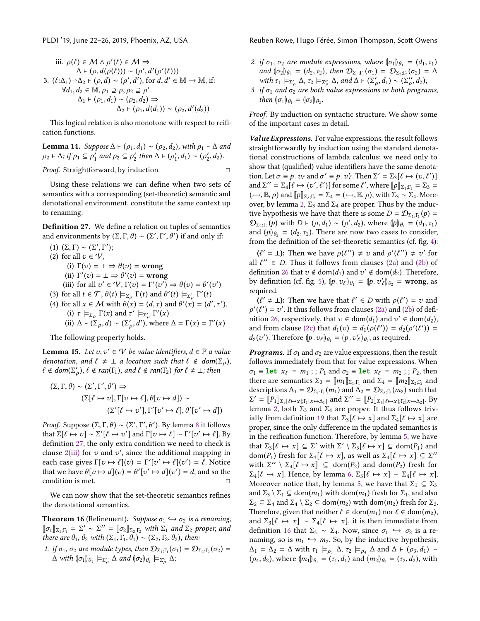ii. 
$$
\rho(\ell) \in \mathcal{M} \wedge \rho'(\ell) \in \mathcal{M} \Rightarrow
$$
  
\n $\Delta \vdash (\rho, d(\rho(\ell))) \sim (\rho', d'(\rho'(\ell)))$   
\n3.  $(\ell:\Delta_1) \rightarrow \Delta_2 \vdash (\rho, d) \sim (\rho', d')$ , for  $d, d' \in \mathbb{M} \rightarrow \mathbb{M}$ , if:  
\n $\forall d_1, d_2 \in \mathbb{M}, \rho_1 \supseteq \rho, \rho_2 \supseteq \rho'$ .  
\n $\Delta_1 \vdash (\rho_1, d_1) \sim (\rho_2, d_2) \Rightarrow$   
\n $\Delta_2 \vdash (\rho_1, d(d_1)) \sim (\rho_2, d'(d_2))$ 

This logical relation is also monotone with respect to reification functions.

**Lemma 14.** Suppose  $\Delta \vdash (\rho_1, d_1) \sim (\rho_2, d_2)$ , with  $\rho_1 \vdash \Delta$  and  $\rho_2 \vdash \Delta$ ; if  $\rho_1 \subseteq \rho'_1$  and  $\rho_2 \subseteq \rho'_2$  then  $\Delta \vdash (\rho'_1, d_1) \sim (\rho'_2, d_2)$ .

*Proof.* Straightforward, by induction. □

Using these relations we can deine when two sets of semantics with a corresponding (set-theoretic) semantic and denotational environment, constitute the same context up to renaming.

**Definition 27.** We define a relation on tuples of semantics and environments by  $(\Sigma, \Gamma, \theta) \sim (\Sigma', \Gamma', \theta')$  if and only if:

\n- (1) 
$$
(\Sigma, \Gamma) \sim (\Sigma', \Gamma')
$$
;
\n- (2) for all  $v \in \mathcal{V}$ ,
\n- (i)  $\Gamma(v) = \bot \Rightarrow \theta(v) = \text{wrong}$
\n- (ii)  $\Gamma'(v) = \bot \Rightarrow \theta'(v) = \text{wrong}$
\n- (iii) for all  $v' \in \mathcal{V}$ ,  $\Gamma(v) = \Gamma'(v') \Rightarrow \theta(v) = \theta'(v')$
\n- (3) for all  $t \in \mathcal{T}$ ,  $\theta(t) \models_{\Sigma_{\rho}} \Gamma(t)$  and  $\theta'(t) \models_{\Sigma_{\rho}'} \Gamma'(t)$
\n- (4) for all  $x \in \mathcal{M}$  with  $\theta(x) = (d, \tau)$  and  $\theta'(x) = (d', \tau)$
\n- (i)  $\tau \models_{\Sigma_{\rho}} \Gamma(x)$  and  $\tau' \models_{\Sigma_{\rho}'} \Gamma'(x)$
\n

(ii)  $\Delta \vdash (\Sigma \rho, d) \sim (\Sigma \rho', d')$ , where  $\Delta = \Gamma(x) = \Gamma'(x)$ 

′ ),

The following property holds.

**Lemma 15.** Let  $v, v' \in V$  be value identifiers,  $d \in \mathbb{F}$  a value denotation, and  $\ell \neq \bot$  a location such that  $\ell \notin \text{dom}(\Sigma_o)$ ,  $\ell \notin \text{dom}(\Sigma_{\rho}'), \ell \notin \text{ran}(\Gamma_1), \text{ and } \ell \notin \text{ran}(\Gamma_2) \text{ for } \ell \neq \bot; \text{ then}$ 

$$
(\Sigma, \Gamma, \theta) \sim (\Sigma', \Gamma', \theta') \Rightarrow
$$
  
\n
$$
(\Sigma[\ell \mapsto v], \Gamma[v \mapsto \ell], \theta[v \mapsto d]) \sim
$$
  
\n
$$
(\Sigma'[\ell \mapsto v'], \Gamma'[v' \mapsto \ell], \theta'[v' \mapsto d])
$$

*Proof.* Suppose  $(Σ, Γ, θ) ~ (Σ', Γ', θ')$ . By lemma [8](#page-18-3) it follows that  $\Sigma[\ell \mapsto v] \sim \Sigma'[\ell \mapsto v']$  and  $\Gamma[v \mapsto \ell] \sim \Gamma'[v' \mapsto \ell]$ . By definition [27,](#page-21-1) the only extra condition we need to check is clause  $2(iii)$  for  $v$  and  $v'$ , since the additional mapping in each case gives  $\Gamma[v \mapsto \ell](v) = \Gamma'[v' \mapsto \ell](v') = \ell$ . Notice that we have  $\theta[v \mapsto d](v) = \theta'[v' \mapsto d](v') = d$ , and so the condition is met.  $\Box$ 

We can now show that the set-theoretic semantics refines the denotational semantics.

**Theorem 16** (Refinement). Suppose  $\sigma_1 \hookrightarrow \sigma_2$  is a renaming,  $[\![\sigma_1]\!]_{\Sigma_1;\Gamma_1} = \Sigma' \sim \Sigma'' = [\![\sigma_2]\!]_{\Sigma_2;\Gamma_2}$  with  $\Sigma_1$  and  $\Sigma_2$  proper, and there are  $\theta_1$ ,  $\theta_2$  with  $(\Sigma_1, \Gamma_1, \theta_1) \sim (\Sigma_2, \Gamma_2, \theta_2)$ ; then:

1. if  $\sigma_1$ ,  $\sigma_2$  are module types, then  $\mathcal{D}_{\Sigma_1;\Gamma_1}(\sigma_1) = \mathcal{D}_{\Sigma_2;\Gamma_2}(\sigma_2)$  =  $\Delta$  with  $\langle \sigma_1 \rangle_{\theta_1} \models_{\Sigma_P'} \Delta$  and  $\langle \sigma_2 \rangle_{\theta_2} \models_{\Sigma_P''} \Delta$ ;

PLDI '19, June 22–26, 2019, Phoenix, AZ, USA Reuben Rowe, Hugo Férée, Simon Thompson, Scott Owens

- 2. if  $\sigma_1$ ,  $\sigma_2$  are module expressions, where  $\langle \sigma_1 \rangle_{\theta_1} = (d_1, \tau_1)$ and  $(\sigma_2)_{\theta_2} = (d_2, \tau_2)$ , then  $\mathcal{D}_{\Sigma_1;\Gamma_1}(\sigma_1) = \mathcal{D}_{\Sigma_2;\Gamma_2}(\sigma_2) = \Delta$ with  $\tau_1 \models_{\Sigma'_\rho} \Delta$ ,  $\tau_2 \models_{\Sigma''_\rho} \Delta$ , and  $\Delta \models (\Sigma'_\rho, d_1) \sim (\Sigma''_\rho, d_2)$ ;
- 3. if  $\sigma_1$  and  $\sigma_2$  are both value expressions or both programs, then  $\langle \sigma_1 \rangle_{\theta_1} = \langle \sigma_2 \rangle_{\theta_2}$ .

Proof. By induction on syntactic structure. We show some of the important cases in detail.

Value Expressions. For value expressions, the result follows straightforwardly by induction using the standard denotational constructions of lambda calculus; we need only to show that (qualified) value identifiers have the same denotation. Let  $\sigma \equiv p \cdot v_{\ell}$  and  $\sigma' \equiv p \cdot v'_{\ell}$ . Then  $\Sigma' = \Sigma_3[\ell \mapsto (v, \ell')]$ and  $\Sigma'' = \Sigma_4[\ell \mapsto (v', \ell')]$  for some  $\ell'$ , where  $[\![p]\!]_{\Sigma_1; \Gamma_1} = \Sigma_3 =$  $(\rightarrowtail, \mathbb{E}, \rho)$  and  $[\![p]\!]_{\Sigma_2; \Gamma_2} = \Sigma_4 = (\rightarrowtail, \mathbb{E}, \rho)$ , with  $\Sigma_3 \sim \Sigma_4$ . More-over, by lemma [2,](#page-16-2)  $\Sigma_3$  and  $\Sigma_4$  are proper. Thus by the inductive hypothesis we have that there is some  $D = \mathcal{D}_{\Sigma_1;\Gamma_1}(p)$  =  $\mathcal{D}_{\Sigma_2;\Gamma_2}(p)$  with  $D \vdash (\rho, d_1) \sim (\rho', d_2)$ , where  $(p|_{\theta_1} = (d_1, \tau_1)$ and  $\langle p \rangle_{\theta_2} = (d_2, \tau_2)$ . There are now two cases to consider, from the definition of the set-theoretic semantics (cf. fig. [4\)](#page-7-0):

 $(\ell' = \bot)$ : Then we have  $\rho(\ell'') \neq v$  and  $\rho'(\ell'') \neq v'$  for all  $\ell'' \in D$ . Thus it follows from clauses [\(2a\)](#page-20-1) and [\(2b\)](#page-20-2) of definition [26](#page-20-3) that  $v \notin \text{dom}(d_1)$  and  $v' \notin \text{dom}(d_2)$ . Therefore, by definition (cf. fig. [5\)](#page-20-0),  $(p \cdot v_{\ell})_{\theta_1} = (p \cdot v_{\ell}')_{\theta_2} =$  wrong, as required.

 $(\ell' \neq \bot)$ : Then we have that  $\ell' \in D$  with  $\rho(\ell') = v$  and  $\rho'(\ell') = v'$ . It thus follows from clauses [\(2a\)](#page-20-1) and [\(2b\)](#page-20-2) of defi-nition [26,](#page-20-3) respectively, that  $v \in \text{dom}(d_1)$  and  $v' \in \text{dom}(d_2)$ , and from clause [\(2c\)](#page-20-4) that  $d_1(v) = d_1(\rho(\ell')) = d_2(\rho'(\ell')) =$  $d_2(v')$ . Therefore  $(p \cdot v_{\ell})_{\theta_1} = (p \cdot v'_{\ell})_{\theta_2}$ , as required.

**Programs.** If  $\sigma_1$  and  $\sigma_2$  are value expressions, then the result follows immediately from that for value expressions. When  $\sigma_1 \equiv$  **let**  $x_\ell = m_1$ ;;  $P_1$  and  $\sigma_2 \equiv$  **let**  $x_\ell = m_2$ ;;  $P_2$ , then there are semantics  $\Sigma_3 = [m_1]_{\Sigma_1; \Gamma_1}$  and  $\Sigma_4 = [m_2]_{\Sigma_2; \Gamma_2}$  and descriptions  $\Delta_1 = \mathcal{D}_{\Sigma_1;\Gamma_1}(m_1)$  and  $\Delta_2 = \mathcal{D}_{\Sigma_2;\Gamma_2}(m_2)$  such that  $\Sigma' = \overline{[P_1]}_{\Sigma_3[\ell \mapsto x]; \Gamma_1[x \mapsto \Delta_1]}$  and  $\Sigma'' = \overline{[P_2]}_{\Sigma_4[\ell \mapsto x]; \Gamma_2[x \mapsto \Delta_2]}$ . By lemma [2,](#page-16-2) both  $\Sigma_3$  and  $\Sigma_4$  are proper. It thus follows triv-ially from definition [19](#page-16-1) that  $\Sigma_3[\ell \mapsto x]$  and  $\Sigma_4[\ell \mapsto x]$  are proper, since the only diference in the updated semantics is in the reification function. Therefore, by lemma [5,](#page-17-7) we have that  $\Sigma_3[\ell \mapsto x] \subseteq \Sigma'$  with  $\Sigma' \setminus \Sigma_3[\ell \mapsto x] \subseteq \text{dom}(P_1)$  and dom(P<sub>1</sub>) fresh for  $\Sigma_3[\ell \mapsto x]$ , as well as  $\Sigma_4[\ell \mapsto x] \subseteq \Sigma''$ with  $\Sigma'' \setminus \Sigma_4[\ell \mapsto x] \subseteq \text{dom}(P_2)$  and  $\text{dom}(P_2)$  fresh for  $\Sigma_4[\ell \mapsto x]$ . Hence, by lemma [6,](#page-17-8)  $\Sigma_3[\ell \mapsto x] \sim \Sigma_4[\ell \mapsto x]$ . Moreover notice that, by lemma [5,](#page-17-7) we have that  $\Sigma_1 \subseteq \Sigma_3$ and  $\Sigma_3 \setminus \Sigma_1 \subseteq \text{dom}(m_1)$  with dom $(m_1)$  fresh for  $\Sigma_1$ , and also  $\Sigma_2 \subseteq \Sigma_4$  and  $\Sigma_4 \setminus \Sigma_2 \subseteq \text{dom}(m_2)$  with  $\text{dom}(m_2)$  fresh for  $\Sigma_2$ . Therefore, given that neither  $\ell \in \text{dom}(m_1)$  nor  $\ell \in \text{dom}(m_2)$ , and  $\Sigma_3[\ell \mapsto x] \sim \Sigma_4[\ell \mapsto x]$ , it is then immediate from definition [16](#page-9-7) that  $\Sigma_3 \sim \Sigma_4$ . Now, since  $\sigma_1 \hookrightarrow \sigma_2$  is a renaming, so is  $m_1 \hookrightarrow m_2$ . So, by the inductive hypothesis,  $\Delta_1 = \Delta_2 = \Delta$  with  $\tau_1 \models_{\rho_3} \Delta$ ,  $\tau_2 \models_{\rho_4} \Delta$  and  $\Delta \models (\rho_3, d_1) \sim$  $(\rho_4, d_2)$ , where  $\langle m_1 \rangle_{\theta_1} = (\tau_1, d_1)$  and  $\langle m_2 \rangle_{\theta_2} = (\tau_2, d_2)$ , with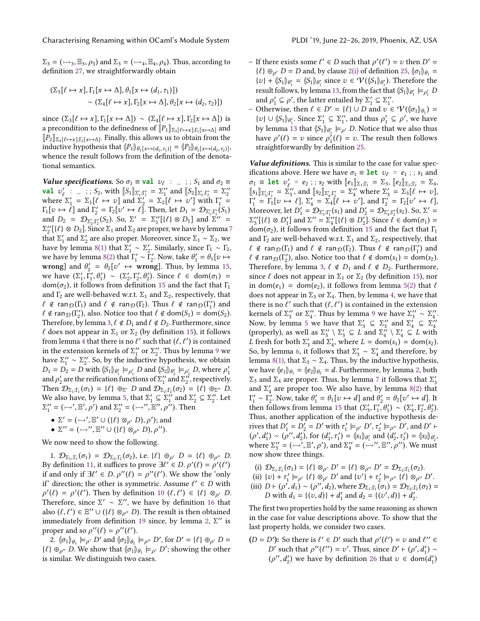<span id="page-23-0"></span>Characterising Renaming within OCaml's Module System PLDI '19, June 22–26, 2019, Phoenix, AZ, USA

$$
(\Sigma_3[\ell \mapsto x], \Gamma_1[x \mapsto \Delta], \theta_1[x \mapsto (d_1, \tau_1)])
$$

$$
\sim (\Sigma_4[\ell \mapsto x], \Gamma_2[x \mapsto \Delta], \theta_2[x \mapsto (d_2, \tau_2)])
$$

since  $(\Sigma_3[\ell \mapsto x], \Gamma_1[x \mapsto \Delta]) \sim (\Sigma_4[\ell \mapsto x], \Gamma_2[x \mapsto \Delta])$  is a precondition to the definedness of  $[\![P_1]\!]_{\Sigma_3[\ell\mapsto x];\Gamma_1[x\mapsto\Delta]}$  and  $[\![P_2]\!]_{\Sigma_4[\ell \mapsto x]; \Gamma_2[x \mapsto \Delta]}$ . Finally, this allows us to obtain from the inductive hypothesis that  $\left\{P_1\right\}_{\theta_1[x\mapsto (d_1,\tau_1)]} = \left\{P_2\right\}_{\theta_2[x\mapsto (d_2,\tau_2)]}$ , whence the result follows from the definition of the denotational semantics.

**Value specifications.** So  $\sigma_1 \equiv \text{val } v_\ell : \_ ; S_1$  and  $\sigma_2 \equiv$ **val**  $v'_\ell$  : \_ ;; S<sub>2</sub>, with  $\llbracket S_1 \rrbracket_{\Sigma'_1; \Gamma'_1} = \Sigma''_1$  and  $\llbracket S_2 \rrbracket_{\Sigma'_2; \Gamma'_2} = \Sigma''_2$ where  $\Sigma_1' = \Sigma_1[\ell \mapsto v]$  and  $\Sigma_2' = \Sigma_2[\ell \mapsto v']$  with  $\Gamma_1' =$  $\Gamma_1[v \mapsto \hat{\ell}]$  and  $\Gamma'_2 = \Gamma_2[v' \mapsto \ell]$ . Then, let  $D_1 = \mathcal{D}_{\Sigma'_1;\Gamma'_1}(S_1)$ and  $D_2 = \mathcal{D}_{\Sigma'_2, \Gamma'_2}(S_2)$ . So,  $\Sigma' = \Sigma''_1[\{\ell\} \otimes D_1]$  and  $\Sigma'' =$  $\Sigma_2''[\{\ell\} \otimes D_2]$ . Since  $\Sigma_1$  and  $\Sigma_2$  are proper, we have by lemma [7](#page-18-4) that  $\Sigma'_1$  and  $\Sigma'_2$  are also proper. Moreover, since  $\Sigma_1 \sim \Sigma_2$ , we have by lemma [8\(1\)](#page-18-5) that  $\Sigma'_1 \sim \Sigma'_2$ . Similarly, since  $\Gamma_1 \sim \Gamma_2$ , we have by lemma [8\(2\)](#page-18-6) that  $\Gamma'_1 \sim \Gamma'_2$ . Now, take  $\theta'_1 = \theta_1 [v \mapsto$ wrong] and  $\theta'_2 = \theta_2[v' \mapsto \text{wrong}]$ . Thus, by lemma [15,](#page-21-3) we have  $(\Sigma'_1, \overline{\Gamma'_1}, \theta'_1) \sim (\Sigma'_2, \Gamma'_2, \theta'_2)$ . Since  $\ell \in \text{dom}(\sigma_1) =$  $dom(\sigma_2)$ , it follows from definition [15](#page-9-6) and the fact that  $\Gamma_1$ and  $\Gamma_2$  are well-behaved w.r.t.  $\Sigma_1$  and  $\Sigma_2$ , respectively, that  $\ell \notin \text{ran}_{\mathcal{D}}(\Gamma_1)$  and  $\ell \notin \text{ran}_{\mathcal{D}}(\Gamma_2)$ . Thus  $\ell \notin \text{ran}_{\mathcal{D}}(\Gamma'_1)$  and  $\ell \notin \text{ran}_{\mathcal{D}}(\Gamma'_2)$ , also. Notice too that  $\ell \notin \text{dom}(S_1) = \text{dom}(S_2)$ . Therefore, by lemma [3,](#page-16-3)  $\ell \notin D_1$  and  $\ell \notin D_2$ . Furthermore, since  $\ell$  does not appear in  $\Sigma_1$  or  $\Sigma_2$  (by definition [15\)](#page-9-6), it follows from lemma [4](#page-17-9) that there is no  $\ell'$  such that  $(\ell, \ell')$  is contained in the extension kernels of  $\Sigma_1^{\prime\prime}$  or  $\Sigma_2^{\prime\prime}$ . Thus by lemma [9](#page-18-7) we have  $\Sigma_1^{\prime\prime} \sim \Sigma_2^{\prime\prime}$ . So, by the inductive hypothesis, we obtain  $D_1 = D_2 = D$  with  $(\mathcal{S}_1)_{\theta_1} \models \rho_1$  D and  $(\mathcal{S}_2)_{\theta_2} \models \rho_2$  D, where  $\rho_1$ and  $\rho'_2$  are the reification functions of  $\Sigma''_1$  and  $\Sigma''_2$ , respectively. Then  $\mathcal{D}_{\Sigma_1;\Gamma_1}(\sigma_1) = \{\ell\} \oplus_{\Sigma'} D$  and  $\mathcal{D}_{\Sigma_2;\Gamma_2}(\sigma_2) = \{\ell\} \oplus_{\Sigma''} D$ . We also have, by lemma [5,](#page-17-7) that  $\Sigma'_1 \subseteq \Sigma''_1$  and  $\Sigma'_2 \subseteq \Sigma''_2$ . Let  $\Sigma_1'' = (\rightarrowtail', \mathbb{E}', \rho')$  and  $\Sigma_2'' = (\rightarrowtail'', \mathbb{E}'', \rho'')$ . Then

- $\Sigma' = (\rightarrowtail', \mathbb{E}' \cup (\{\ell\} \otimes_{\rho'} D), \rho');$  and
- $\Sigma'' = (\rightarrow'', \mathbb{E}'' \cup (\{\ell\} \otimes_{\rho''} D), \rho'').$

We now need to show the following.

1.  $\mathcal{D}_{\Sigma_1,\Gamma_1}(\sigma_1) = \mathcal{D}_{\Sigma_2,\Gamma_2}(\sigma_2)$ , i.e.  $\{\ell\} \oplus_{\rho'} D = \{\ell\} \oplus_{\rho''} D$ . By definition [11,](#page-5-0) it suffices to prove  $\exists \ell' \in D$ .  $\rho'(\ell) = \rho'(\ell')$ if and only if  $\exists \ell' \in D$ .  $\rho''(\ell) = \rho''(\ell')$ . We show the 'only if' direction; the other is symmetric. Assume  $\ell' \in D$  with  $\rho'(\ell) = \rho'(\ell')$ . Then by definition [10](#page-5-1)  $(\ell, \ell') \in {\ell} \otimes_{\rho'} D$ . Therefore, since  $\Sigma' \sim \Sigma''$ , we have by definition [16](#page-9-7) that also  $(\ell, \ell') \in \mathbb{E}'' \cup (\{\ell\} \otimes_{\rho''} D)$ . The result is then obtained immediately from definition [19](#page-16-1) since, by lemma [2,](#page-16-2)  $\Sigma''$  is proper and so  $\rho''(\ell) = \rho''(\ell').$ 

2.  $\langle \sigma_1 \rangle_{\theta_1} \models_{\rho'} D'$  and  $\langle \sigma_2 \rangle_{\theta_2} \models_{\rho''} D'$ , for  $D' = \{ \ell \} \oplus_{\rho'} D =$  $\{\ell\} \oplus_{\rho''} D$ . We show that  $(\sigma_1)_{\theta_1} \models_{\rho'} D'$ ; showing the other is similar. We distinguish two cases.

- If there exists some  $\ell' \in D$  such that  $\rho'(\ell') = v$  then  $D' =$ { $\ell$ }  $\oplus_{\rho'}$  *D* = *D* and, by clause [2\(i\)](#page-20-5) of definition [25,](#page-19-0)  $(\sigma_1)_{\theta_1}$  =  $\{v\}$  +  $(\{S_1\}_{\theta'_1} = (\{S_1\}_{\theta'_1})$  since  $v \in \mathcal{V}((S_1)_{\theta'_1})$ . Therefore the result follows, by lemma [13,](#page-20-6) from the fact that  $(S_1)_{\theta'_1} \models_{\rho'_1} D$ and  $\rho'_1 \subseteq \rho'$ , the latter entailed by  $\Sigma'_1 \subseteq \Sigma''_1$ .
- Otherwise, then  $\ell$  ∈ D' = { $\ell$ } ∪ D and  $v$  ∈  $\mathcal{V}(\|\sigma_1\|_{\theta_1})$  =  $\{v\} \cup (\mathcal{S}_1)_{\theta_1'}$ . Since  $\Sigma_1' \subseteq \Sigma_1''$ , and thus  $\rho_1' \subseteq \rho'$ , we have by lemma [13](#page-20-6) that  $(\mathcal{S}_1)_{\theta'_1} \models_{\rho'} D$ . Notice that we also thus have  $\rho'(\ell) = v$  since  $\rho'_1(\ell) = v$ . The result then follows straightforwardly by definition [25.](#page-19-0)

Value definitions. This is similar to the case for value specifications above. Here we have  $\sigma_1 \equiv \textbf{let } v_\ell = e_1$ ;; s<sub>1</sub> and  $\sigma_1 \equiv \textbf{let } v'_\ell = e_2 ; ; s_2 \text{ with } [e_1]_{\Sigma_1;\Gamma_1} = \Sigma_3, [e_2]_{\Sigma_2;\Gamma_2} = \Sigma_4,$  $[\![s_1]\!]_{\Sigma'_3;\Gamma'_1} = \Sigma''_3$ , and  $[\![s_2]\!]_{\Sigma'_4;\Gamma'_2} = \Sigma''_4$  where  $\Sigma'_3 = \Sigma_3[\ell \mapsto v]$ ,  $\Gamma_1' = \Gamma_1' [v \mapsto \ell], \ \Sigma_4' = \Sigma_4' [\ell \mapsto v'], \text{ and } \Gamma_2' = \Gamma_2 [v' \mapsto \ell],$ Moreover, let  $D'_1 = \mathcal{D}_{\Sigma'_3; \Gamma'_1}(s_1)$  and  $D'_2 = \mathcal{D}_{\Sigma'_4; \Gamma'_2}(s_2)$ . So,  $\Sigma' =$  $\Sigma_3''[\{\ell\}\otimes D_1']$  and  $\Sigma'' = \Sigma_4''[\{\ell\}\otimes D_2']$ . Since  $\ell \in \text{dom}(\sigma_1) =$  $dom(\sigma_2)$ , it follows from definition [15](#page-9-6) and the fact that  $\Gamma_1$ and  $\Gamma_2$  are well-behaved w.r.t.  $\Sigma_1$  and  $\Sigma_2$ , respectively, that  $\ell \notin \text{ran}_{\mathcal{D}}(\Gamma_1)$  and  $\ell \notin \text{ran}_{\mathcal{D}}(\Gamma_2)$ . Thus  $\ell \notin \text{ran}_{\mathcal{D}}(\Gamma'_1)$  and  $\ell \notin \text{ran}_{\mathcal{D}}(\Gamma'_2)$ , also. Notice too that  $\ell \notin \text{dom}(s_1) = \text{dom}(s_2)$ . Therefore, by lemma [3,](#page-16-3)  $\ell \notin D_1$  and  $\ell \notin D_2$ . Furthermore, since  $\ell$  does not appear in  $\Sigma_1$  or  $\Sigma_2$  (by definition [15\)](#page-9-6), nor in dom( $e_1$ ) = dom( $e_2$ ), it follows from lemma [5\(2\)](#page-17-10) that  $\ell$ does not appear in  $\Sigma_3$  or  $\Sigma_4$ . Then, by lemma [4,](#page-17-9) we have that there is no  $\ell'$  such that  $(\ell, \ell')$  is contained in the extension kernels of  $\Sigma_3''$  or  $\Sigma_4''$ . Thus by lemma [9](#page-18-7) we have  $\Sigma_3'' \sim \Sigma_4''$ . Now, by lemma [5](#page-17-7) we have that  $\Sigma_3' \subseteq \Sigma_3''$  and  $\Sigma_4' \subseteq \Sigma_4''$ (properly), as well as  $\Sigma_3'' \setminus \Sigma_3' \subseteq L$  and  $\Sigma_4'' \setminus \Sigma_4' \subseteq L$  with L fresh for both  $\Sigma'_3$  and  $\Sigma'_4$ , where  $L = \text{dom}(s_1) = \text{dom}(s_2)$ . So, by lemma [6,](#page-17-8) it follows that  $\Sigma'_3 \sim \Sigma'_4$  and therefore, by lemma [8\(1\),](#page-18-5) that  $\Sigma_3 \sim \Sigma_4$ . Thus, by the inductive hypothesis, we have  $\langle e_1 \rangle_{\theta_1} = \langle e_2 \rangle_{\theta_2} = d$ . Furthermore, by lemma [2,](#page-16-2) both  $\Sigma_3$  and  $\Sigma_4$  are proper. Thus, by lemma [7](#page-18-4) it follows that  $\Sigma'_3$ and  $\Sigma'_{4}$  are proper too. We also have, by lemma [8\(2\)](#page-18-6) that  $\Gamma'_1 \sim \Gamma'_2$ . Now, take  $\theta'_1 = \theta_1[v \mapsto d]$  and  $\theta'_2 = \theta_2[v' \mapsto d]$ . It then follows from lemma [15](#page-21-3) that  $(\Sigma'_3, \Gamma'_1, \theta'_1) \sim (\Sigma'_4, \Gamma'_2, \theta'_2)$ . Thus, another application of the inductive hypothesis derives that  $D'_1 = D'_2 = D'$  with  $\tau'_1 \models_{\rho'} D', \tau'_2 \models_{\rho''} D'$ , and  $D' \models$  $(\rho', d'_1) \sim (\rho'', d'_2)$ , for  $(d'_1, \tau'_1) = (\dot{s}_1)_{\theta'_1}$  and  $(d'_2, \tau'_2) = (s_2)_{\theta'_2}$ , where  $\Sigma_3'' = (\rightarrowtail', \mathbb{E}', \rho'),$  and  $\Sigma_4'' = (\rightarrowtail'', \mathbb{E}'', \rho'').$  We must now show three things.

- (i)  $\mathcal{D}_{\Sigma_1;\Gamma_1}(\sigma_1) = \{\ell\} \otimes_{\rho'} D' = \{\ell\} \otimes_{\rho''} D' = \mathcal{D}_{\Sigma_2;\Gamma_2}(\sigma_2).$
- (ii)  $\{v\} + \tau_1' \models_{\rho'} \{\ell\} \otimes_{\rho'} D'$  and  $\{v'\} + \tau_2' \models_{\rho''} \{\ell\} \otimes_{\rho''} D'$ .
- (iii)  $D \vdash (\rho', d_1) \sim (\rho'', d_2)$ , where  $\mathcal{D}_{\Sigma_1; \Gamma_1}(\sigma_1) = \mathcal{D}_{\Sigma_2; \Gamma_2}(\sigma_2) =$ D with  $d_1 = \{(v, d)\} + d'_1$  and  $d_2 = \{(v', d)\} + d'_2$ .

The first two properties hold by the same reasoning as shown in the case for value descriptions above. To show that the last property holds, we consider two cases.

( $D = D'$ ): So there is  $\ell' \in D'$  such that  $\rho'(\ell') = v$  and  $\ell'' \in D'$ D' such that  $\rho''(\ell'') = v'$ . Thus, since  $D' \vdash (\rho', d'_1) \sim$  $(\rho'', d'_2)$  we have by definition [26](#page-20-3) that  $v \in \text{dom}(d'_1)$